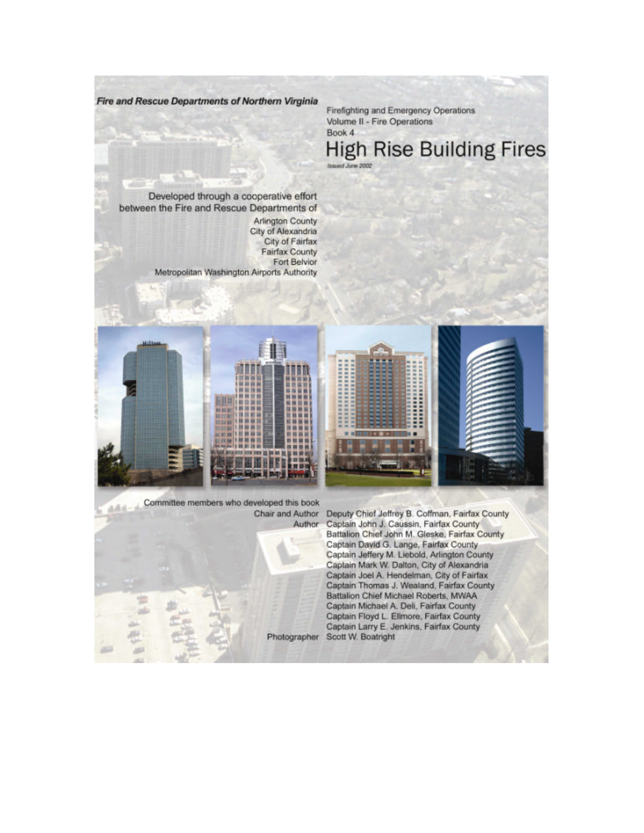Fire and Rescue Departments of Northern Virginia

Firefighting and Emergency Operations Volume II - Fire Operations Book 4

**High Rise Building Fires** Issued June 2002

Developed through a cooperative effort between the Fire and Rescue Departments of **Arlington County** City of Alexandria City of Fairfax **Fairfax County** Fort Belvior Metropolitan Washington Airports Authority



Committee members who developed this book Author



Chair and Author Deputy Chief Jeffrey B. Coffman, Fairfax County Captain John J. Caussin, Fairfax County Battalion Chief John M. Gleske, Fairfax County Captain David G. Lange, Fairfax County Captain Jeffery M. Liebold, Arlington County Captain Mark W. Dalton, City of Alexandria Captain Joel A. Hendelman, City of Fairfax Captain Thomas J. Wealand, Fairfax County Battalion Chief Michael Roberts, MWAA Captain Michael A. Deli, Fairfax County Captain Floyd L. Ellmore, Fairfax County Captain Larry E. Jenkins, Fairfax County Photographer Scott W. Boatright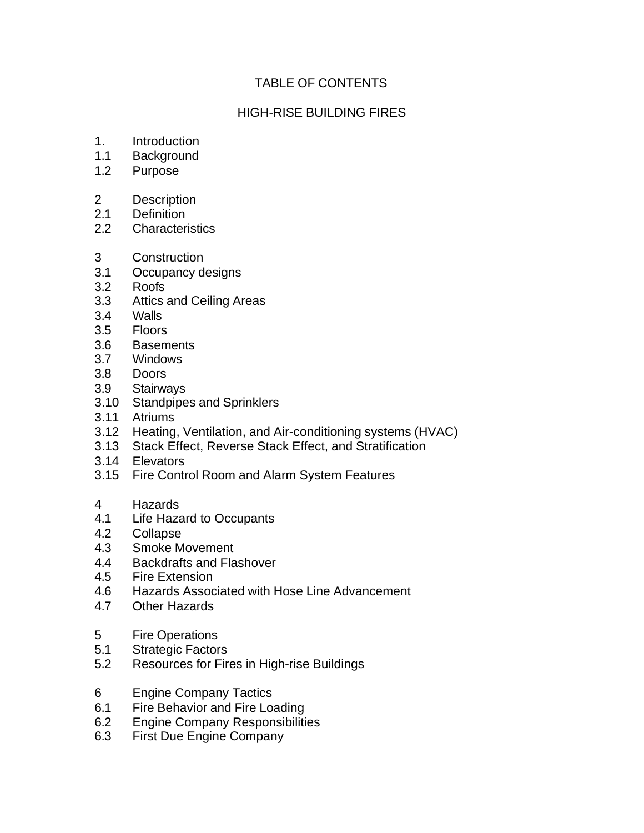## TABLE OF CONTENTS

## HIGH-RISE BUILDING FIRES

- 1. Introduction
- 1.1 Background
- 1.2 Purpose
- 2 Description
- 2.1 Definition
- 2.2 Characteristics
- 3 Construction
- 3.1 Occupancy designs
- 3.2 Roofs
- 3.3 Attics and Ceiling Areas
- 3.4 Walls
- 3.5 Floors
- 3.6 Basements
- 3.7 Windows
- 3.8 Doors
- 3.9 Stairways
- 3.10 Standpipes and Sprinklers
- 3.11 Atriums
- 3.12 Heating, Ventilation, and Air-conditioning systems (HVAC)
- 3.13 Stack Effect, Reverse Stack Effect, and Stratification
- 3.14 Elevators
- 3.15 Fire Control Room and Alarm System Features
- 4 Hazards
- 4.1 Life Hazard to Occupants
- 4.2 Collapse
- 4.3 Smoke Movement
- 4.4 Backdrafts and Flashover
- 4.5 Fire Extension
- 4.6 Hazards Associated with Hose Line Advancement
- 4.7 Other Hazards
- 5 Fire Operations
- 5.1 Strategic Factors
- 5.2 Resources for Fires in High-rise Buildings
- 6 Engine Company Tactics
- 6.1 Fire Behavior and Fire Loading
- 6.2 Engine Company Responsibilities
- 6.3 First Due Engine Company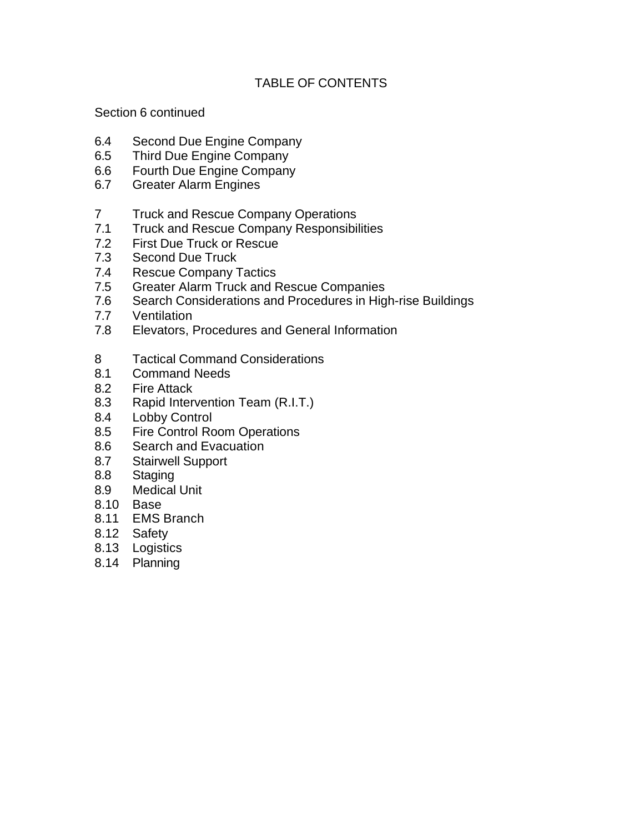## TABLE OF CONTENTS

Section 6 continued

- 6.4 Second Due Engine Company
- 6.5 Third Due Engine Company
- 6.6 Fourth Due Engine Company
- 6.7 Greater Alarm Engines
- 7 Truck and Rescue Company Operations
- 7.1 Truck and Rescue Company Responsibilities
- 7.2 First Due Truck or Rescue
- 7.3 Second Due Truck
- 7.4 Rescue Company Tactics
- 7.5 Greater Alarm Truck and Rescue Companies
- 7.6 Search Considerations and Procedures in High-rise Buildings
- 7.7 Ventilation
- 7.8 Elevators, Procedures and General Information
- 8 Tactical Command Considerations
- 8.1 Command Needs
- 8.2 Fire Attack
- 8.3 Rapid Intervention Team (R.I.T.)
- 8.4 Lobby Control
- 8.5 Fire Control Room Operations
- 8.6 Search and Evacuation
- 8.7 Stairwell Support
- 8.8 Staging
- 8.9 Medical Unit
- 8.10 Base
- 8.11 EMS Branch
- 8.12 Safety
- 8.13 Logistics
- 8.14 Planning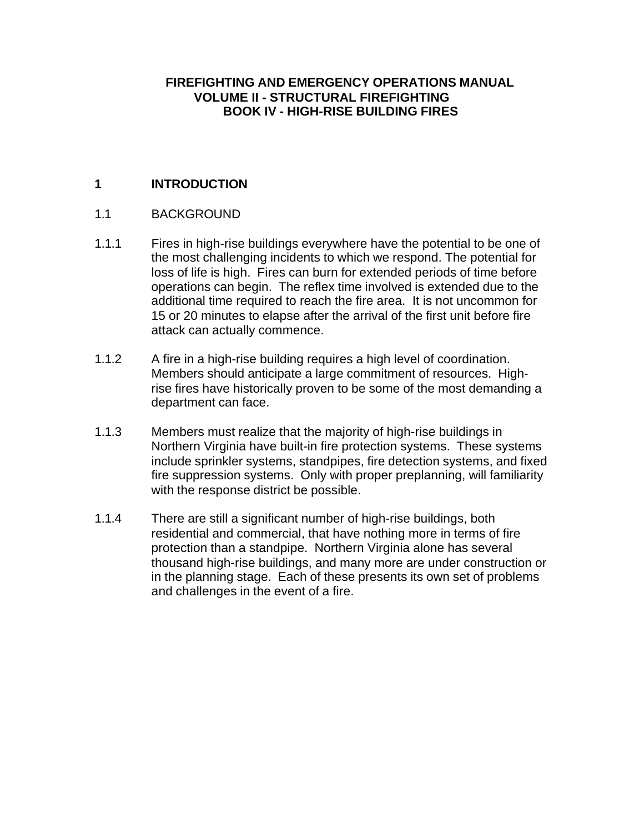### **FIREFIGHTING AND EMERGENCY OPERATIONS MANUAL VOLUME II - STRUCTURAL FIREFIGHTING BOOK IV - HIGH-RISE BUILDING FIRES**

# **1 INTRODUCTION**

### 1.1 BACKGROUND

- 1.1.1 Fires in high-rise buildings everywhere have the potential to be one of the most challenging incidents to which we respond. The potential for loss of life is high. Fires can burn for extended periods of time before operations can begin. The reflex time involved is extended due to the additional time required to reach the fire area. It is not uncommon for 15 or 20 minutes to elapse after the arrival of the first unit before fire attack can actually commence.
- 1.1.2 A fire in a high-rise building requires a high level of coordination. Members should anticipate a large commitment of resources. Highrise fires have historically proven to be some of the most demanding a department can face.
- 1.1.3 Members must realize that the majority of high-rise buildings in Northern Virginia have built-in fire protection systems. These systems include sprinkler systems, standpipes, fire detection systems, and fixed fire suppression systems. Only with proper preplanning, will familiarity with the response district be possible.
- 1.1.4 There are still a significant number of high-rise buildings, both residential and commercial, that have nothing more in terms of fire protection than a standpipe. Northern Virginia alone has several thousand high-rise buildings, and many more are under construction or in the planning stage. Each of these presents its own set of problems and challenges in the event of a fire.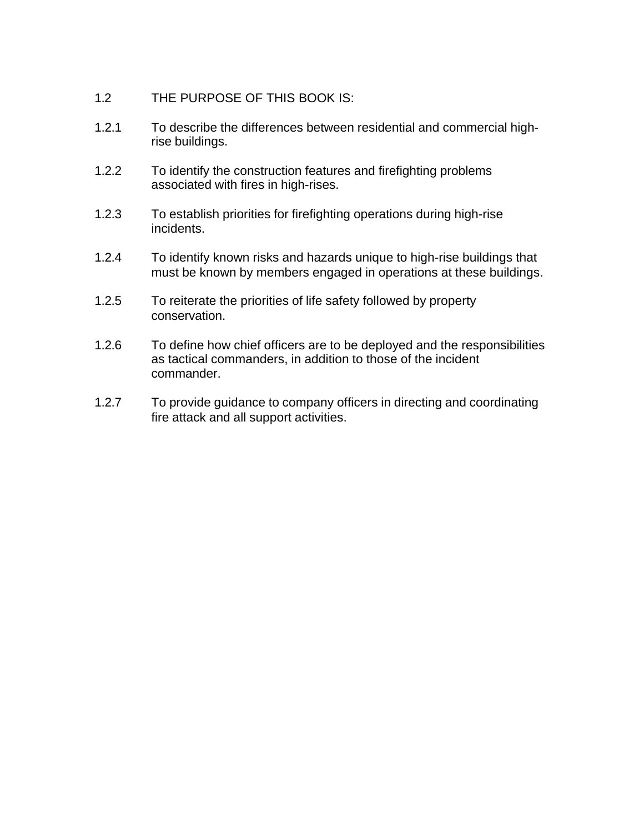- 1.2 THE PURPOSE OF THIS BOOK IS:
- 1.2.1 To describe the differences between residential and commercial highrise buildings.
- 1.2.2 To identify the construction features and firefighting problems associated with fires in high-rises.
- 1.2.3 To establish priorities for firefighting operations during high-rise incidents.
- 1.2.4 To identify known risks and hazards unique to high-rise buildings that must be known by members engaged in operations at these buildings.
- 1.2.5 To reiterate the priorities of life safety followed by property conservation.
- 1.2.6 To define how chief officers are to be deployed and the responsibilities as tactical commanders, in addition to those of the incident commander.
- 1.2.7 To provide guidance to company officers in directing and coordinating fire attack and all support activities.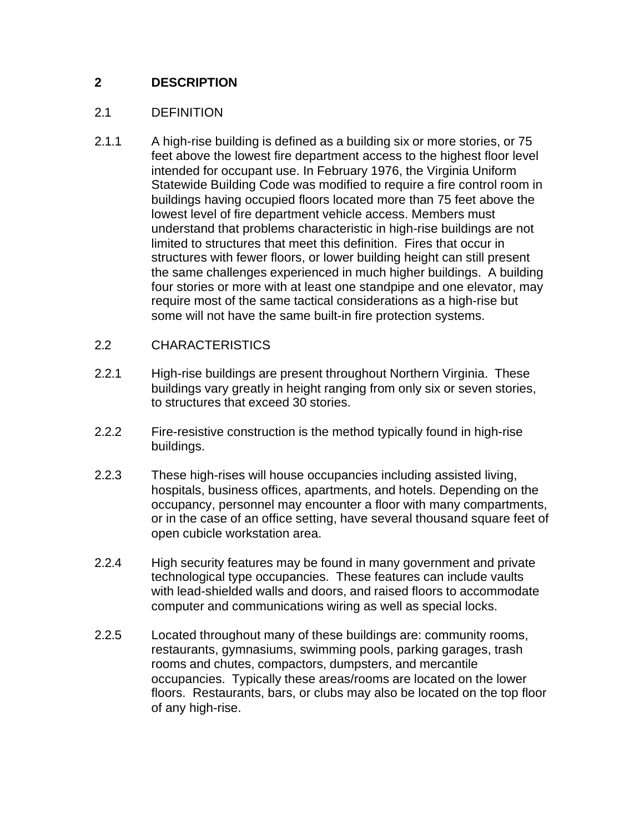# **2 DESCRIPTION**

## 2.1 DEFINITION

- 2.1.1 A high-rise building is defined as a building six or more stories, or 75 feet above the lowest fire department access to the highest floor level intended for occupant use. In February 1976, the Virginia Uniform Statewide Building Code was modified to require a fire control room in buildings having occupied floors located more than 75 feet above the lowest level of fire department vehicle access. Members must understand that problems characteristic in high-rise buildings are not limited to structures that meet this definition. Fires that occur in structures with fewer floors, or lower building height can still present the same challenges experienced in much higher buildings. A building four stories or more with at least one standpipe and one elevator, may require most of the same tactical considerations as a high-rise but some will not have the same built-in fire protection systems.
- 2.2 CHARACTERISTICS
- 2.2.1 High-rise buildings are present throughout Northern Virginia. These buildings vary greatly in height ranging from only six or seven stories, to structures that exceed 30 stories.
- 2.2.2 Fire-resistive construction is the method typically found in high-rise buildings.
- 2.2.3 These high-rises will house occupancies including assisted living, hospitals, business offices, apartments, and hotels. Depending on the occupancy, personnel may encounter a floor with many compartments, or in the case of an office setting, have several thousand square feet of open cubicle workstation area.
- 2.2.4 High security features may be found in many government and private technological type occupancies. These features can include vaults with lead-shielded walls and doors, and raised floors to accommodate computer and communications wiring as well as special locks.
- 2.2.5 Located throughout many of these buildings are: community rooms, restaurants, gymnasiums, swimming pools, parking garages, trash rooms and chutes, compactors, dumpsters, and mercantile occupancies. Typically these areas/rooms are located on the lower floors. Restaurants, bars, or clubs may also be located on the top floor of any high-rise.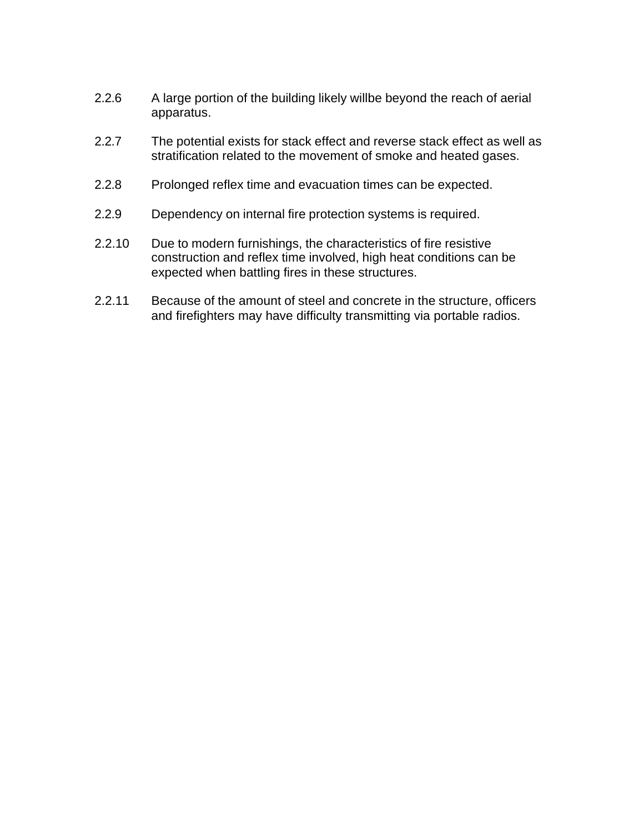- 2.2.6 A large portion of the building likely willbe beyond the reach of aerial apparatus.
- 2.2.7 The potential exists for stack effect and reverse stack effect as well as stratification related to the movement of smoke and heated gases.
- 2.2.8 Prolonged reflex time and evacuation times can be expected.
- 2.2.9 Dependency on internal fire protection systems is required.
- 2.2.10 Due to modern furnishings, the characteristics of fire resistive construction and reflex time involved, high heat conditions can be expected when battling fires in these structures.
- 2.2.11 Because of the amount of steel and concrete in the structure, officers and firefighters may have difficulty transmitting via portable radios.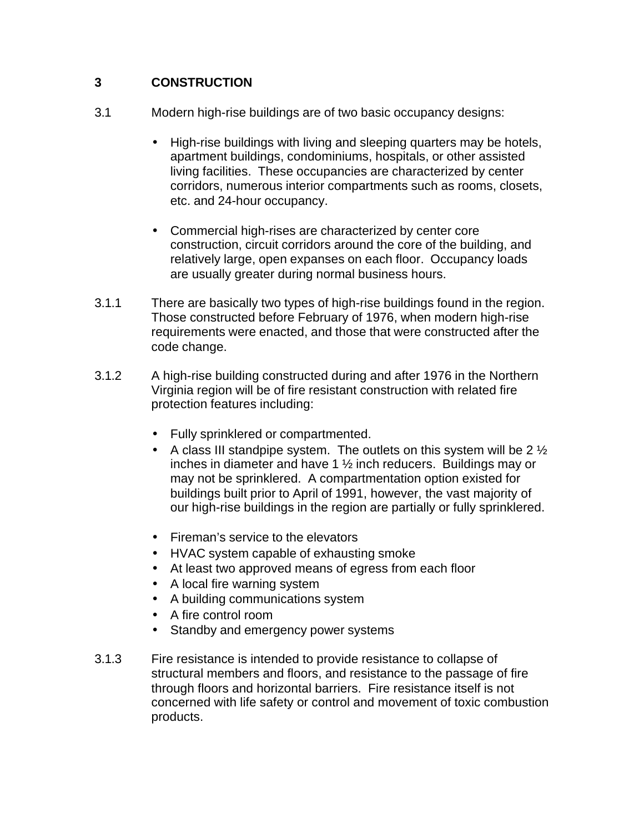## **3 CONSTRUCTION**

- 3.1 Modern high-rise buildings are of two basic occupancy designs:
	- High-rise buildings with living and sleeping quarters may be hotels, apartment buildings, condominiums, hospitals, or other assisted living facilities. These occupancies are characterized by center corridors, numerous interior compartments such as rooms, closets, etc. and 24-hour occupancy.
	- Commercial high-rises are characterized by center core construction, circuit corridors around the core of the building, and relatively large, open expanses on each floor. Occupancy loads are usually greater during normal business hours.
- 3.1.1 There are basically two types of high-rise buildings found in the region. Those constructed before February of 1976, when modern high-rise requirements were enacted, and those that were constructed after the code change.
- 3.1.2 A high-rise building constructed during and after 1976 in the Northern Virginia region will be of fire resistant construction with related fire protection features including:
	- Fully sprinklered or compartmented.
	- A class III standpipe system. The outlets on this system will be  $2\frac{1}{2}$ inches in diameter and have 1 ½ inch reducers. Buildings may or may not be sprinklered. A compartmentation option existed for buildings built prior to April of 1991, however, the vast majority of our high-rise buildings in the region are partially or fully sprinklered.
	- Fireman's service to the elevators
	- HVAC system capable of exhausting smoke
	- At least two approved means of egress from each floor
	- A local fire warning system
	- A building communications system
	- A fire control room
	- Standby and emergency power systems
- 3.1.3 Fire resistance is intended to provide resistance to collapse of structural members and floors, and resistance to the passage of fire through floors and horizontal barriers. Fire resistance itself is not concerned with life safety or control and movement of toxic combustion products.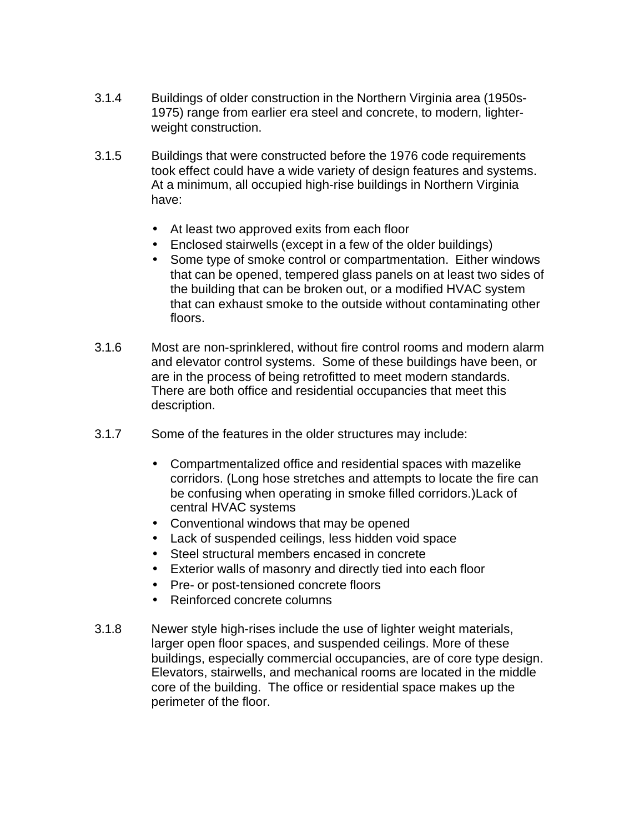- 3.1.4 Buildings of older construction in the Northern Virginia area (1950s-1975) range from earlier era steel and concrete, to modern, lighterweight construction.
- 3.1.5 Buildings that were constructed before the 1976 code requirements took effect could have a wide variety of design features and systems. At a minimum, all occupied high-rise buildings in Northern Virginia have:
	- At least two approved exits from each floor
	- Enclosed stairwells (except in a few of the older buildings)
	- Some type of smoke control or compartmentation. Either windows that can be opened, tempered glass panels on at least two sides of the building that can be broken out, or a modified HVAC system that can exhaust smoke to the outside without contaminating other floors.
- 3.1.6 Most are non-sprinklered, without fire control rooms and modern alarm and elevator control systems. Some of these buildings have been, or are in the process of being retrofitted to meet modern standards. There are both office and residential occupancies that meet this description.
- 3.1.7 Some of the features in the older structures may include:
	- Compartmentalized office and residential spaces with mazelike corridors. (Long hose stretches and attempts to locate the fire can be confusing when operating in smoke filled corridors.)Lack of central HVAC systems
	- Conventional windows that may be opened
	- Lack of suspended ceilings, less hidden void space
	- Steel structural members encased in concrete
	- Exterior walls of masonry and directly tied into each floor
	- Pre- or post-tensioned concrete floors
	- Reinforced concrete columns
- 3.1.8 Newer style high-rises include the use of lighter weight materials, larger open floor spaces, and suspended ceilings. More of these buildings, especially commercial occupancies, are of core type design. Elevators, stairwells, and mechanical rooms are located in the middle core of the building. The office or residential space makes up the perimeter of the floor.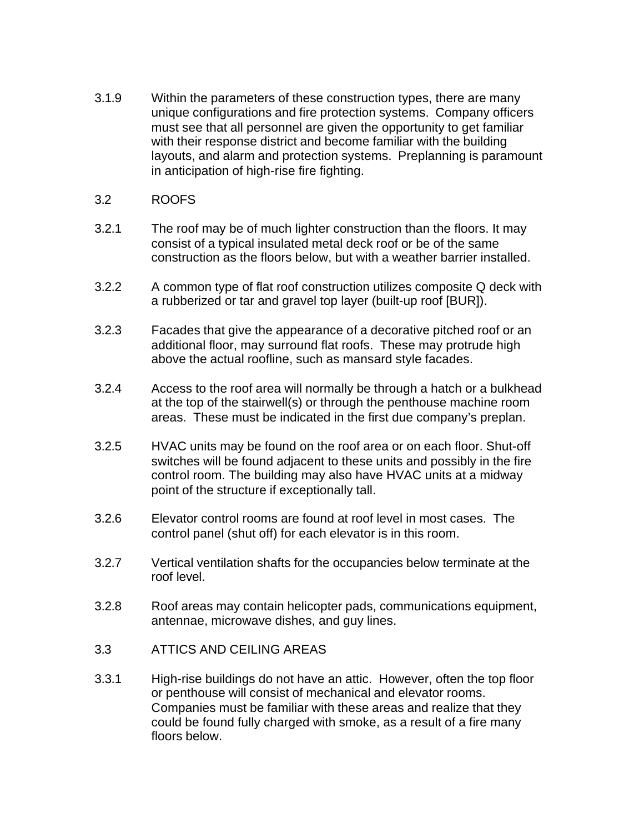3.1.9 Within the parameters of these construction types, there are many unique configurations and fire protection systems. Company officers must see that all personnel are given the opportunity to get familiar with their response district and become familiar with the building layouts, and alarm and protection systems. Preplanning is paramount in anticipation of high-rise fire fighting.

### 3.2 ROOFS

- 3.2.1 The roof may be of much lighter construction than the floors. It may consist of a typical insulated metal deck roof or be of the same construction as the floors below, but with a weather barrier installed.
- 3.2.2 A common type of flat roof construction utilizes composite Q deck with a rubberized or tar and gravel top layer (built-up roof [BUR]).
- 3.2.3 Facades that give the appearance of a decorative pitched roof or an additional floor, may surround flat roofs. These may protrude high above the actual roofline, such as mansard style facades.
- 3.2.4 Access to the roof area will normally be through a hatch or a bulkhead at the top of the stairwell(s) or through the penthouse machine room areas. These must be indicated in the first due company's preplan.
- 3.2.5 HVAC units may be found on the roof area or on each floor. Shut-off switches will be found adjacent to these units and possibly in the fire control room. The building may also have HVAC units at a midway point of the structure if exceptionally tall.
- 3.2.6 Elevator control rooms are found at roof level in most cases. The control panel (shut off) for each elevator is in this room.
- 3.2.7 Vertical ventilation shafts for the occupancies below terminate at the roof level.
- 3.2.8 Roof areas may contain helicopter pads, communications equipment, antennae, microwave dishes, and guy lines.
- 3.3 ATTICS AND CEILING AREAS
- 3.3.1 High-rise buildings do not have an attic. However, often the top floor or penthouse will consist of mechanical and elevator rooms. Companies must be familiar with these areas and realize that they could be found fully charged with smoke, as a result of a fire many floors below.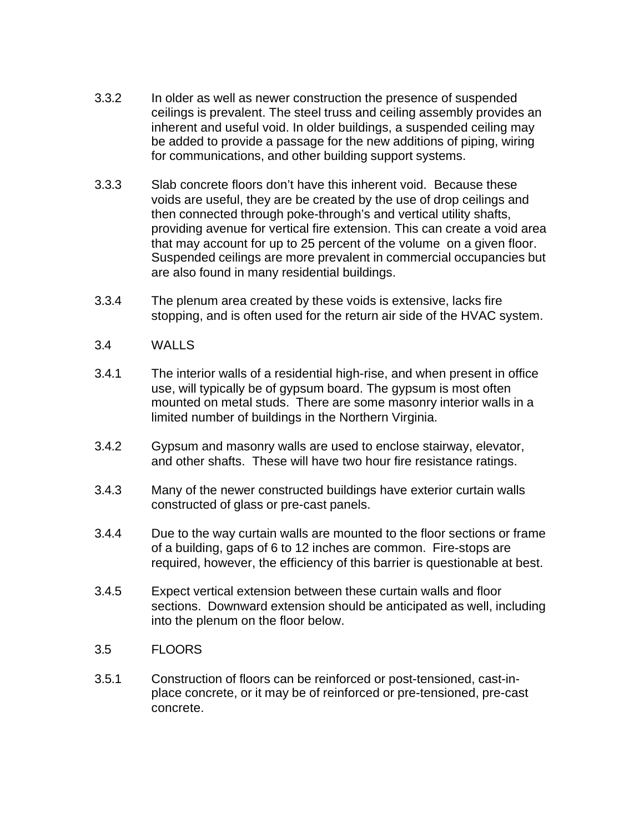- 3.3.2 In older as well as newer construction the presence of suspended ceilings is prevalent. The steel truss and ceiling assembly provides an inherent and useful void. In older buildings, a suspended ceiling may be added to provide a passage for the new additions of piping, wiring for communications, and other building support systems.
- 3.3.3 Slab concrete floors don't have this inherent void. Because these voids are useful, they are be created by the use of drop ceilings and then connected through poke-through's and vertical utility shafts, providing avenue for vertical fire extension. This can create a void area that may account for up to 25 percent of the volume on a given floor. Suspended ceilings are more prevalent in commercial occupancies but are also found in many residential buildings.
- 3.3.4 The plenum area created by these voids is extensive, lacks fire stopping, and is often used for the return air side of the HVAC system.
- 3.4 WALLS
- 3.4.1 The interior walls of a residential high-rise, and when present in office use, will typically be of gypsum board. The gypsum is most often mounted on metal studs. There are some masonry interior walls in a limited number of buildings in the Northern Virginia.
- 3.4.2 Gypsum and masonry walls are used to enclose stairway, elevator, and other shafts. These will have two hour fire resistance ratings.
- 3.4.3 Many of the newer constructed buildings have exterior curtain walls constructed of glass or pre-cast panels.
- 3.4.4 Due to the way curtain walls are mounted to the floor sections or frame of a building, gaps of 6 to 12 inches are common. Fire-stops are required, however, the efficiency of this barrier is questionable at best.
- 3.4.5 Expect vertical extension between these curtain walls and floor sections. Downward extension should be anticipated as well, including into the plenum on the floor below.
- 3.5 FLOORS
- 3.5.1 Construction of floors can be reinforced or post-tensioned, cast-inplace concrete, or it may be of reinforced or pre-tensioned, pre-cast concrete.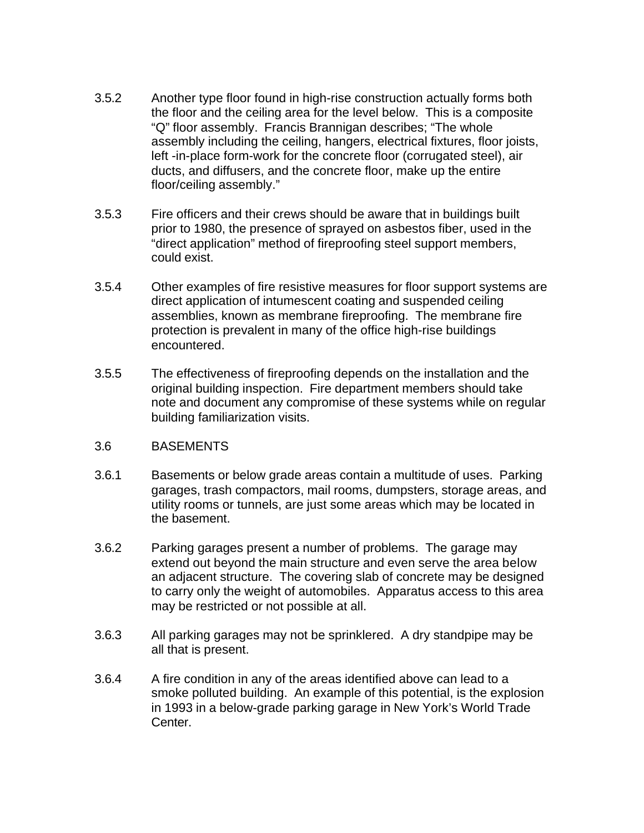- 3.5.2 Another type floor found in high-rise construction actually forms both the floor and the ceiling area for the level below. This is a composite "Q" floor assembly. Francis Brannigan describes; "The whole assembly including the ceiling, hangers, electrical fixtures, floor joists, left -in-place form-work for the concrete floor (corrugated steel), air ducts, and diffusers, and the concrete floor, make up the entire floor/ceiling assembly."
- 3.5.3 Fire officers and their crews should be aware that in buildings built prior to 1980, the presence of sprayed on asbestos fiber, used in the "direct application" method of fireproofing steel support members, could exist.
- 3.5.4 Other examples of fire resistive measures for floor support systems are direct application of intumescent coating and suspended ceiling assemblies, known as membrane fireproofing. The membrane fire protection is prevalent in many of the office high-rise buildings encountered.
- 3.5.5 The effectiveness of fireproofing depends on the installation and the original building inspection. Fire department members should take note and document any compromise of these systems while on regular building familiarization visits.

#### 3.6 BASEMENTS

- 3.6.1 Basements or below grade areas contain a multitude of uses. Parking garages, trash compactors, mail rooms, dumpsters, storage areas, and utility rooms or tunnels, are just some areas which may be located in the basement.
- 3.6.2 Parking garages present a number of problems. The garage may extend out beyond the main structure and even serve the area below an adjacent structure. The covering slab of concrete may be designed to carry only the weight of automobiles. Apparatus access to this area may be restricted or not possible at all.
- 3.6.3 All parking garages may not be sprinklered. A dry standpipe may be all that is present.
- 3.6.4 A fire condition in any of the areas identified above can lead to a smoke polluted building. An example of this potential, is the explosion in 1993 in a below-grade parking garage in New York's World Trade Center.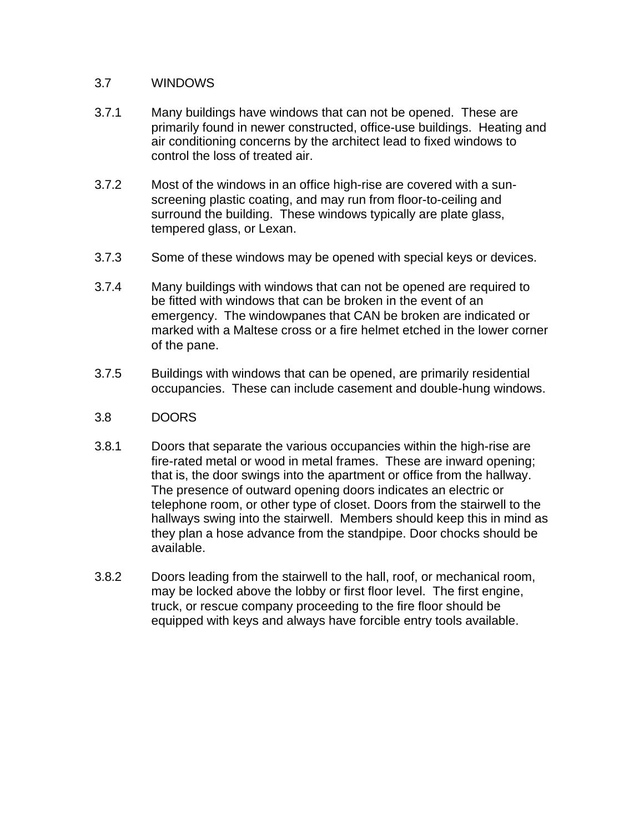#### 3.7 WINDOWS

- 3.7.1 Many buildings have windows that can not be opened. These are primarily found in newer constructed, office-use buildings. Heating and air conditioning concerns by the architect lead to fixed windows to control the loss of treated air.
- 3.7.2 Most of the windows in an office high-rise are covered with a sunscreening plastic coating, and may run from floor-to-ceiling and surround the building. These windows typically are plate glass, tempered glass, or Lexan.
- 3.7.3 Some of these windows may be opened with special keys or devices.
- 3.7.4 Many buildings with windows that can not be opened are required to be fitted with windows that can be broken in the event of an emergency. The windowpanes that CAN be broken are indicated or marked with a Maltese cross or a fire helmet etched in the lower corner of the pane.
- 3.7.5 Buildings with windows that can be opened, are primarily residential occupancies. These can include casement and double-hung windows.
- 3.8 DOORS
- 3.8.1 Doors that separate the various occupancies within the high-rise are fire-rated metal or wood in metal frames. These are inward opening; that is, the door swings into the apartment or office from the hallway. The presence of outward opening doors indicates an electric or telephone room, or other type of closet. Doors from the stairwell to the hallways swing into the stairwell. Members should keep this in mind as they plan a hose advance from the standpipe. Door chocks should be available.
- 3.8.2 Doors leading from the stairwell to the hall, roof, or mechanical room, may be locked above the lobby or first floor level. The first engine, truck, or rescue company proceeding to the fire floor should be equipped with keys and always have forcible entry tools available.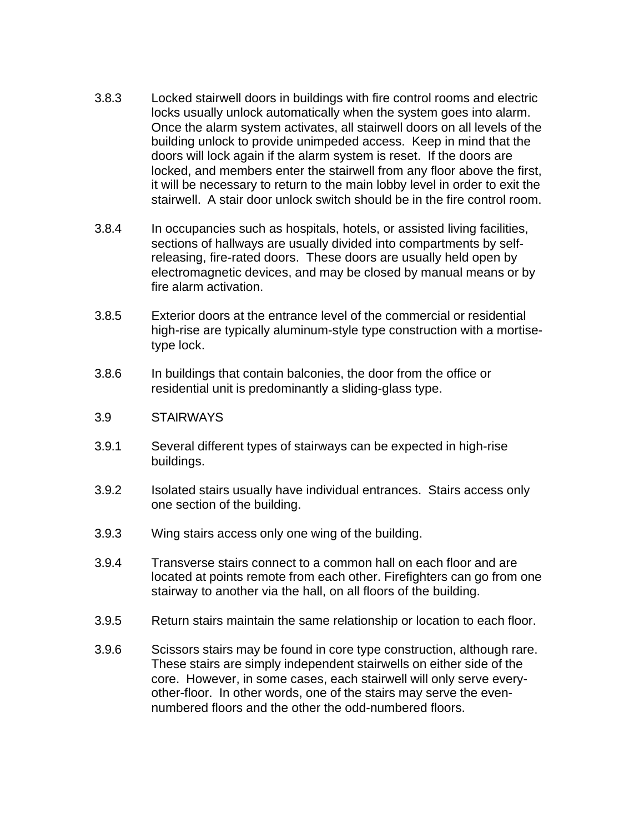- 3.8.3 Locked stairwell doors in buildings with fire control rooms and electric locks usually unlock automatically when the system goes into alarm. Once the alarm system activates, all stairwell doors on all levels of the building unlock to provide unimpeded access. Keep in mind that the doors will lock again if the alarm system is reset. If the doors are locked, and members enter the stairwell from any floor above the first, it will be necessary to return to the main lobby level in order to exit the stairwell. A stair door unlock switch should be in the fire control room.
- 3.8.4 In occupancies such as hospitals, hotels, or assisted living facilities, sections of hallways are usually divided into compartments by selfreleasing, fire-rated doors. These doors are usually held open by electromagnetic devices, and may be closed by manual means or by fire alarm activation.
- 3.8.5 Exterior doors at the entrance level of the commercial or residential high-rise are typically aluminum-style type construction with a mortisetype lock.
- 3.8.6 In buildings that contain balconies, the door from the office or residential unit is predominantly a sliding-glass type.
- 3.9 STAIRWAYS
- 3.9.1 Several different types of stairways can be expected in high-rise buildings.
- 3.9.2 Isolated stairs usually have individual entrances. Stairs access only one section of the building.
- 3.9.3 Wing stairs access only one wing of the building.
- 3.9.4 Transverse stairs connect to a common hall on each floor and are located at points remote from each other. Firefighters can go from one stairway to another via the hall, on all floors of the building.
- 3.9.5 Return stairs maintain the same relationship or location to each floor.
- 3.9.6 Scissors stairs may be found in core type construction, although rare. These stairs are simply independent stairwells on either side of the core. However, in some cases, each stairwell will only serve everyother-floor. In other words, one of the stairs may serve the evennumbered floors and the other the odd-numbered floors.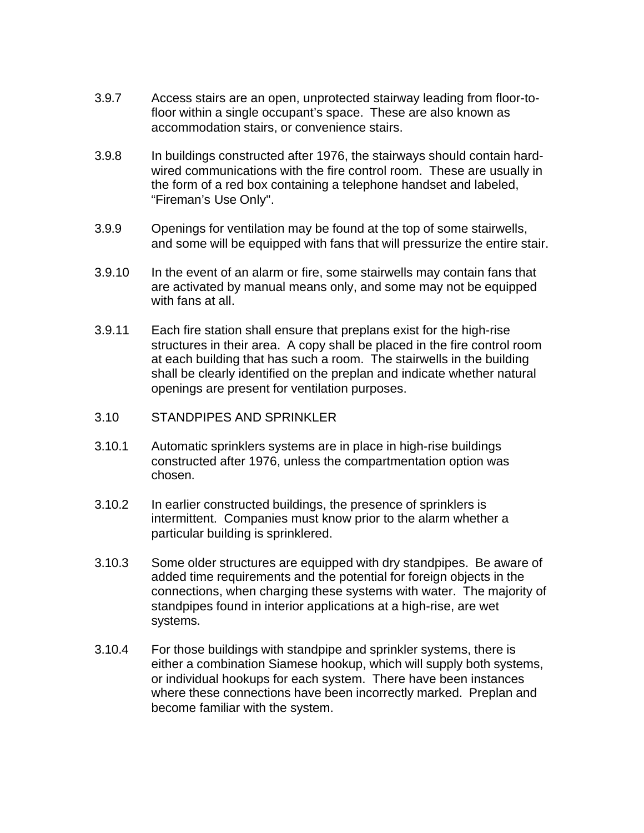- 3.9.7 Access stairs are an open, unprotected stairway leading from floor-tofloor within a single occupant's space. These are also known as accommodation stairs, or convenience stairs.
- 3.9.8 In buildings constructed after 1976, the stairways should contain hardwired communications with the fire control room. These are usually in the form of a red box containing a telephone handset and labeled, "Fireman's Use Only".
- 3.9.9 Openings for ventilation may be found at the top of some stairwells, and some will be equipped with fans that will pressurize the entire stair.
- 3.9.10 In the event of an alarm or fire, some stairwells may contain fans that are activated by manual means only, and some may not be equipped with fans at all.
- 3.9.11 Each fire station shall ensure that preplans exist for the high-rise structures in their area. A copy shall be placed in the fire control room at each building that has such a room. The stairwells in the building shall be clearly identified on the preplan and indicate whether natural openings are present for ventilation purposes.
- 3.10 STANDPIPES AND SPRINKLER
- 3.10.1 Automatic sprinklers systems are in place in high-rise buildings constructed after 1976, unless the compartmentation option was chosen.
- 3.10.2 In earlier constructed buildings, the presence of sprinklers is intermittent. Companies must know prior to the alarm whether a particular building is sprinklered.
- 3.10.3 Some older structures are equipped with dry standpipes. Be aware of added time requirements and the potential for foreign objects in the connections, when charging these systems with water. The majority of standpipes found in interior applications at a high-rise, are wet systems.
- 3.10.4 For those buildings with standpipe and sprinkler systems, there is either a combination Siamese hookup, which will supply both systems, or individual hookups for each system. There have been instances where these connections have been incorrectly marked. Preplan and become familiar with the system.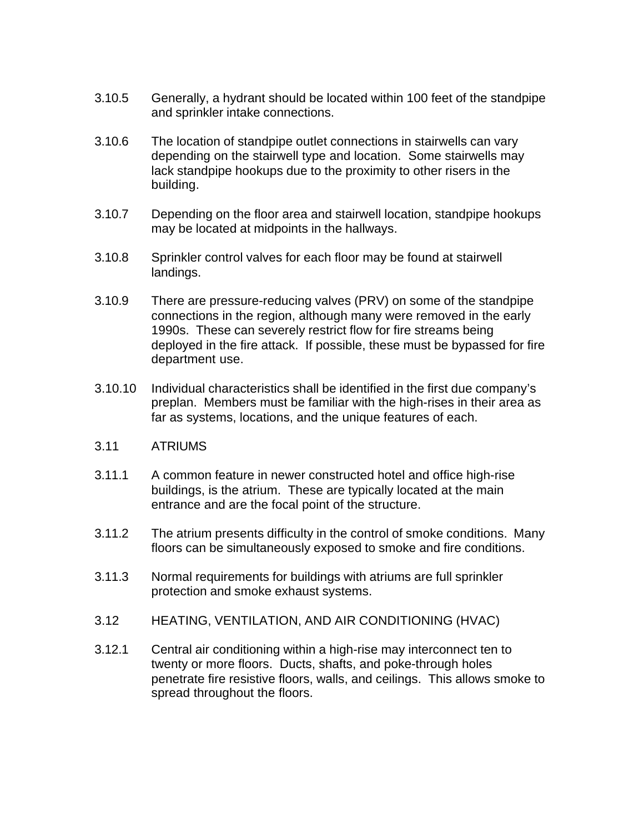- 3.10.5 Generally, a hydrant should be located within 100 feet of the standpipe and sprinkler intake connections.
- 3.10.6 The location of standpipe outlet connections in stairwells can vary depending on the stairwell type and location. Some stairwells may lack standpipe hookups due to the proximity to other risers in the building.
- 3.10.7 Depending on the floor area and stairwell location, standpipe hookups may be located at midpoints in the hallways.
- 3.10.8 Sprinkler control valves for each floor may be found at stairwell landings.
- 3.10.9 There are pressure-reducing valves (PRV) on some of the standpipe connections in the region, although many were removed in the early 1990s. These can severely restrict flow for fire streams being deployed in the fire attack. If possible, these must be bypassed for fire department use.
- 3.10.10 Individual characteristics shall be identified in the first due company's preplan. Members must be familiar with the high-rises in their area as far as systems, locations, and the unique features of each.
- 3.11 ATRIUMS
- 3.11.1 A common feature in newer constructed hotel and office high-rise buildings, is the atrium. These are typically located at the main entrance and are the focal point of the structure.
- 3.11.2 The atrium presents difficulty in the control of smoke conditions. Many floors can be simultaneously exposed to smoke and fire conditions.
- 3.11.3 Normal requirements for buildings with atriums are full sprinkler protection and smoke exhaust systems.
- 3.12 HEATING, VENTILATION, AND AIR CONDITIONING (HVAC)
- 3.12.1 Central air conditioning within a high-rise may interconnect ten to twenty or more floors. Ducts, shafts, and poke-through holes penetrate fire resistive floors, walls, and ceilings. This allows smoke to spread throughout the floors.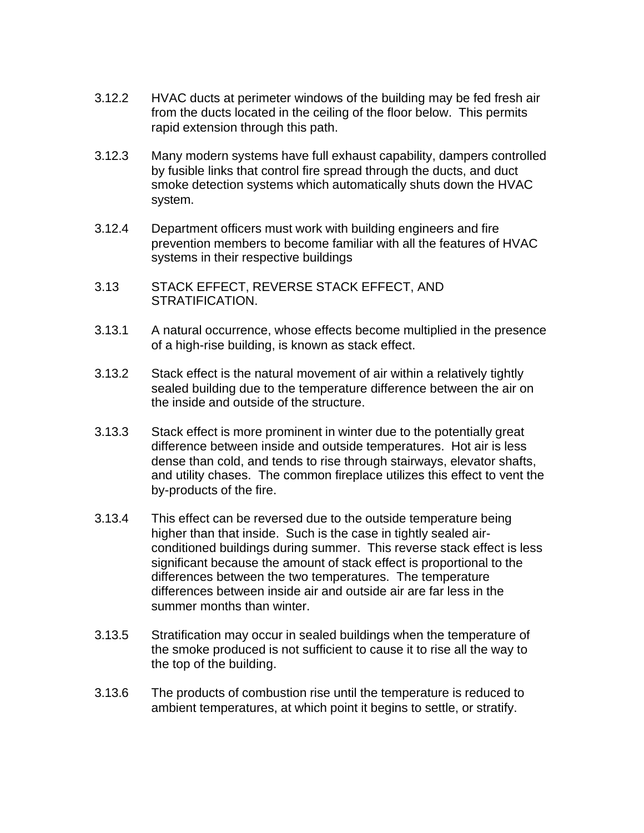- 3.12.2 HVAC ducts at perimeter windows of the building may be fed fresh air from the ducts located in the ceiling of the floor below. This permits rapid extension through this path.
- 3.12.3 Many modern systems have full exhaust capability, dampers controlled by fusible links that control fire spread through the ducts, and duct smoke detection systems which automatically shuts down the HVAC system.
- 3.12.4 Department officers must work with building engineers and fire prevention members to become familiar with all the features of HVAC systems in their respective buildings
- 3.13 STACK EFFECT, REVERSE STACK EFFECT, AND STRATIFICATION.
- 3.13.1 A natural occurrence, whose effects become multiplied in the presence of a high-rise building, is known as stack effect.
- 3.13.2 Stack effect is the natural movement of air within a relatively tightly sealed building due to the temperature difference between the air on the inside and outside of the structure.
- 3.13.3 Stack effect is more prominent in winter due to the potentially great difference between inside and outside temperatures. Hot air is less dense than cold, and tends to rise through stairways, elevator shafts, and utility chases. The common fireplace utilizes this effect to vent the by-products of the fire.
- 3.13.4 This effect can be reversed due to the outside temperature being higher than that inside. Such is the case in tightly sealed airconditioned buildings during summer. This reverse stack effect is less significant because the amount of stack effect is proportional to the differences between the two temperatures. The temperature differences between inside air and outside air are far less in the summer months than winter.
- 3.13.5 Stratification may occur in sealed buildings when the temperature of the smoke produced is not sufficient to cause it to rise all the way to the top of the building.
- 3.13.6 The products of combustion rise until the temperature is reduced to ambient temperatures, at which point it begins to settle, or stratify.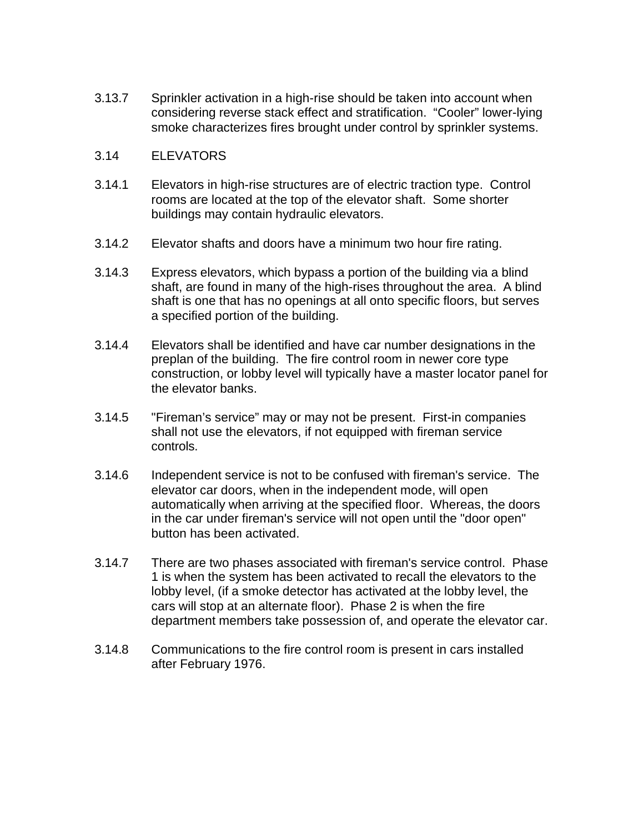3.13.7 Sprinkler activation in a high-rise should be taken into account when considering reverse stack effect and stratification. "Cooler" lower-lying smoke characterizes fires brought under control by sprinkler systems.

#### 3.14 ELEVATORS

- 3.14.1 Elevators in high-rise structures are of electric traction type. Control rooms are located at the top of the elevator shaft. Some shorter buildings may contain hydraulic elevators.
- 3.14.2 Elevator shafts and doors have a minimum two hour fire rating.
- 3.14.3 Express elevators, which bypass a portion of the building via a blind shaft, are found in many of the high-rises throughout the area. A blind shaft is one that has no openings at all onto specific floors, but serves a specified portion of the building.
- 3.14.4 Elevators shall be identified and have car number designations in the preplan of the building. The fire control room in newer core type construction, or lobby level will typically have a master locator panel for the elevator banks.
- 3.14.5 "Fireman's service" may or may not be present. First-in companies shall not use the elevators, if not equipped with fireman service controls.
- 3.14.6 Independent service is not to be confused with fireman's service. The elevator car doors, when in the independent mode, will open automatically when arriving at the specified floor. Whereas, the doors in the car under fireman's service will not open until the "door open" button has been activated.
- 3.14.7 There are two phases associated with fireman's service control. Phase 1 is when the system has been activated to recall the elevators to the lobby level, (if a smoke detector has activated at the lobby level, the cars will stop at an alternate floor). Phase 2 is when the fire department members take possession of, and operate the elevator car.
- 3.14.8 Communications to the fire control room is present in cars installed after February 1976.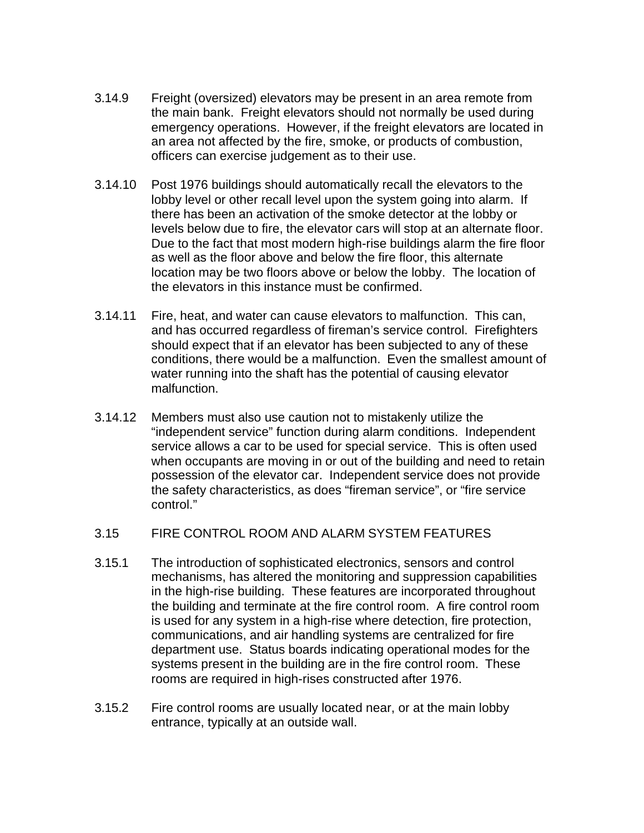- 3.14.9 Freight (oversized) elevators may be present in an area remote from the main bank. Freight elevators should not normally be used during emergency operations. However, if the freight elevators are located in an area not affected by the fire, smoke, or products of combustion, officers can exercise judgement as to their use.
- 3.14.10 Post 1976 buildings should automatically recall the elevators to the lobby level or other recall level upon the system going into alarm. If there has been an activation of the smoke detector at the lobby or levels below due to fire, the elevator cars will stop at an alternate floor. Due to the fact that most modern high-rise buildings alarm the fire floor as well as the floor above and below the fire floor, this alternate location may be two floors above or below the lobby. The location of the elevators in this instance must be confirmed.
- 3.14.11 Fire, heat, and water can cause elevators to malfunction. This can, and has occurred regardless of fireman's service control. Firefighters should expect that if an elevator has been subjected to any of these conditions, there would be a malfunction. Even the smallest amount of water running into the shaft has the potential of causing elevator malfunction.
- 3.14.12 Members must also use caution not to mistakenly utilize the "independent service" function during alarm conditions. Independent service allows a car to be used for special service. This is often used when occupants are moving in or out of the building and need to retain possession of the elevator car. Independent service does not provide the safety characteristics, as does "fireman service", or "fire service control."
- 3.15 FIRE CONTROL ROOM AND ALARM SYSTEM FEATURES
- 3.15.1 The introduction of sophisticated electronics, sensors and control mechanisms, has altered the monitoring and suppression capabilities in the high-rise building. These features are incorporated throughout the building and terminate at the fire control room. A fire control room is used for any system in a high-rise where detection, fire protection, communications, and air handling systems are centralized for fire department use. Status boards indicating operational modes for the systems present in the building are in the fire control room. These rooms are required in high-rises constructed after 1976.
- 3.15.2 Fire control rooms are usually located near, or at the main lobby entrance, typically at an outside wall.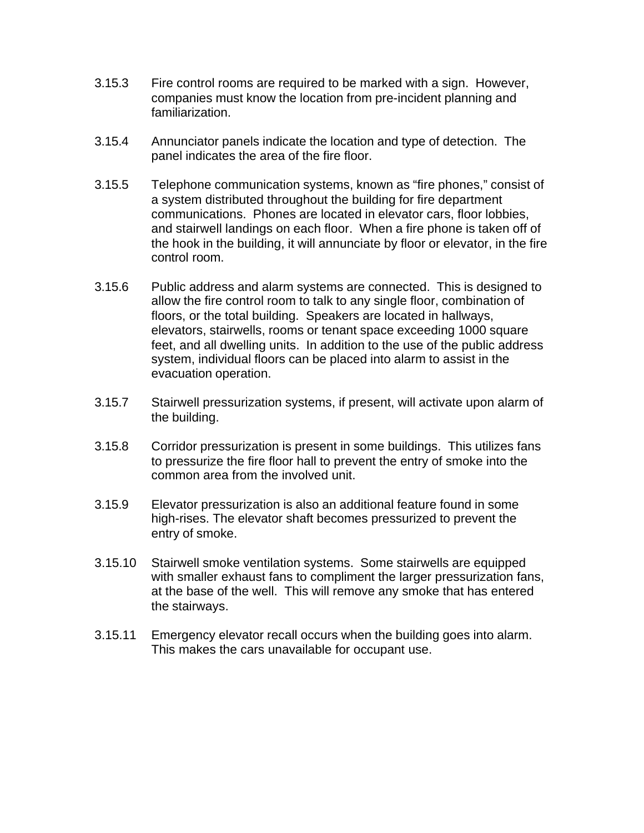- 3.15.3 Fire control rooms are required to be marked with a sign. However, companies must know the location from pre-incident planning and familiarization.
- 3.15.4 Annunciator panels indicate the location and type of detection. The panel indicates the area of the fire floor.
- 3.15.5 Telephone communication systems, known as "fire phones," consist of a system distributed throughout the building for fire department communications. Phones are located in elevator cars, floor lobbies, and stairwell landings on each floor. When a fire phone is taken off of the hook in the building, it will annunciate by floor or elevator, in the fire control room.
- 3.15.6 Public address and alarm systems are connected. This is designed to allow the fire control room to talk to any single floor, combination of floors, or the total building. Speakers are located in hallways, elevators, stairwells, rooms or tenant space exceeding 1000 square feet, and all dwelling units. In addition to the use of the public address system, individual floors can be placed into alarm to assist in the evacuation operation.
- 3.15.7 Stairwell pressurization systems, if present, will activate upon alarm of the building.
- 3.15.8 Corridor pressurization is present in some buildings. This utilizes fans to pressurize the fire floor hall to prevent the entry of smoke into the common area from the involved unit.
- 3.15.9 Elevator pressurization is also an additional feature found in some high-rises. The elevator shaft becomes pressurized to prevent the entry of smoke.
- 3.15.10 Stairwell smoke ventilation systems. Some stairwells are equipped with smaller exhaust fans to compliment the larger pressurization fans, at the base of the well. This will remove any smoke that has entered the stairways.
- 3.15.11 Emergency elevator recall occurs when the building goes into alarm. This makes the cars unavailable for occupant use.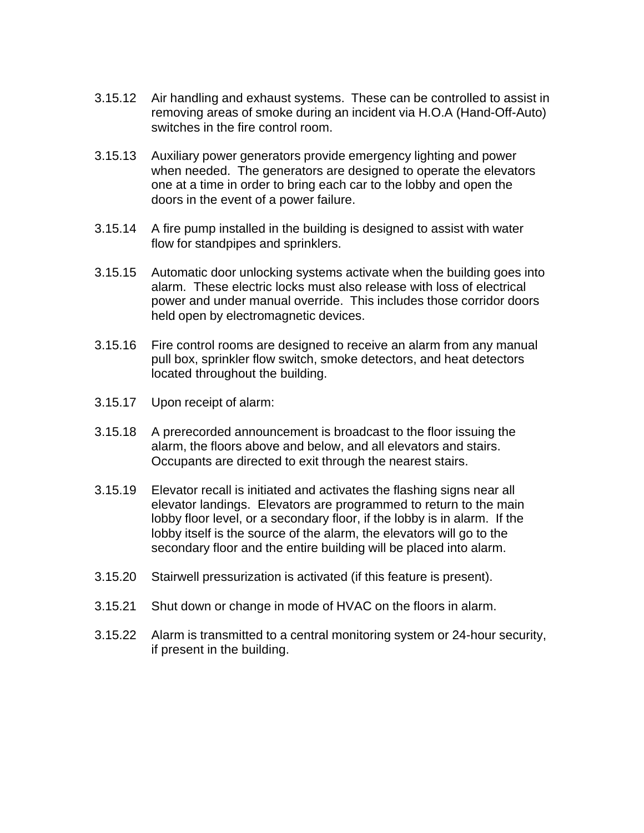- 3.15.12 Air handling and exhaust systems. These can be controlled to assist in removing areas of smoke during an incident via H.O.A (Hand-Off-Auto) switches in the fire control room.
- 3.15.13 Auxiliary power generators provide emergency lighting and power when needed. The generators are designed to operate the elevators one at a time in order to bring each car to the lobby and open the doors in the event of a power failure.
- 3.15.14 A fire pump installed in the building is designed to assist with water flow for standpipes and sprinklers.
- 3.15.15 Automatic door unlocking systems activate when the building goes into alarm. These electric locks must also release with loss of electrical power and under manual override. This includes those corridor doors held open by electromagnetic devices.
- 3.15.16 Fire control rooms are designed to receive an alarm from any manual pull box, sprinkler flow switch, smoke detectors, and heat detectors located throughout the building.
- 3.15.17 Upon receipt of alarm:
- 3.15.18 A prerecorded announcement is broadcast to the floor issuing the alarm, the floors above and below, and all elevators and stairs. Occupants are directed to exit through the nearest stairs.
- 3.15.19 Elevator recall is initiated and activates the flashing signs near all elevator landings. Elevators are programmed to return to the main lobby floor level, or a secondary floor, if the lobby is in alarm. If the lobby itself is the source of the alarm, the elevators will go to the secondary floor and the entire building will be placed into alarm.
- 3.15.20 Stairwell pressurization is activated (if this feature is present).
- 3.15.21 Shut down or change in mode of HVAC on the floors in alarm.
- 3.15.22 Alarm is transmitted to a central monitoring system or 24-hour security, if present in the building.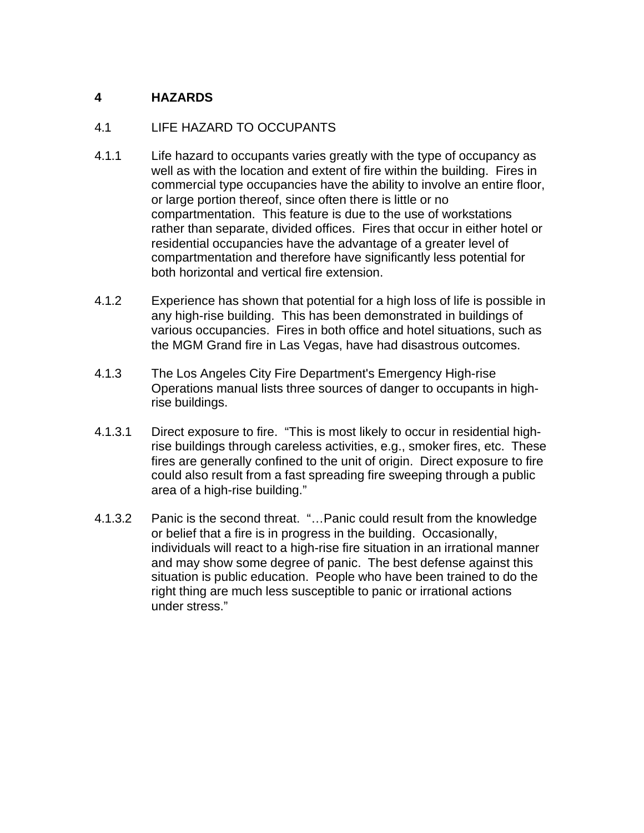# **4 HAZARDS**

### 4.1 LIFE HAZARD TO OCCUPANTS

- 4.1.1 Life hazard to occupants varies greatly with the type of occupancy as well as with the location and extent of fire within the building. Fires in commercial type occupancies have the ability to involve an entire floor, or large portion thereof, since often there is little or no compartmentation. This feature is due to the use of workstations rather than separate, divided offices. Fires that occur in either hotel or residential occupancies have the advantage of a greater level of compartmentation and therefore have significantly less potential for both horizontal and vertical fire extension.
- 4.1.2 Experience has shown that potential for a high loss of life is possible in any high-rise building. This has been demonstrated in buildings of various occupancies. Fires in both office and hotel situations, such as the MGM Grand fire in Las Vegas, have had disastrous outcomes.
- 4.1.3 The Los Angeles City Fire Department's Emergency High-rise Operations manual lists three sources of danger to occupants in highrise buildings.
- 4.1.3.1 Direct exposure to fire. "This is most likely to occur in residential highrise buildings through careless activities, e.g., smoker fires, etc. These fires are generally confined to the unit of origin. Direct exposure to fire could also result from a fast spreading fire sweeping through a public area of a high-rise building."
- 4.1.3.2 Panic is the second threat. "…Panic could result from the knowledge or belief that a fire is in progress in the building. Occasionally, individuals will react to a high-rise fire situation in an irrational manner and may show some degree of panic. The best defense against this situation is public education. People who have been trained to do the right thing are much less susceptible to panic or irrational actions under stress."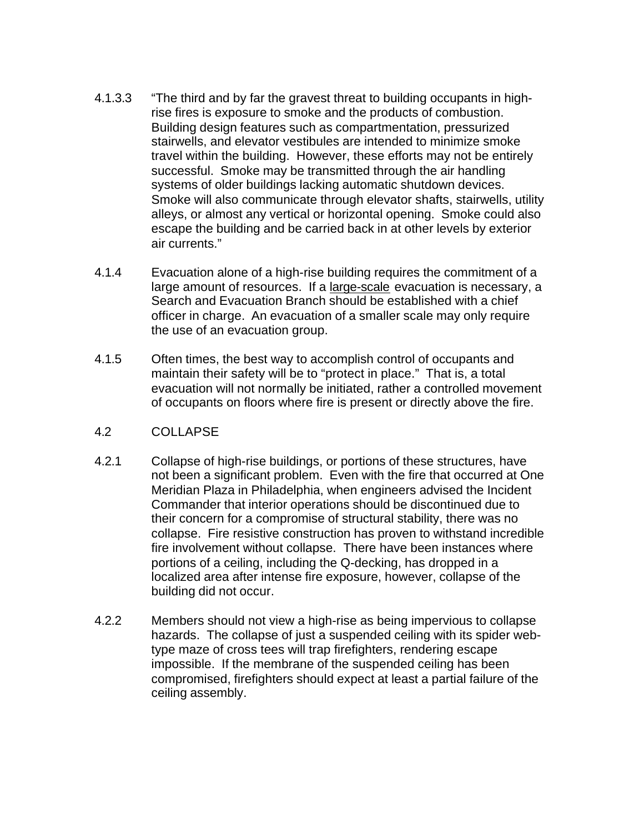- 4.1.3.3 "The third and by far the gravest threat to building occupants in highrise fires is exposure to smoke and the products of combustion. Building design features such as compartmentation, pressurized stairwells, and elevator vestibules are intended to minimize smoke travel within the building. However, these efforts may not be entirely successful. Smoke may be transmitted through the air handling systems of older buildings lacking automatic shutdown devices. Smoke will also communicate through elevator shafts, stairwells, utility alleys, or almost any vertical or horizontal opening. Smoke could also escape the building and be carried back in at other levels by exterior air currents."
- 4.1.4 Evacuation alone of a high-rise building requires the commitment of a large amount of resources. If a large-scale evacuation is necessary, a Search and Evacuation Branch should be established with a chief officer in charge. An evacuation of a smaller scale may only require the use of an evacuation group.
- 4.1.5 Often times, the best way to accomplish control of occupants and maintain their safety will be to "protect in place." That is, a total evacuation will not normally be initiated, rather a controlled movement of occupants on floors where fire is present or directly above the fire.

#### 4.2 COLLAPSE

- 4.2.1 Collapse of high-rise buildings, or portions of these structures, have not been a significant problem. Even with the fire that occurred at One Meridian Plaza in Philadelphia, when engineers advised the Incident Commander that interior operations should be discontinued due to their concern for a compromise of structural stability, there was no collapse. Fire resistive construction has proven to withstand incredible fire involvement without collapse. There have been instances where portions of a ceiling, including the Q-decking, has dropped in a localized area after intense fire exposure, however, collapse of the building did not occur.
- 4.2.2 Members should not view a high-rise as being impervious to collapse hazards. The collapse of just a suspended ceiling with its spider webtype maze of cross tees will trap firefighters, rendering escape impossible. If the membrane of the suspended ceiling has been compromised, firefighters should expect at least a partial failure of the ceiling assembly.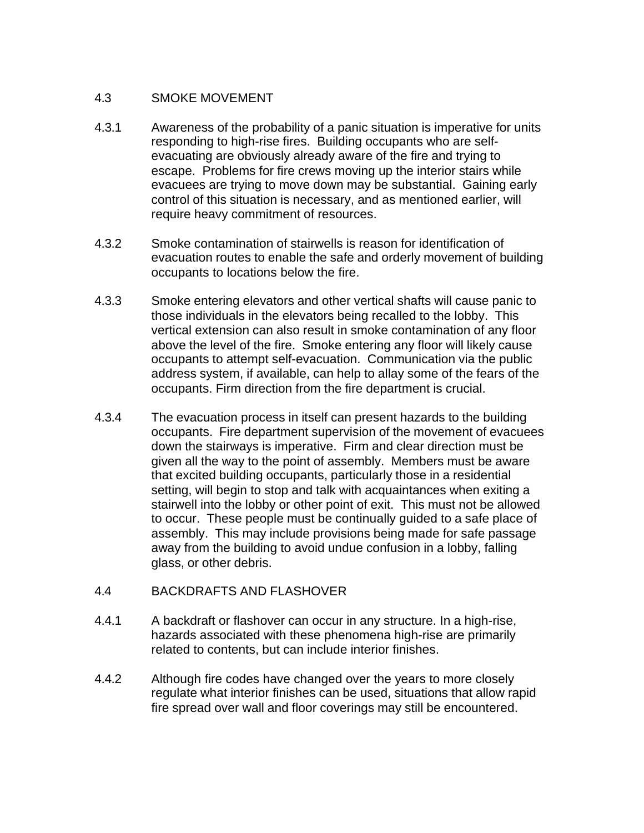### 4.3 SMOKE MOVEMENT

- 4.3.1 Awareness of the probability of a panic situation is imperative for units responding to high-rise fires. Building occupants who are selfevacuating are obviously already aware of the fire and trying to escape. Problems for fire crews moving up the interior stairs while evacuees are trying to move down may be substantial. Gaining early control of this situation is necessary, and as mentioned earlier, will require heavy commitment of resources.
- 4.3.2 Smoke contamination of stairwells is reason for identification of evacuation routes to enable the safe and orderly movement of building occupants to locations below the fire.
- 4.3.3 Smoke entering elevators and other vertical shafts will cause panic to those individuals in the elevators being recalled to the lobby. This vertical extension can also result in smoke contamination of any floor above the level of the fire. Smoke entering any floor will likely cause occupants to attempt self-evacuation. Communication via the public address system, if available, can help to allay some of the fears of the occupants. Firm direction from the fire department is crucial.
- 4.3.4 The evacuation process in itself can present hazards to the building occupants. Fire department supervision of the movement of evacuees down the stairways is imperative. Firm and clear direction must be given all the way to the point of assembly. Members must be aware that excited building occupants, particularly those in a residential setting, will begin to stop and talk with acquaintances when exiting a stairwell into the lobby or other point of exit. This must not be allowed to occur. These people must be continually guided to a safe place of assembly. This may include provisions being made for safe passage away from the building to avoid undue confusion in a lobby, falling glass, or other debris.
- 4.4 BACKDRAFTS AND FLASHOVER
- 4.4.1 A backdraft or flashover can occur in any structure. In a high-rise, hazards associated with these phenomena high-rise are primarily related to contents, but can include interior finishes.
- 4.4.2 Although fire codes have changed over the years to more closely regulate what interior finishes can be used, situations that allow rapid fire spread over wall and floor coverings may still be encountered.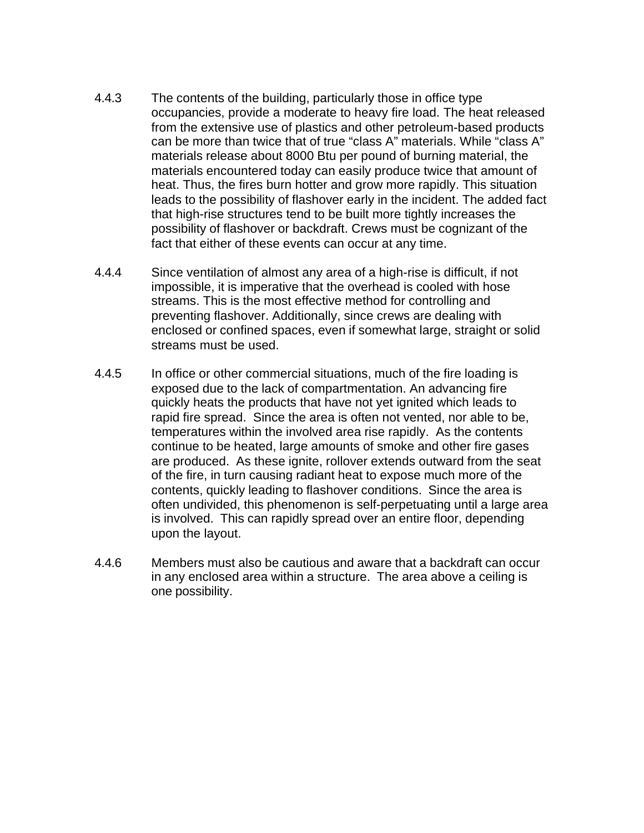- 4.4.3 The contents of the building, particularly those in office type occupancies, provide a moderate to heavy fire load. The heat released from the extensive use of plastics and other petroleum-based products can be more than twice that of true "class A" materials. While "class A" materials release about 8000 Btu per pound of burning material, the materials encountered today can easily produce twice that amount of heat. Thus, the fires burn hotter and grow more rapidly. This situation leads to the possibility of flashover early in the incident. The added fact that high-rise structures tend to be built more tightly increases the possibility of flashover or backdraft. Crews must be cognizant of the fact that either of these events can occur at any time.
- 4.4.4 Since ventilation of almost any area of a high-rise is difficult, if not impossible, it is imperative that the overhead is cooled with hose streams. This is the most effective method for controlling and preventing flashover. Additionally, since crews are dealing with enclosed or confined spaces, even if somewhat large, straight or solid streams must be used.
- 4.4.5 In office or other commercial situations, much of the fire loading is exposed due to the lack of compartmentation. An advancing fire quickly heats the products that have not yet ignited which leads to rapid fire spread. Since the area is often not vented, nor able to be, temperatures within the involved area rise rapidly. As the contents continue to be heated, large amounts of smoke and other fire gases are produced. As these ignite, rollover extends outward from the seat of the fire, in turn causing radiant heat to expose much more of the contents, quickly leading to flashover conditions. Since the area is often undivided, this phenomenon is self-perpetuating until a large area is involved. This can rapidly spread over an entire floor, depending upon the layout.
- 4.4.6 Members must also be cautious and aware that a backdraft can occur in any enclosed area within a structure. The area above a ceiling is one possibility.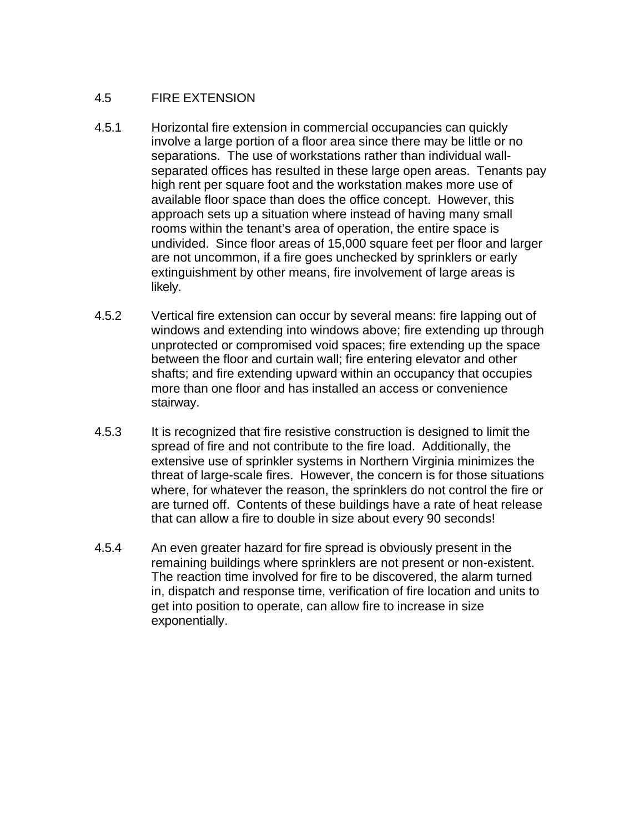## 4.5 FIRE EXTENSION

- 4.5.1 Horizontal fire extension in commercial occupancies can quickly involve a large portion of a floor area since there may be little or no separations. The use of workstations rather than individual wallseparated offices has resulted in these large open areas. Tenants pay high rent per square foot and the workstation makes more use of available floor space than does the office concept. However, this approach sets up a situation where instead of having many small rooms within the tenant's area of operation, the entire space is undivided. Since floor areas of 15,000 square feet per floor and larger are not uncommon, if a fire goes unchecked by sprinklers or early extinguishment by other means, fire involvement of large areas is likely.
- 4.5.2 Vertical fire extension can occur by several means: fire lapping out of windows and extending into windows above; fire extending up through unprotected or compromised void spaces; fire extending up the space between the floor and curtain wall; fire entering elevator and other shafts; and fire extending upward within an occupancy that occupies more than one floor and has installed an access or convenience stairway.
- 4.5.3 It is recognized that fire resistive construction is designed to limit the spread of fire and not contribute to the fire load. Additionally, the extensive use of sprinkler systems in Northern Virginia minimizes the threat of large-scale fires. However, the concern is for those situations where, for whatever the reason, the sprinklers do not control the fire or are turned off. Contents of these buildings have a rate of heat release that can allow a fire to double in size about every 90 seconds!
- 4.5.4 An even greater hazard for fire spread is obviously present in the remaining buildings where sprinklers are not present or non-existent. The reaction time involved for fire to be discovered, the alarm turned in, dispatch and response time, verification of fire location and units to get into position to operate, can allow fire to increase in size exponentially.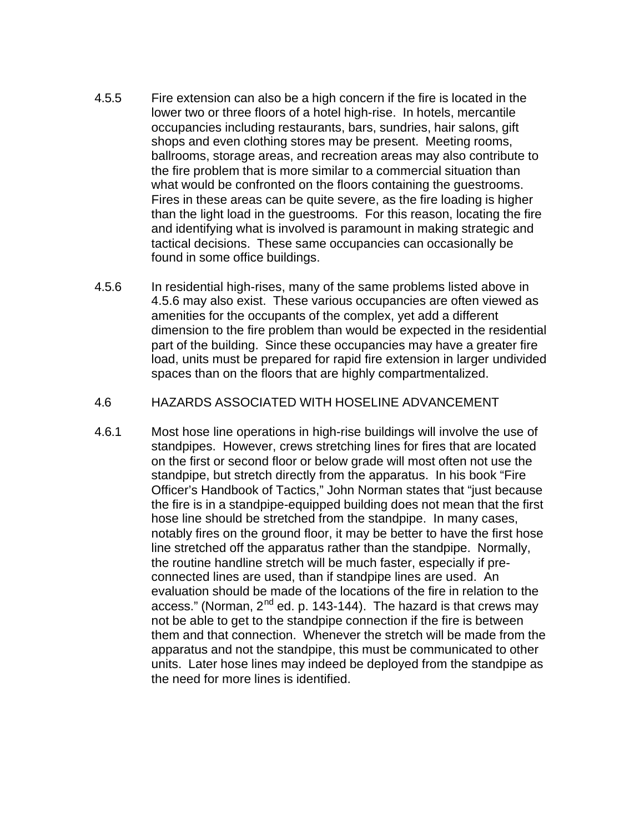- 4.5.5 Fire extension can also be a high concern if the fire is located in the lower two or three floors of a hotel high-rise. In hotels, mercantile occupancies including restaurants, bars, sundries, hair salons, gift shops and even clothing stores may be present. Meeting rooms, ballrooms, storage areas, and recreation areas may also contribute to the fire problem that is more similar to a commercial situation than what would be confronted on the floors containing the guestrooms. Fires in these areas can be quite severe, as the fire loading is higher than the light load in the guestrooms. For this reason, locating the fire and identifying what is involved is paramount in making strategic and tactical decisions. These same occupancies can occasionally be found in some office buildings.
- 4.5.6 In residential high-rises, many of the same problems listed above in 4.5.6 may also exist. These various occupancies are often viewed as amenities for the occupants of the complex, yet add a different dimension to the fire problem than would be expected in the residential part of the building. Since these occupancies may have a greater fire load, units must be prepared for rapid fire extension in larger undivided spaces than on the floors that are highly compartmentalized.

#### 4.6 HAZARDS ASSOCIATED WITH HOSELINE ADVANCEMENT

4.6.1 Most hose line operations in high-rise buildings will involve the use of standpipes. However, crews stretching lines for fires that are located on the first or second floor or below grade will most often not use the standpipe, but stretch directly from the apparatus. In his book "Fire Officer's Handbook of Tactics," John Norman states that "just because the fire is in a standpipe-equipped building does not mean that the first hose line should be stretched from the standpipe. In many cases, notably fires on the ground floor, it may be better to have the first hose line stretched off the apparatus rather than the standpipe. Normally, the routine handline stretch will be much faster, especially if preconnected lines are used, than if standpipe lines are used. An evaluation should be made of the locations of the fire in relation to the access." (Norman,  $2^{nd}$  ed. p. 143-144). The hazard is that crews may not be able to get to the standpipe connection if the fire is between them and that connection. Whenever the stretch will be made from the apparatus and not the standpipe, this must be communicated to other units. Later hose lines may indeed be deployed from the standpipe as the need for more lines is identified.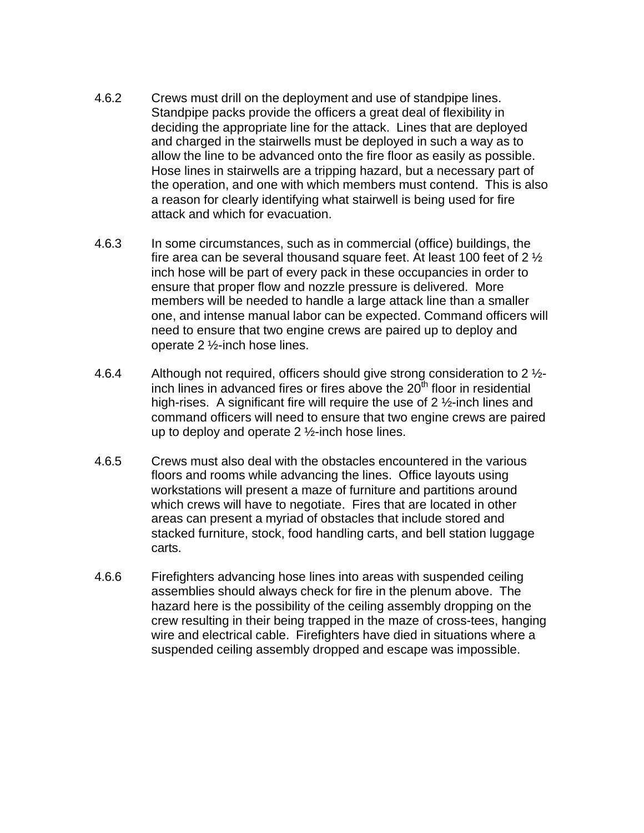- 4.6.2 Crews must drill on the deployment and use of standpipe lines. Standpipe packs provide the officers a great deal of flexibility in deciding the appropriate line for the attack. Lines that are deployed and charged in the stairwells must be deployed in such a way as to allow the line to be advanced onto the fire floor as easily as possible. Hose lines in stairwells are a tripping hazard, but a necessary part of the operation, and one with which members must contend. This is also a reason for clearly identifying what stairwell is being used for fire attack and which for evacuation.
- 4.6.3 In some circumstances, such as in commercial (office) buildings, the fire area can be several thousand square feet. At least 100 feet of 2 ½ inch hose will be part of every pack in these occupancies in order to ensure that proper flow and nozzle pressure is delivered. More members will be needed to handle a large attack line than a smaller one, and intense manual labor can be expected. Command officers will need to ensure that two engine crews are paired up to deploy and operate 2 ½-inch hose lines.
- 4.6.4 Although not required, officers should give strong consideration to 2  $\frac{1}{2}$ inch lines in advanced fires or fires above the  $20<sup>th</sup>$  floor in residential high-rises. A significant fire will require the use of 2 ½-inch lines and command officers will need to ensure that two engine crews are paired up to deploy and operate  $2\frac{1}{2}$ -inch hose lines.
- 4.6.5 Crews must also deal with the obstacles encountered in the various floors and rooms while advancing the lines. Office layouts using workstations will present a maze of furniture and partitions around which crews will have to negotiate. Fires that are located in other areas can present a myriad of obstacles that include stored and stacked furniture, stock, food handling carts, and bell station luggage carts.
- 4.6.6 Firefighters advancing hose lines into areas with suspended ceiling assemblies should always check for fire in the plenum above. The hazard here is the possibility of the ceiling assembly dropping on the crew resulting in their being trapped in the maze of cross-tees, hanging wire and electrical cable. Firefighters have died in situations where a suspended ceiling assembly dropped and escape was impossible.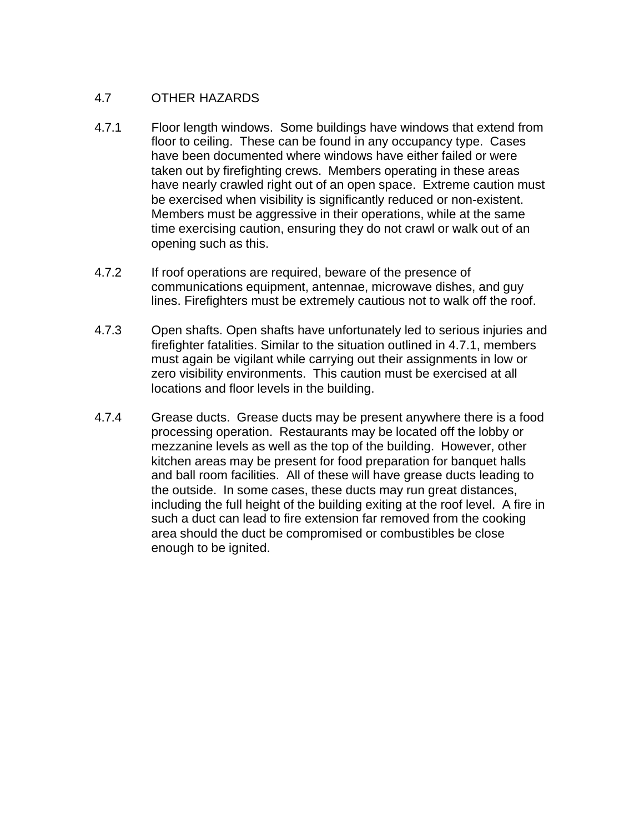## 4.7 OTHER HAZARDS

- 4.7.1 Floor length windows. Some buildings have windows that extend from floor to ceiling. These can be found in any occupancy type. Cases have been documented where windows have either failed or were taken out by firefighting crews. Members operating in these areas have nearly crawled right out of an open space. Extreme caution must be exercised when visibility is significantly reduced or non-existent. Members must be aggressive in their operations, while at the same time exercising caution, ensuring they do not crawl or walk out of an opening such as this.
- 4.7.2 If roof operations are required, beware of the presence of communications equipment, antennae, microwave dishes, and guy lines. Firefighters must be extremely cautious not to walk off the roof.
- 4.7.3 Open shafts. Open shafts have unfortunately led to serious injuries and firefighter fatalities. Similar to the situation outlined in 4.7.1, members must again be vigilant while carrying out their assignments in low or zero visibility environments. This caution must be exercised at all locations and floor levels in the building.
- 4.7.4 Grease ducts. Grease ducts may be present anywhere there is a food processing operation. Restaurants may be located off the lobby or mezzanine levels as well as the top of the building. However, other kitchen areas may be present for food preparation for banquet halls and ball room facilities. All of these will have grease ducts leading to the outside. In some cases, these ducts may run great distances, including the full height of the building exiting at the roof level. A fire in such a duct can lead to fire extension far removed from the cooking area should the duct be compromised or combustibles be close enough to be ignited.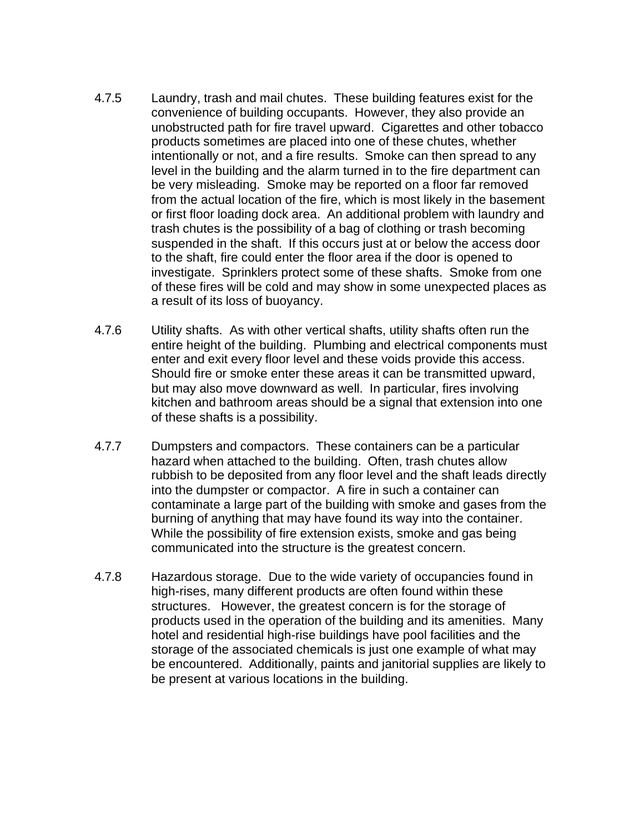- 4.7.5 Laundry, trash and mail chutes. These building features exist for the convenience of building occupants. However, they also provide an unobstructed path for fire travel upward. Cigarettes and other tobacco products sometimes are placed into one of these chutes, whether intentionally or not, and a fire results. Smoke can then spread to any level in the building and the alarm turned in to the fire department can be very misleading. Smoke may be reported on a floor far removed from the actual location of the fire, which is most likely in the basement or first floor loading dock area. An additional problem with laundry and trash chutes is the possibility of a bag of clothing or trash becoming suspended in the shaft. If this occurs just at or below the access door to the shaft, fire could enter the floor area if the door is opened to investigate. Sprinklers protect some of these shafts. Smoke from one of these fires will be cold and may show in some unexpected places as a result of its loss of buoyancy.
- 4.7.6 Utility shafts. As with other vertical shafts, utility shafts often run the entire height of the building. Plumbing and electrical components must enter and exit every floor level and these voids provide this access. Should fire or smoke enter these areas it can be transmitted upward, but may also move downward as well. In particular, fires involving kitchen and bathroom areas should be a signal that extension into one of these shafts is a possibility.
- 4.7.7 Dumpsters and compactors. These containers can be a particular hazard when attached to the building. Often, trash chutes allow rubbish to be deposited from any floor level and the shaft leads directly into the dumpster or compactor. A fire in such a container can contaminate a large part of the building with smoke and gases from the burning of anything that may have found its way into the container. While the possibility of fire extension exists, smoke and gas being communicated into the structure is the greatest concern.
- 4.7.8 Hazardous storage. Due to the wide variety of occupancies found in high-rises, many different products are often found within these structures. However, the greatest concern is for the storage of products used in the operation of the building and its amenities. Many hotel and residential high-rise buildings have pool facilities and the storage of the associated chemicals is just one example of what may be encountered. Additionally, paints and janitorial supplies are likely to be present at various locations in the building.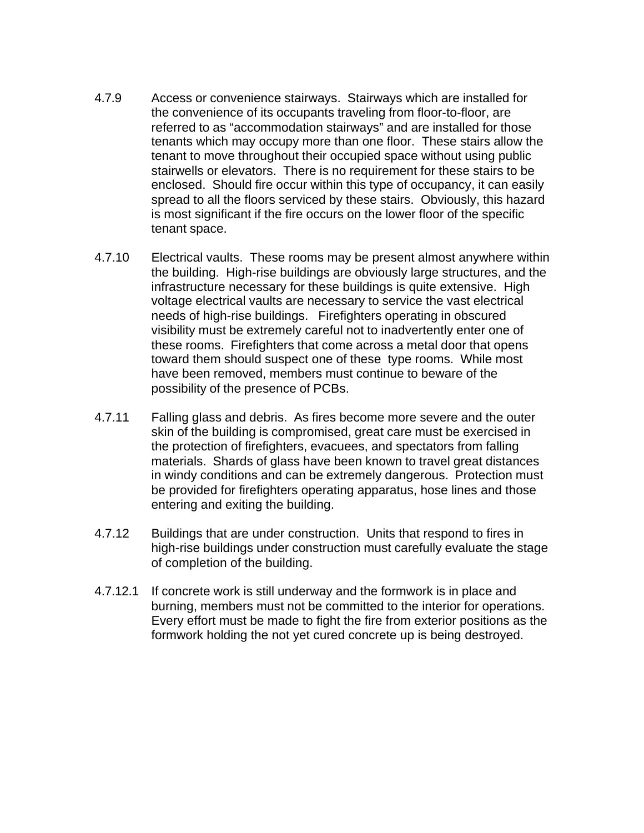- 4.7.9 Access or convenience stairways. Stairways which are installed for the convenience of its occupants traveling from floor-to-floor, are referred to as "accommodation stairways" and are installed for those tenants which may occupy more than one floor. These stairs allow the tenant to move throughout their occupied space without using public stairwells or elevators. There is no requirement for these stairs to be enclosed. Should fire occur within this type of occupancy, it can easily spread to all the floors serviced by these stairs. Obviously, this hazard is most significant if the fire occurs on the lower floor of the specific tenant space.
- 4.7.10 Electrical vaults. These rooms may be present almost anywhere within the building. High-rise buildings are obviously large structures, and the infrastructure necessary for these buildings is quite extensive. High voltage electrical vaults are necessary to service the vast electrical needs of high-rise buildings. Firefighters operating in obscured visibility must be extremely careful not to inadvertently enter one of these rooms. Firefighters that come across a metal door that opens toward them should suspect one of these type rooms. While most have been removed, members must continue to beware of the possibility of the presence of PCBs.
- 4.7.11 Falling glass and debris. As fires become more severe and the outer skin of the building is compromised, great care must be exercised in the protection of firefighters, evacuees, and spectators from falling materials. Shards of glass have been known to travel great distances in windy conditions and can be extremely dangerous. Protection must be provided for firefighters operating apparatus, hose lines and those entering and exiting the building.
- 4.7.12 Buildings that are under construction. Units that respond to fires in high-rise buildings under construction must carefully evaluate the stage of completion of the building.
- 4.7.12.1 If concrete work is still underway and the formwork is in place and burning, members must not be committed to the interior for operations. Every effort must be made to fight the fire from exterior positions as the formwork holding the not yet cured concrete up is being destroyed.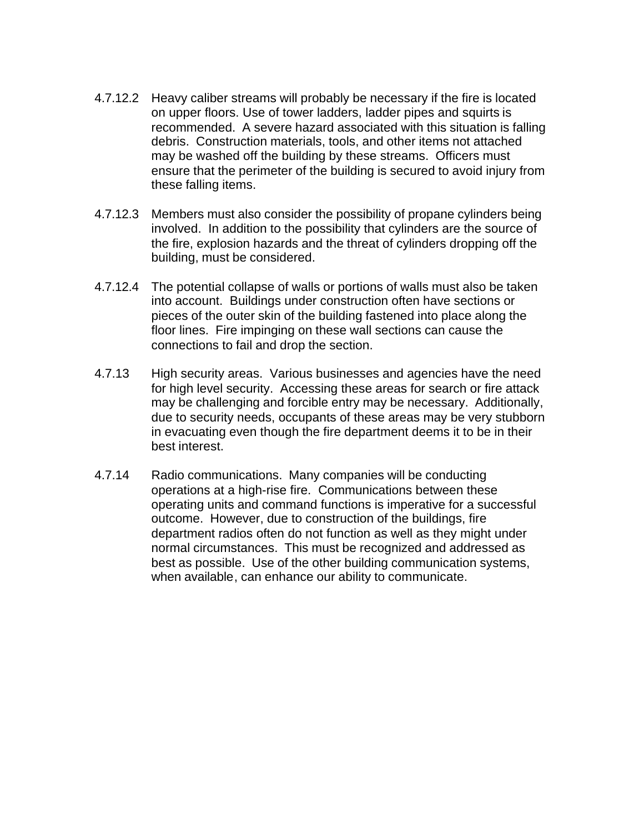- 4.7.12.2 Heavy caliber streams will probably be necessary if the fire is located on upper floors. Use of tower ladders, ladder pipes and squirts is recommended. A severe hazard associated with this situation is falling debris. Construction materials, tools, and other items not attached may be washed off the building by these streams. Officers must ensure that the perimeter of the building is secured to avoid injury from these falling items.
- 4.7.12.3 Members must also consider the possibility of propane cylinders being involved. In addition to the possibility that cylinders are the source of the fire, explosion hazards and the threat of cylinders dropping off the building, must be considered.
- 4.7.12.4 The potential collapse of walls or portions of walls must also be taken into account. Buildings under construction often have sections or pieces of the outer skin of the building fastened into place along the floor lines. Fire impinging on these wall sections can cause the connections to fail and drop the section.
- 4.7.13 High security areas. Various businesses and agencies have the need for high level security. Accessing these areas for search or fire attack may be challenging and forcible entry may be necessary. Additionally, due to security needs, occupants of these areas may be very stubborn in evacuating even though the fire department deems it to be in their best interest.
- 4.7.14 Radio communications. Many companies will be conducting operations at a high-rise fire. Communications between these operating units and command functions is imperative for a successful outcome. However, due to construction of the buildings, fire department radios often do not function as well as they might under normal circumstances. This must be recognized and addressed as best as possible. Use of the other building communication systems, when available, can enhance our ability to communicate.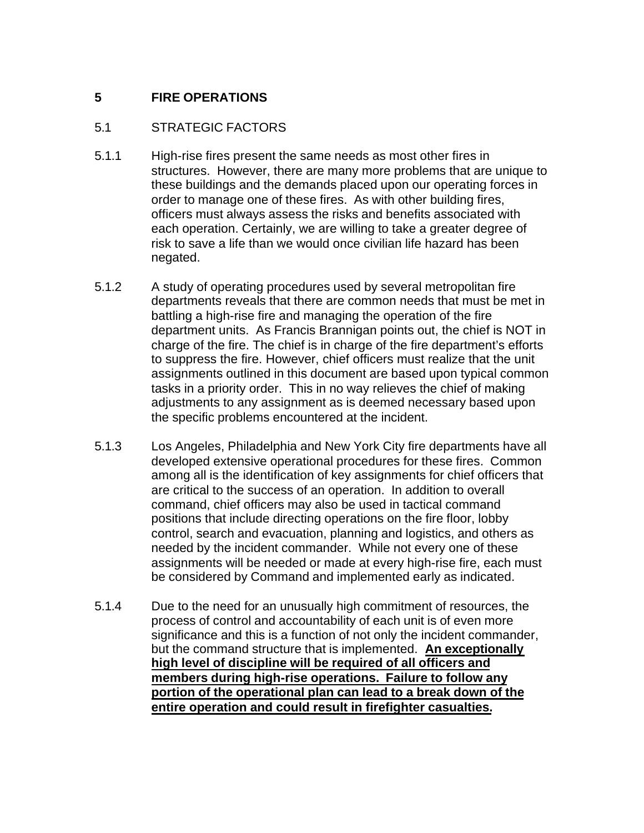# **5 FIRE OPERATIONS**

### 5.1 STRATEGIC FACTORS

- 5.1.1 High-rise fires present the same needs as most other fires in structures. However, there are many more problems that are unique to these buildings and the demands placed upon our operating forces in order to manage one of these fires. As with other building fires, officers must always assess the risks and benefits associated with each operation. Certainly, we are willing to take a greater degree of risk to save a life than we would once civilian life hazard has been negated.
- 5.1.2 A study of operating procedures used by several metropolitan fire departments reveals that there are common needs that must be met in battling a high-rise fire and managing the operation of the fire department units. As Francis Brannigan points out, the chief is NOT in charge of the fire. The chief is in charge of the fire department's efforts to suppress the fire. However, chief officers must realize that the unit assignments outlined in this document are based upon typical common tasks in a priority order. This in no way relieves the chief of making adjustments to any assignment as is deemed necessary based upon the specific problems encountered at the incident.
- 5.1.3 Los Angeles, Philadelphia and New York City fire departments have all developed extensive operational procedures for these fires. Common among all is the identification of key assignments for chief officers that are critical to the success of an operation. In addition to overall command, chief officers may also be used in tactical command positions that include directing operations on the fire floor, lobby control, search and evacuation, planning and logistics, and others as needed by the incident commander. While not every one of these assignments will be needed or made at every high-rise fire, each must be considered by Command and implemented early as indicated.
- 5.1.4 Due to the need for an unusually high commitment of resources, the process of control and accountability of each unit is of even more significance and this is a function of not only the incident commander, but the command structure that is implemented. **An exceptionally high level of discipline will be required of all officers and members during high-rise operations. Failure to follow any portion of the operational plan can lead to a break down of the entire operation and could result in firefighter casualties.**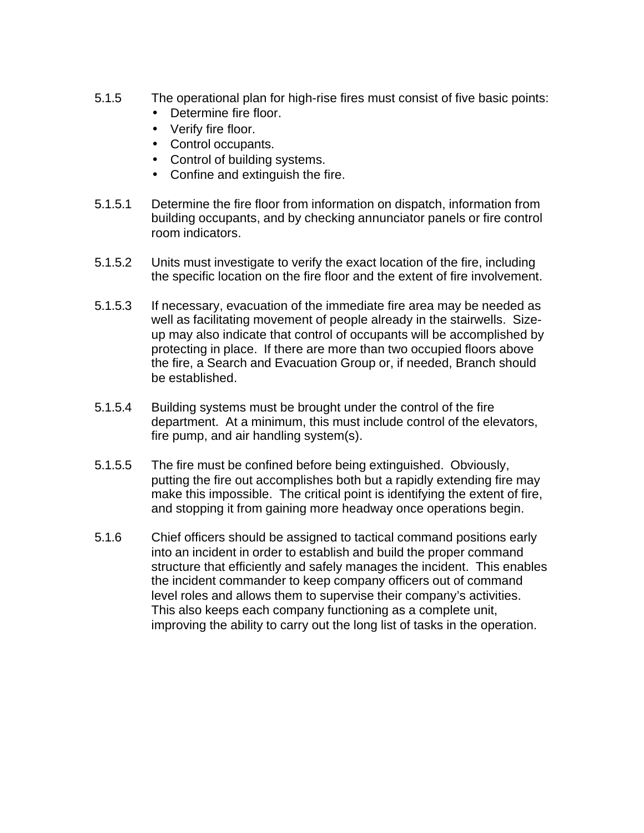- 5.1.5 The operational plan for high-rise fires must consist of five basic points:
	- Determine fire floor.
	- Verify fire floor.
	- Control occupants.
	- Control of building systems.
	- Confine and extinguish the fire.
- 5.1.5.1 Determine the fire floor from information on dispatch, information from building occupants, and by checking annunciator panels or fire control room indicators.
- 5.1.5.2 Units must investigate to verify the exact location of the fire, including the specific location on the fire floor and the extent of fire involvement.
- 5.1.5.3 If necessary, evacuation of the immediate fire area may be needed as well as facilitating movement of people already in the stairwells. Sizeup may also indicate that control of occupants will be accomplished by protecting in place. If there are more than two occupied floors above the fire, a Search and Evacuation Group or, if needed, Branch should be established.
- 5.1.5.4 Building systems must be brought under the control of the fire department. At a minimum, this must include control of the elevators, fire pump, and air handling system(s).
- 5.1.5.5 The fire must be confined before being extinguished. Obviously, putting the fire out accomplishes both but a rapidly extending fire may make this impossible. The critical point is identifying the extent of fire, and stopping it from gaining more headway once operations begin.
- 5.1.6 Chief officers should be assigned to tactical command positions early into an incident in order to establish and build the proper command structure that efficiently and safely manages the incident. This enables the incident commander to keep company officers out of command level roles and allows them to supervise their company's activities. This also keeps each company functioning as a complete unit, improving the ability to carry out the long list of tasks in the operation.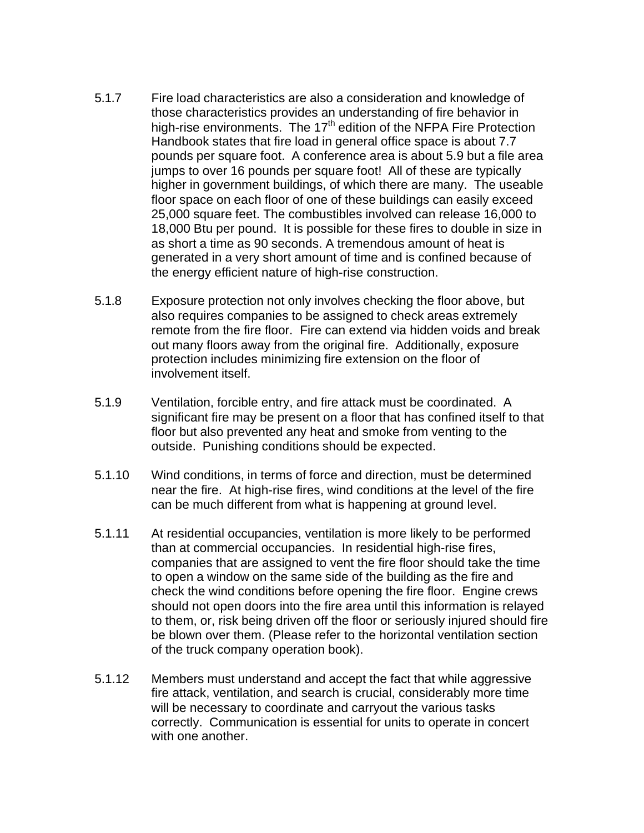- 5.1.7 Fire load characteristics are also a consideration and knowledge of those characteristics provides an understanding of fire behavior in high-rise environments. The 17<sup>th</sup> edition of the NFPA Fire Protection Handbook states that fire load in general office space is about 7.7 pounds per square foot. A conference area is about 5.9 but a file area jumps to over 16 pounds per square foot! All of these are typically higher in government buildings, of which there are many. The useable floor space on each floor of one of these buildings can easily exceed 25,000 square feet. The combustibles involved can release 16,000 to 18,000 Btu per pound. It is possible for these fires to double in size in as short a time as 90 seconds. A tremendous amount of heat is generated in a very short amount of time and is confined because of the energy efficient nature of high-rise construction.
- 5.1.8 Exposure protection not only involves checking the floor above, but also requires companies to be assigned to check areas extremely remote from the fire floor. Fire can extend via hidden voids and break out many floors away from the original fire. Additionally, exposure protection includes minimizing fire extension on the floor of involvement itself.
- 5.1.9 Ventilation, forcible entry, and fire attack must be coordinated. A significant fire may be present on a floor that has confined itself to that floor but also prevented any heat and smoke from venting to the outside. Punishing conditions should be expected.
- 5.1.10 Wind conditions, in terms of force and direction, must be determined near the fire. At high-rise fires, wind conditions at the level of the fire can be much different from what is happening at ground level.
- 5.1.11 At residential occupancies, ventilation is more likely to be performed than at commercial occupancies. In residential high-rise fires, companies that are assigned to vent the fire floor should take the time to open a window on the same side of the building as the fire and check the wind conditions before opening the fire floor. Engine crews should not open doors into the fire area until this information is relayed to them, or, risk being driven off the floor or seriously injured should fire be blown over them. (Please refer to the horizontal ventilation section of the truck company operation book).
- 5.1.12 Members must understand and accept the fact that while aggressive fire attack, ventilation, and search is crucial, considerably more time will be necessary to coordinate and carryout the various tasks correctly. Communication is essential for units to operate in concert with one another.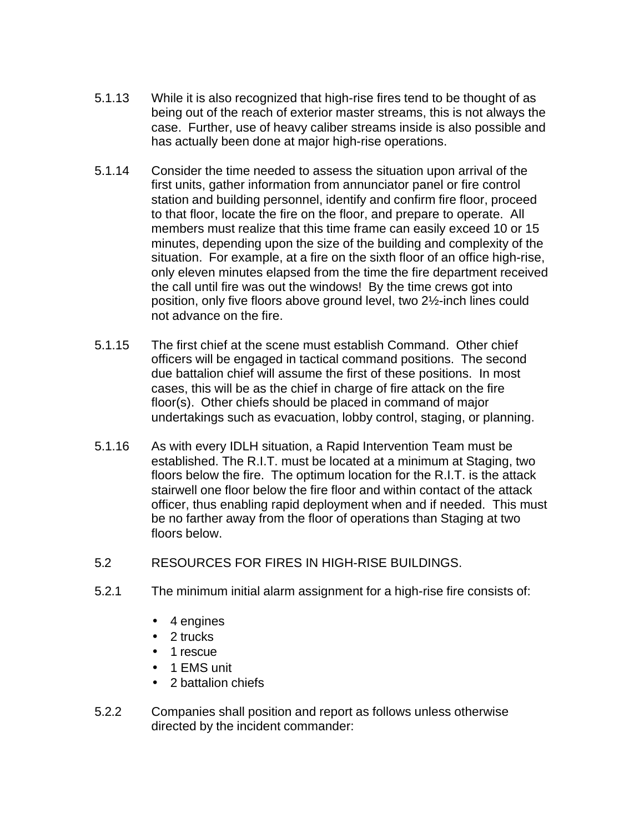- 5.1.13 While it is also recognized that high-rise fires tend to be thought of as being out of the reach of exterior master streams, this is not always the case. Further, use of heavy caliber streams inside is also possible and has actually been done at major high-rise operations.
- 5.1.14 Consider the time needed to assess the situation upon arrival of the first units, gather information from annunciator panel or fire control station and building personnel, identify and confirm fire floor, proceed to that floor, locate the fire on the floor, and prepare to operate. All members must realize that this time frame can easily exceed 10 or 15 minutes, depending upon the size of the building and complexity of the situation. For example, at a fire on the sixth floor of an office high-rise, only eleven minutes elapsed from the time the fire department received the call until fire was out the windows! By the time crews got into position, only five floors above ground level, two 2½-inch lines could not advance on the fire.
- 5.1.15 The first chief at the scene must establish Command. Other chief officers will be engaged in tactical command positions. The second due battalion chief will assume the first of these positions. In most cases, this will be as the chief in charge of fire attack on the fire floor(s). Other chiefs should be placed in command of major undertakings such as evacuation, lobby control, staging, or planning.
- 5.1.16 As with every IDLH situation, a Rapid Intervention Team must be established. The R.I.T. must be located at a minimum at Staging, two floors below the fire. The optimum location for the R.I.T. is the attack stairwell one floor below the fire floor and within contact of the attack officer, thus enabling rapid deployment when and if needed. This must be no farther away from the floor of operations than Staging at two floors below.
- 5.2 RESOURCES FOR FIRES IN HIGH-RISE BUILDINGS.
- 5.2.1 The minimum initial alarm assignment for a high-rise fire consists of:
	- 4 engines
	- 2 trucks
	- 1 rescue
	- 1 EMS unit
	- 2 battalion chiefs
- 5.2.2 Companies shall position and report as follows unless otherwise directed by the incident commander: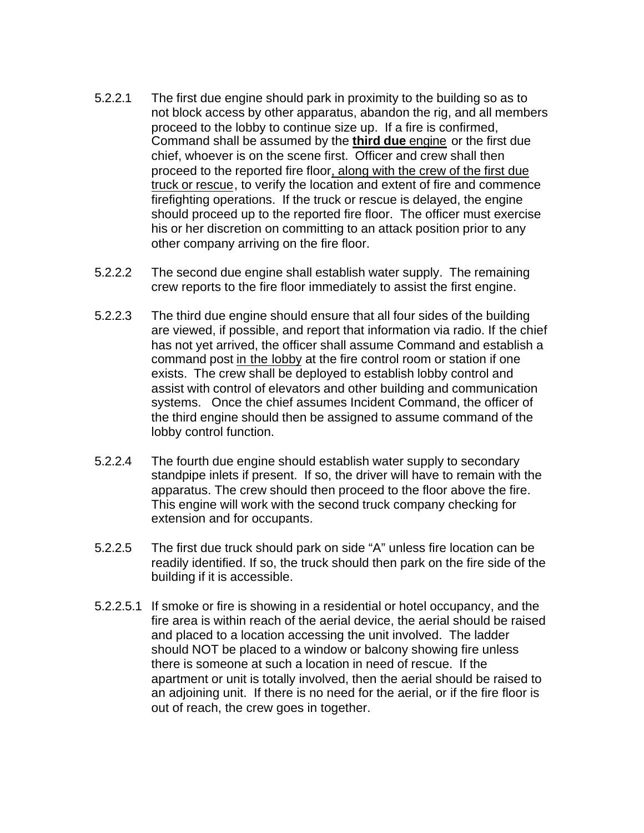- 5.2.2.1 The first due engine should park in proximity to the building so as to not block access by other apparatus, abandon the rig, and all members proceed to the lobby to continue size up. If a fire is confirmed, Command shall be assumed by the **third due** engine or the first due chief, whoever is on the scene first. Officer and crew shall then proceed to the reported fire floor, along with the crew of the first due truck or rescue, to verify the location and extent of fire and commence firefighting operations. If the truck or rescue is delayed, the engine should proceed up to the reported fire floor. The officer must exercise his or her discretion on committing to an attack position prior to any other company arriving on the fire floor.
- 5.2.2.2 The second due engine shall establish water supply. The remaining crew reports to the fire floor immediately to assist the first engine.
- 5.2.2.3 The third due engine should ensure that all four sides of the building are viewed, if possible, and report that information via radio. If the chief has not yet arrived, the officer shall assume Command and establish a command post in the lobby at the fire control room or station if one exists. The crew shall be deployed to establish lobby control and assist with control of elevators and other building and communication systems. Once the chief assumes Incident Command, the officer of the third engine should then be assigned to assume command of the lobby control function.
- 5.2.2.4 The fourth due engine should establish water supply to secondary standpipe inlets if present. If so, the driver will have to remain with the apparatus. The crew should then proceed to the floor above the fire. This engine will work with the second truck company checking for extension and for occupants.
- 5.2.2.5 The first due truck should park on side "A" unless fire location can be readily identified. If so, the truck should then park on the fire side of the building if it is accessible.
- 5.2.2.5.1 If smoke or fire is showing in a residential or hotel occupancy, and the fire area is within reach of the aerial device, the aerial should be raised and placed to a location accessing the unit involved. The ladder should NOT be placed to a window or balcony showing fire unless there is someone at such a location in need of rescue. If the apartment or unit is totally involved, then the aerial should be raised to an adjoining unit. If there is no need for the aerial, or if the fire floor is out of reach, the crew goes in together.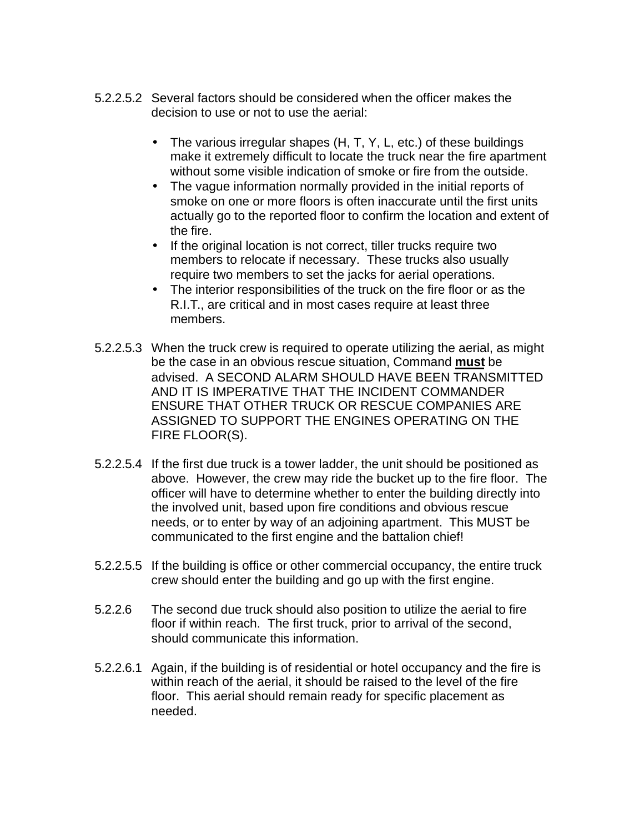- 5.2.2.5.2 Several factors should be considered when the officer makes the decision to use or not to use the aerial:
	- The various irregular shapes (H, T, Y, L, etc.) of these buildings make it extremely difficult to locate the truck near the fire apartment without some visible indication of smoke or fire from the outside.
	- The vague information normally provided in the initial reports of smoke on one or more floors is often inaccurate until the first units actually go to the reported floor to confirm the location and extent of the fire.
	- If the original location is not correct, tiller trucks require two members to relocate if necessary. These trucks also usually require two members to set the jacks for aerial operations.
	- The interior responsibilities of the truck on the fire floor or as the R.I.T., are critical and in most cases require at least three members.
- 5.2.2.5.3 When the truck crew is required to operate utilizing the aerial, as might be the case in an obvious rescue situation, Command **must** be advised. A SECOND ALARM SHOULD HAVE BEEN TRANSMITTED AND IT IS IMPERATIVE THAT THE INCIDENT COMMANDER ENSURE THAT OTHER TRUCK OR RESCUE COMPANIES ARE ASSIGNED TO SUPPORT THE ENGINES OPERATING ON THE FIRE FLOOR(S).
- 5.2.2.5.4 If the first due truck is a tower ladder, the unit should be positioned as above. However, the crew may ride the bucket up to the fire floor. The officer will have to determine whether to enter the building directly into the involved unit, based upon fire conditions and obvious rescue needs, or to enter by way of an adjoining apartment. This MUST be communicated to the first engine and the battalion chief!
- 5.2.2.5.5 If the building is office or other commercial occupancy, the entire truck crew should enter the building and go up with the first engine.
- 5.2.2.6 The second due truck should also position to utilize the aerial to fire floor if within reach. The first truck, prior to arrival of the second, should communicate this information.
- 5.2.2.6.1 Again, if the building is of residential or hotel occupancy and the fire is within reach of the aerial, it should be raised to the level of the fire floor. This aerial should remain ready for specific placement as needed.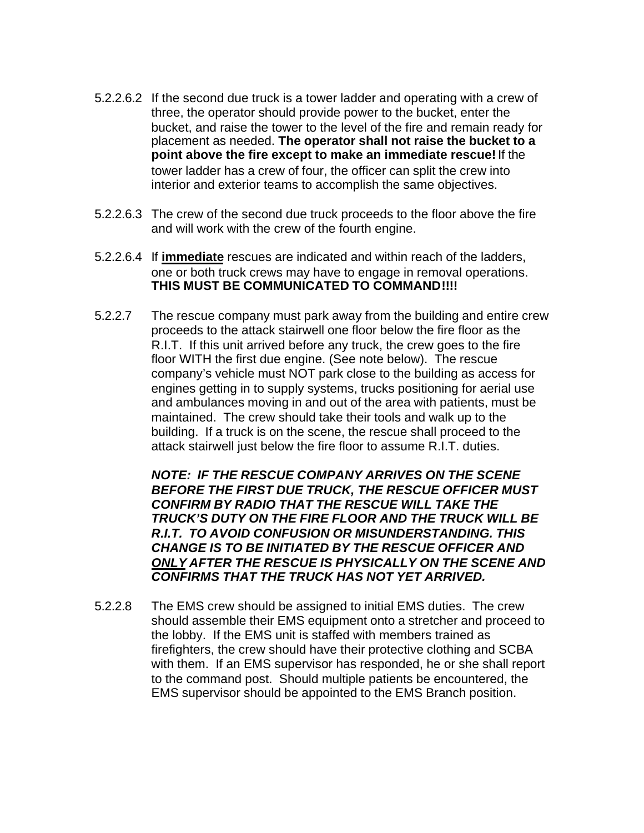- 5.2.2.6.2 If the second due truck is a tower ladder and operating with a crew of three, the operator should provide power to the bucket, enter the bucket, and raise the tower to the level of the fire and remain ready for placement as needed. **The operator shall not raise the bucket to a point above the fire except to make an immediate rescue!** If the tower ladder has a crew of four, the officer can split the crew into interior and exterior teams to accomplish the same objectives.
- 5.2.2.6.3 The crew of the second due truck proceeds to the floor above the fire and will work with the crew of the fourth engine.
- 5.2.2.6.4 If **immediate** rescues are indicated and within reach of the ladders, one or both truck crews may have to engage in removal operations. **THIS MUST BE COMMUNICATED TO COMMAND!!!!**
- 5.2.2.7 The rescue company must park away from the building and entire crew proceeds to the attack stairwell one floor below the fire floor as the R.I.T. If this unit arrived before any truck, the crew goes to the fire floor WITH the first due engine. (See note below). The rescue company's vehicle must NOT park close to the building as access for engines getting in to supply systems, trucks positioning for aerial use and ambulances moving in and out of the area with patients, must be maintained. The crew should take their tools and walk up to the building. If a truck is on the scene, the rescue shall proceed to the attack stairwell just below the fire floor to assume R.I.T. duties.

*NOTE: IF THE RESCUE COMPANY ARRIVES ON THE SCENE BEFORE THE FIRST DUE TRUCK, THE RESCUE OFFICER MUST CONFIRM BY RADIO THAT THE RESCUE WILL TAKE THE TRUCK'S DUTY ON THE FIRE FLOOR AND THE TRUCK WILL BE R.I.T. TO AVOID CONFUSION OR MISUNDERSTANDING. THIS CHANGE IS TO BE INITIATED BY THE RESCUE OFFICER AND ONLY AFTER THE RESCUE IS PHYSICALLY ON THE SCENE AND CONFIRMS THAT THE TRUCK HAS NOT YET ARRIVED.*

5.2.2.8 The EMS crew should be assigned to initial EMS duties. The crew should assemble their EMS equipment onto a stretcher and proceed to the lobby. If the EMS unit is staffed with members trained as firefighters, the crew should have their protective clothing and SCBA with them. If an EMS supervisor has responded, he or she shall report to the command post. Should multiple patients be encountered, the EMS supervisor should be appointed to the EMS Branch position.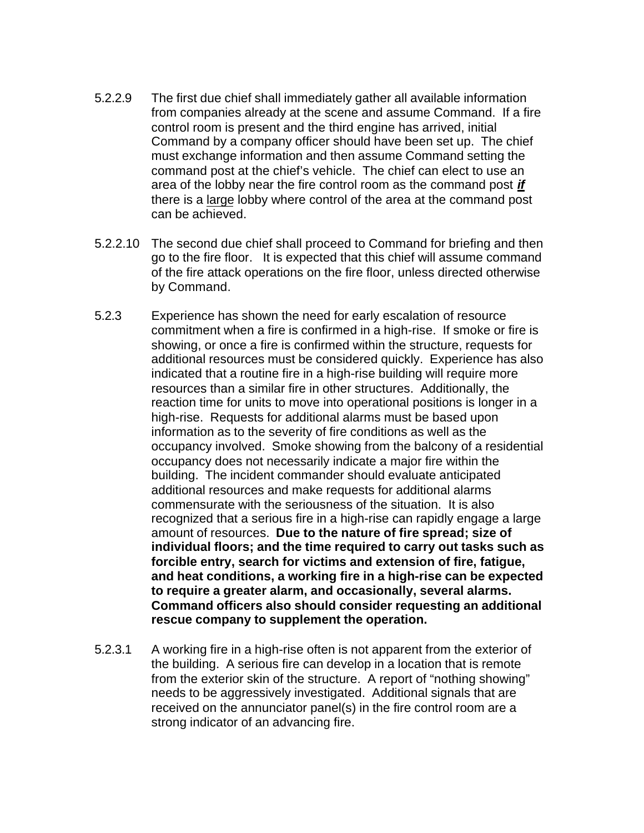- 5.2.2.9 The first due chief shall immediately gather all available information from companies already at the scene and assume Command. If a fire control room is present and the third engine has arrived, initial Command by a company officer should have been set up. The chief must exchange information and then assume Command setting the command post at the chief's vehicle. The chief can elect to use an area of the lobby near the fire control room as the command post *if* there is a large lobby where control of the area at the command post can be achieved.
- 5.2.2.10 The second due chief shall proceed to Command for briefing and then go to the fire floor. It is expected that this chief will assume command of the fire attack operations on the fire floor, unless directed otherwise by Command.
- 5.2.3 Experience has shown the need for early escalation of resource commitment when a fire is confirmed in a high-rise. If smoke or fire is showing, or once a fire is confirmed within the structure, requests for additional resources must be considered quickly. Experience has also indicated that a routine fire in a high-rise building will require more resources than a similar fire in other structures. Additionally, the reaction time for units to move into operational positions is longer in a high-rise. Requests for additional alarms must be based upon information as to the severity of fire conditions as well as the occupancy involved. Smoke showing from the balcony of a residential occupancy does not necessarily indicate a major fire within the building. The incident commander should evaluate anticipated additional resources and make requests for additional alarms commensurate with the seriousness of the situation. It is also recognized that a serious fire in a high-rise can rapidly engage a large amount of resources. **Due to the nature of fire spread; size of individual floors; and the time required to carry out tasks such as forcible entry, search for victims and extension of fire, fatigue, and heat conditions, a working fire in a high-rise can be expected to require a greater alarm, and occasionally, several alarms. Command officers also should consider requesting an additional rescue company to supplement the operation.**
- 5.2.3.1 A working fire in a high-rise often is not apparent from the exterior of the building. A serious fire can develop in a location that is remote from the exterior skin of the structure. A report of "nothing showing" needs to be aggressively investigated. Additional signals that are received on the annunciator panel(s) in the fire control room are a strong indicator of an advancing fire.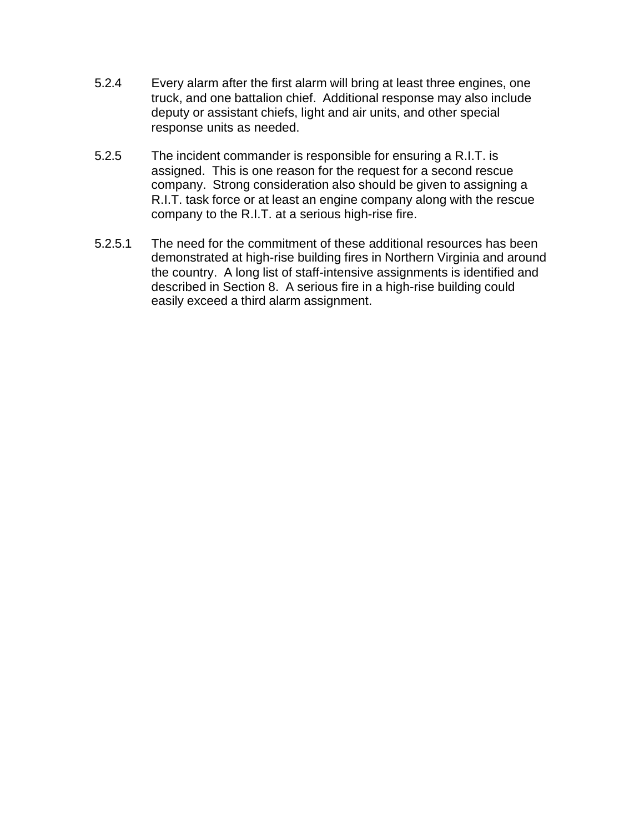- 5.2.4 Every alarm after the first alarm will bring at least three engines, one truck, and one battalion chief. Additional response may also include deputy or assistant chiefs, light and air units, and other special response units as needed.
- 5.2.5 The incident commander is responsible for ensuring a R.I.T. is assigned. This is one reason for the request for a second rescue company. Strong consideration also should be given to assigning a R.I.T. task force or at least an engine company along with the rescue company to the R.I.T. at a serious high-rise fire.
- 5.2.5.1 The need for the commitment of these additional resources has been demonstrated at high-rise building fires in Northern Virginia and around the country. A long list of staff-intensive assignments is identified and described in Section 8. A serious fire in a high-rise building could easily exceed a third alarm assignment.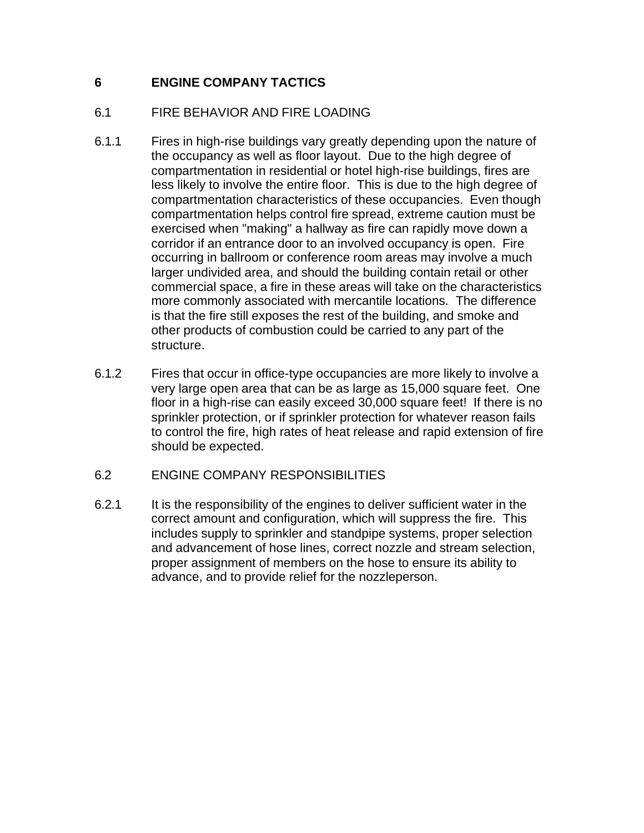# **6 ENGINE COMPANY TACTICS**

### 6.1 FIRE BEHAVIOR AND FIRE LOADING

- 6.1.1 Fires in high-rise buildings vary greatly depending upon the nature of the occupancy as well as floor layout. Due to the high degree of compartmentation in residential or hotel high-rise buildings, fires are less likely to involve the entire floor. This is due to the high degree of compartmentation characteristics of these occupancies. Even though compartmentation helps control fire spread, extreme caution must be exercised when "making" a hallway as fire can rapidly move down a corridor if an entrance door to an involved occupancy is open. Fire occurring in ballroom or conference room areas may involve a much larger undivided area, and should the building contain retail or other commercial space, a fire in these areas will take on the characteristics more commonly associated with mercantile locations. The difference is that the fire still exposes the rest of the building, and smoke and other products of combustion could be carried to any part of the structure.
- 6.1.2 Fires that occur in office-type occupancies are more likely to involve a very large open area that can be as large as 15,000 square feet. One floor in a high-rise can easily exceed 30,000 square feet! If there is no sprinkler protection, or if sprinkler protection for whatever reason fails to control the fire, high rates of heat release and rapid extension of fire should be expected.

### 6.2 ENGINE COMPANY RESPONSIBILITIES

6.2.1 It is the responsibility of the engines to deliver sufficient water in the correct amount and configuration, which will suppress the fire. This includes supply to sprinkler and standpipe systems, proper selection and advancement of hose lines, correct nozzle and stream selection, proper assignment of members on the hose to ensure its ability to advance, and to provide relief for the nozzleperson.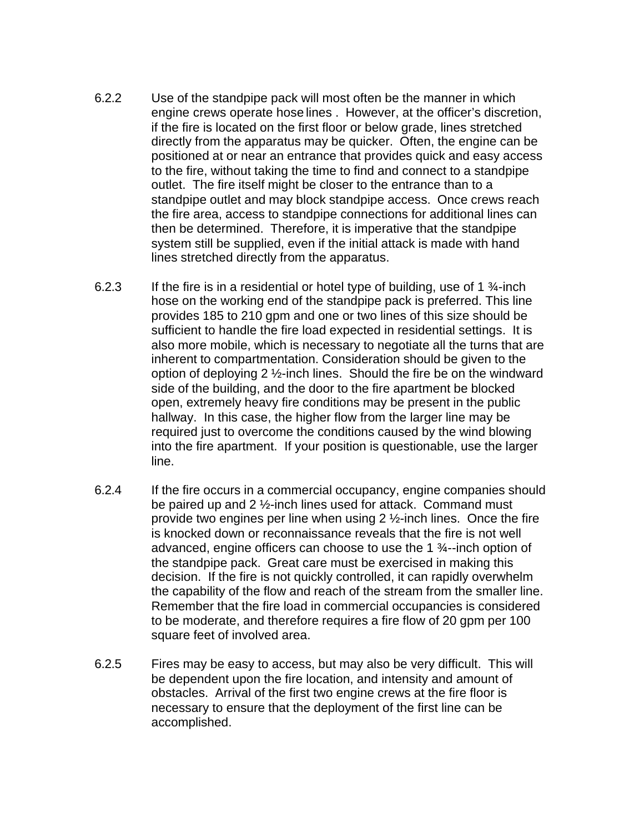- 6.2.2 Use of the standpipe pack will most often be the manner in which engine crews operate hose lines . However, at the officer's discretion, if the fire is located on the first floor or below grade, lines stretched directly from the apparatus may be quicker. Often, the engine can be positioned at or near an entrance that provides quick and easy access to the fire, without taking the time to find and connect to a standpipe outlet. The fire itself might be closer to the entrance than to a standpipe outlet and may block standpipe access. Once crews reach the fire area, access to standpipe connections for additional lines can then be determined. Therefore, it is imperative that the standpipe system still be supplied, even if the initial attack is made with hand lines stretched directly from the apparatus.
- 6.2.3 If the fire is in a residential or hotel type of building, use of 1  $\frac{3}{4}$ -inch hose on the working end of the standpipe pack is preferred. This line provides 185 to 210 gpm and one or two lines of this size should be sufficient to handle the fire load expected in residential settings. It is also more mobile, which is necessary to negotiate all the turns that are inherent to compartmentation. Consideration should be given to the option of deploying 2 ½-inch lines. Should the fire be on the windward side of the building, and the door to the fire apartment be blocked open, extremely heavy fire conditions may be present in the public hallway. In this case, the higher flow from the larger line may be required just to overcome the conditions caused by the wind blowing into the fire apartment. If your position is questionable, use the larger line.
- 6.2.4 If the fire occurs in a commercial occupancy, engine companies should be paired up and 2 ½-inch lines used for attack. Command must provide two engines per line when using  $2 \frac{1}{2}$ -inch lines. Once the fire is knocked down or reconnaissance reveals that the fire is not well advanced, engine officers can choose to use the 1 ¾--inch option of the standpipe pack. Great care must be exercised in making this decision. If the fire is not quickly controlled, it can rapidly overwhelm the capability of the flow and reach of the stream from the smaller line. Remember that the fire load in commercial occupancies is considered to be moderate, and therefore requires a fire flow of 20 gpm per 100 square feet of involved area.
- 6.2.5 Fires may be easy to access, but may also be very difficult. This will be dependent upon the fire location, and intensity and amount of obstacles. Arrival of the first two engine crews at the fire floor is necessary to ensure that the deployment of the first line can be accomplished.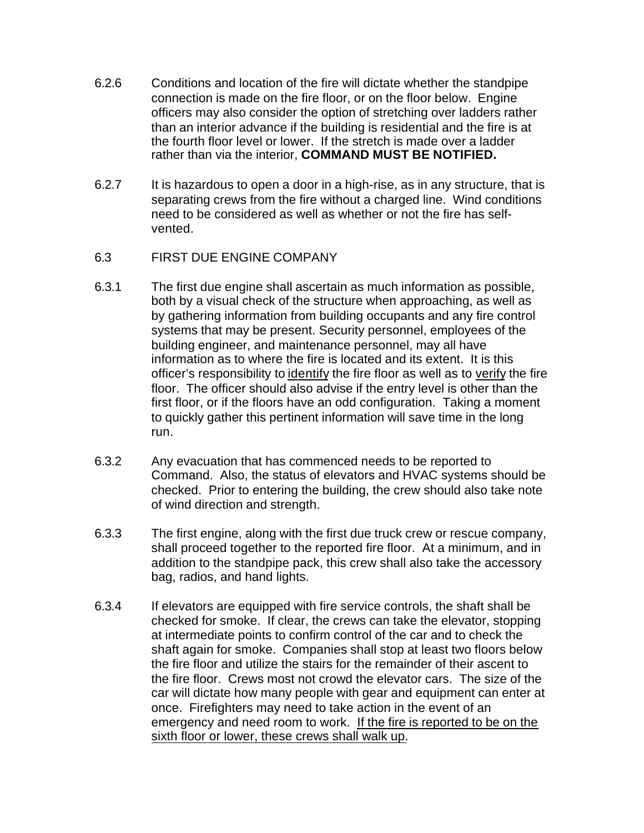- 6.2.6 Conditions and location of the fire will dictate whether the standpipe connection is made on the fire floor, or on the floor below. Engine officers may also consider the option of stretching over ladders rather than an interior advance if the building is residential and the fire is at the fourth floor level or lower. If the stretch is made over a ladder rather than via the interior, **COMMAND MUST BE NOTIFIED.**
- 6.2.7 It is hazardous to open a door in a high-rise, as in any structure, that is separating crews from the fire without a charged line. Wind conditions need to be considered as well as whether or not the fire has selfvented.
- 6.3 FIRST DUE ENGINE COMPANY
- 6.3.1 The first due engine shall ascertain as much information as possible, both by a visual check of the structure when approaching, as well as by gathering information from building occupants and any fire control systems that may be present. Security personnel, employees of the building engineer, and maintenance personnel, may all have information as to where the fire is located and its extent. It is this officer's responsibility to identify the fire floor as well as to verify the fire floor. The officer should also advise if the entry level is other than the first floor, or if the floors have an odd configuration. Taking a moment to quickly gather this pertinent information will save time in the long run.
- 6.3.2 Any evacuation that has commenced needs to be reported to Command. Also, the status of elevators and HVAC systems should be checked. Prior to entering the building, the crew should also take note of wind direction and strength.
- 6.3.3 The first engine, along with the first due truck crew or rescue company, shall proceed together to the reported fire floor. At a minimum, and in addition to the standpipe pack, this crew shall also take the accessory bag, radios, and hand lights.
- 6.3.4 If elevators are equipped with fire service controls, the shaft shall be checked for smoke. If clear, the crews can take the elevator, stopping at intermediate points to confirm control of the car and to check the shaft again for smoke. Companies shall stop at least two floors below the fire floor and utilize the stairs for the remainder of their ascent to the fire floor. Crews most not crowd the elevator cars. The size of the car will dictate how many people with gear and equipment can enter at once. Firefighters may need to take action in the event of an emergency and need room to work. If the fire is reported to be on the sixth floor or lower, these crews shall walk up.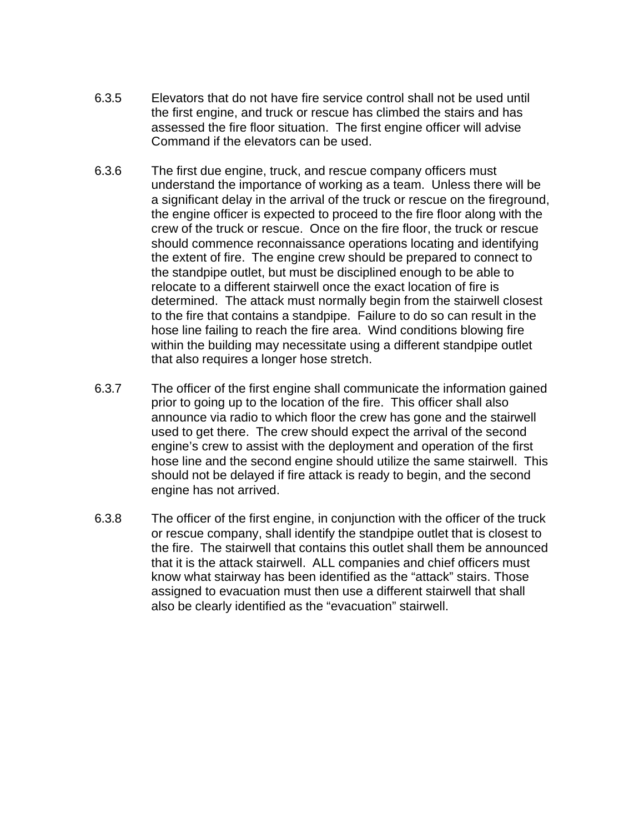- 6.3.5 Elevators that do not have fire service control shall not be used until the first engine, and truck or rescue has climbed the stairs and has assessed the fire floor situation. The first engine officer will advise Command if the elevators can be used.
- 6.3.6 The first due engine, truck, and rescue company officers must understand the importance of working as a team. Unless there will be a significant delay in the arrival of the truck or rescue on the fireground, the engine officer is expected to proceed to the fire floor along with the crew of the truck or rescue. Once on the fire floor, the truck or rescue should commence reconnaissance operations locating and identifying the extent of fire. The engine crew should be prepared to connect to the standpipe outlet, but must be disciplined enough to be able to relocate to a different stairwell once the exact location of fire is determined. The attack must normally begin from the stairwell closest to the fire that contains a standpipe. Failure to do so can result in the hose line failing to reach the fire area. Wind conditions blowing fire within the building may necessitate using a different standpipe outlet that also requires a longer hose stretch.
- 6.3.7 The officer of the first engine shall communicate the information gained prior to going up to the location of the fire. This officer shall also announce via radio to which floor the crew has gone and the stairwell used to get there. The crew should expect the arrival of the second engine's crew to assist with the deployment and operation of the first hose line and the second engine should utilize the same stairwell. This should not be delayed if fire attack is ready to begin, and the second engine has not arrived.
- 6.3.8 The officer of the first engine, in conjunction with the officer of the truck or rescue company, shall identify the standpipe outlet that is closest to the fire. The stairwell that contains this outlet shall them be announced that it is the attack stairwell. ALL companies and chief officers must know what stairway has been identified as the "attack" stairs. Those assigned to evacuation must then use a different stairwell that shall also be clearly identified as the "evacuation" stairwell.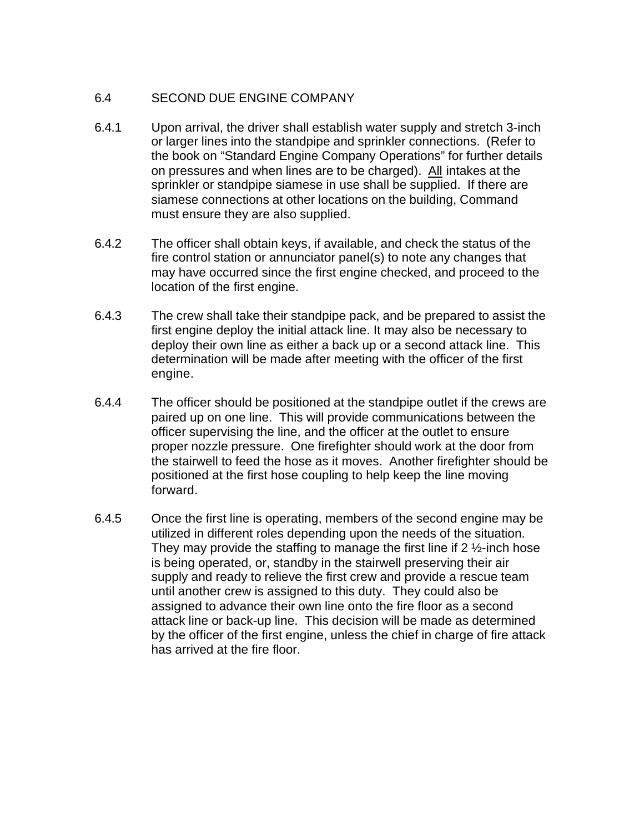### 6.4 SECOND DUE ENGINE COMPANY

- 6.4.1 Upon arrival, the driver shall establish water supply and stretch 3-inch or larger lines into the standpipe and sprinkler connections. (Refer to the book on "Standard Engine Company Operations" for further details on pressures and when lines are to be charged). All intakes at the sprinkler or standpipe siamese in use shall be supplied. If there are siamese connections at other locations on the building, Command must ensure they are also supplied.
- 6.4.2 The officer shall obtain keys, if available, and check the status of the fire control station or annunciator panel(s) to note any changes that may have occurred since the first engine checked, and proceed to the location of the first engine.
- 6.4.3 The crew shall take their standpipe pack, and be prepared to assist the first engine deploy the initial attack line. It may also be necessary to deploy their own line as either a back up or a second attack line. This determination will be made after meeting with the officer of the first engine.
- 6.4.4 The officer should be positioned at the standpipe outlet if the crews are paired up on one line. This will provide communications between the officer supervising the line, and the officer at the outlet to ensure proper nozzle pressure. One firefighter should work at the door from the stairwell to feed the hose as it moves. Another firefighter should be positioned at the first hose coupling to help keep the line moving forward.
- 6.4.5 Once the first line is operating, members of the second engine may be utilized in different roles depending upon the needs of the situation. They may provide the staffing to manage the first line if  $2 \frac{1}{2}$ -inch hose is being operated, or, standby in the stairwell preserving their air supply and ready to relieve the first crew and provide a rescue team until another crew is assigned to this duty. They could also be assigned to advance their own line onto the fire floor as a second attack line or back-up line. This decision will be made as determined by the officer of the first engine, unless the chief in charge of fire attack has arrived at the fire floor.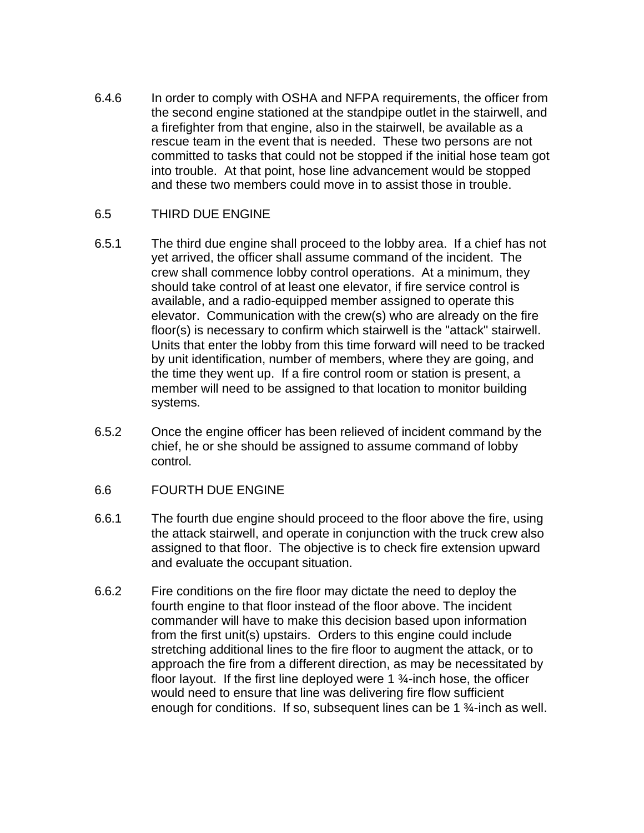6.4.6 In order to comply with OSHA and NFPA requirements, the officer from the second engine stationed at the standpipe outlet in the stairwell, and a firefighter from that engine, also in the stairwell, be available as a rescue team in the event that is needed. These two persons are not committed to tasks that could not be stopped if the initial hose team got into trouble. At that point, hose line advancement would be stopped and these two members could move in to assist those in trouble.

#### 6.5 THIRD DUE ENGINE

- 6.5.1 The third due engine shall proceed to the lobby area. If a chief has not yet arrived, the officer shall assume command of the incident. The crew shall commence lobby control operations. At a minimum, they should take control of at least one elevator, if fire service control is available, and a radio-equipped member assigned to operate this elevator. Communication with the crew(s) who are already on the fire floor(s) is necessary to confirm which stairwell is the "attack" stairwell. Units that enter the lobby from this time forward will need to be tracked by unit identification, number of members, where they are going, and the time they went up. If a fire control room or station is present, a member will need to be assigned to that location to monitor building systems.
- 6.5.2 Once the engine officer has been relieved of incident command by the chief, he or she should be assigned to assume command of lobby control.
- 6.6 FOURTH DUE ENGINE
- 6.6.1 The fourth due engine should proceed to the floor above the fire, using the attack stairwell, and operate in conjunction with the truck crew also assigned to that floor. The objective is to check fire extension upward and evaluate the occupant situation.
- 6.6.2 Fire conditions on the fire floor may dictate the need to deploy the fourth engine to that floor instead of the floor above. The incident commander will have to make this decision based upon information from the first unit(s) upstairs. Orders to this engine could include stretching additional lines to the fire floor to augment the attack, or to approach the fire from a different direction, as may be necessitated by floor layout. If the first line deployed were 1 ¾-inch hose, the officer would need to ensure that line was delivering fire flow sufficient enough for conditions. If so, subsequent lines can be 1 ¾-inch as well.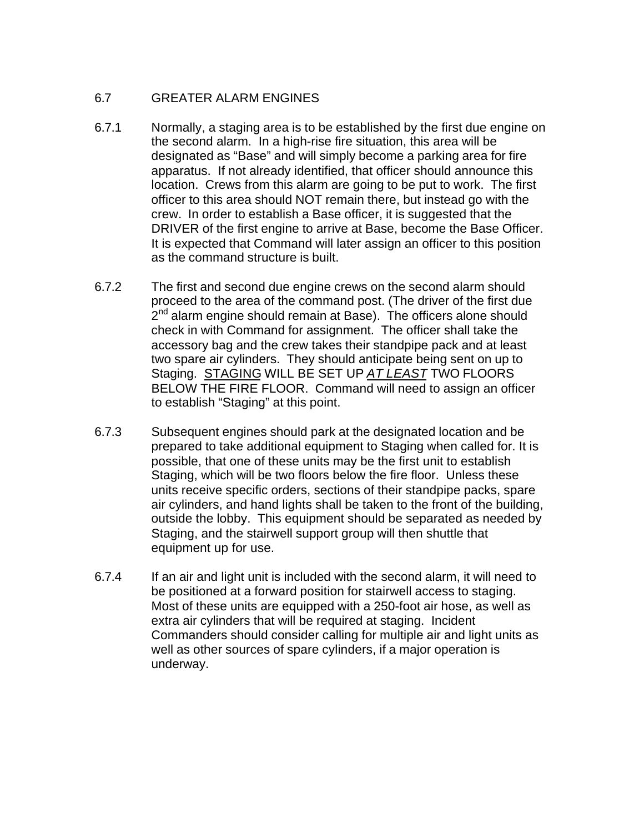# 6.7 GREATER ALARM ENGINES

- 6.7.1 Normally, a staging area is to be established by the first due engine on the second alarm. In a high-rise fire situation, this area will be designated as "Base" and will simply become a parking area for fire apparatus. If not already identified, that officer should announce this location. Crews from this alarm are going to be put to work. The first officer to this area should NOT remain there, but instead go with the crew. In order to establish a Base officer, it is suggested that the DRIVER of the first engine to arrive at Base, become the Base Officer. It is expected that Command will later assign an officer to this position as the command structure is built.
- 6.7.2 The first and second due engine crews on the second alarm should proceed to the area of the command post. (The driver of the first due .<br>2<sup>nd</sup> alarm engine should remain at Base). The officers alone should check in with Command for assignment. The officer shall take the accessory bag and the crew takes their standpipe pack and at least two spare air cylinders. They should anticipate being sent on up to Staging. STAGING WILL BE SET UP *AT LEAST* TWO FLOORS BELOW THE FIRE FLOOR. Command will need to assign an officer to establish "Staging" at this point.
- 6.7.3 Subsequent engines should park at the designated location and be prepared to take additional equipment to Staging when called for. It is possible, that one of these units may be the first unit to establish Staging, which will be two floors below the fire floor. Unless these units receive specific orders, sections of their standpipe packs, spare air cylinders, and hand lights shall be taken to the front of the building, outside the lobby. This equipment should be separated as needed by Staging, and the stairwell support group will then shuttle that equipment up for use.
- 6.7.4 If an air and light unit is included with the second alarm, it will need to be positioned at a forward position for stairwell access to staging. Most of these units are equipped with a 250-foot air hose, as well as extra air cylinders that will be required at staging. Incident Commanders should consider calling for multiple air and light units as well as other sources of spare cylinders, if a major operation is underway.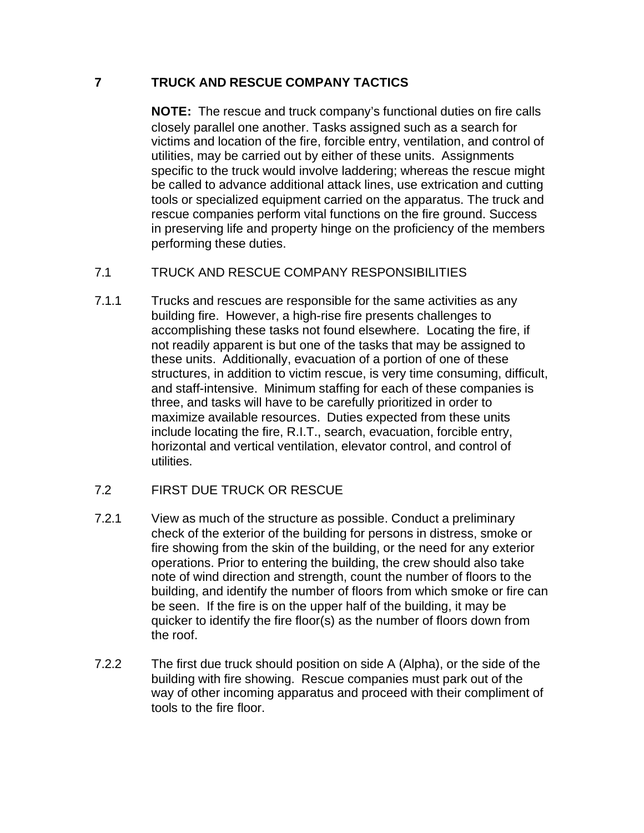## **7 TRUCK AND RESCUE COMPANY TACTICS**

**NOTE:** The rescue and truck company's functional duties on fire calls closely parallel one another. Tasks assigned such as a search for victims and location of the fire, forcible entry, ventilation, and control of utilities, may be carried out by either of these units. Assignments specific to the truck would involve laddering; whereas the rescue might be called to advance additional attack lines, use extrication and cutting tools or specialized equipment carried on the apparatus. The truck and rescue companies perform vital functions on the fire ground. Success in preserving life and property hinge on the proficiency of the members performing these duties.

### 7.1 TRUCK AND RESCUE COMPANY RESPONSIBILITIES

7.1.1 Trucks and rescues are responsible for the same activities as any building fire. However, a high-rise fire presents challenges to accomplishing these tasks not found elsewhere. Locating the fire, if not readily apparent is but one of the tasks that may be assigned to these units. Additionally, evacuation of a portion of one of these structures, in addition to victim rescue, is very time consuming, difficult, and staff-intensive. Minimum staffing for each of these companies is three, and tasks will have to be carefully prioritized in order to maximize available resources. Duties expected from these units include locating the fire, R.I.T., search, evacuation, forcible entry, horizontal and vertical ventilation, elevator control, and control of utilities.

### 7.2 FIRST DUE TRUCK OR RESCUE

- 7.2.1 View as much of the structure as possible. Conduct a preliminary check of the exterior of the building for persons in distress, smoke or fire showing from the skin of the building, or the need for any exterior operations. Prior to entering the building, the crew should also take note of wind direction and strength, count the number of floors to the building, and identify the number of floors from which smoke or fire can be seen. If the fire is on the upper half of the building, it may be quicker to identify the fire floor(s) as the number of floors down from the roof.
- 7.2.2 The first due truck should position on side A (Alpha), or the side of the building with fire showing. Rescue companies must park out of the way of other incoming apparatus and proceed with their compliment of tools to the fire floor.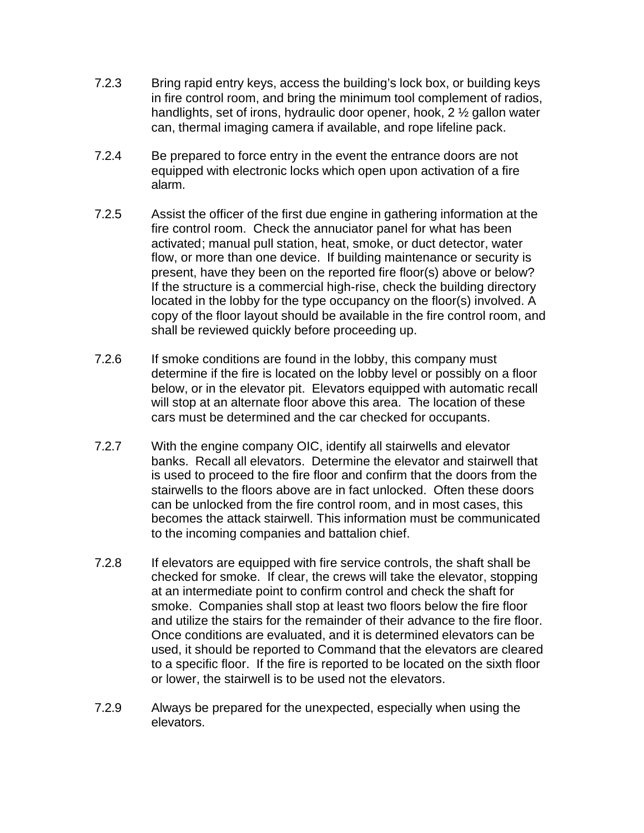- 7.2.3 Bring rapid entry keys, access the building's lock box, or building keys in fire control room, and bring the minimum tool complement of radios, handlights, set of irons, hydraulic door opener, hook, 2 ½ gallon water can, thermal imaging camera if available, and rope lifeline pack.
- 7.2.4 Be prepared to force entry in the event the entrance doors are not equipped with electronic locks which open upon activation of a fire alarm.
- 7.2.5 Assist the officer of the first due engine in gathering information at the fire control room. Check the annuciator panel for what has been activated; manual pull station, heat, smoke, or duct detector, water flow, or more than one device. If building maintenance or security is present, have they been on the reported fire floor(s) above or below? If the structure is a commercial high-rise, check the building directory located in the lobby for the type occupancy on the floor(s) involved. A copy of the floor layout should be available in the fire control room, and shall be reviewed quickly before proceeding up.
- 7.2.6 If smoke conditions are found in the lobby, this company must determine if the fire is located on the lobby level or possibly on a floor below, or in the elevator pit. Elevators equipped with automatic recall will stop at an alternate floor above this area. The location of these cars must be determined and the car checked for occupants.
- 7.2.7 With the engine company OIC, identify all stairwells and elevator banks. Recall all elevators. Determine the elevator and stairwell that is used to proceed to the fire floor and confirm that the doors from the stairwells to the floors above are in fact unlocked. Often these doors can be unlocked from the fire control room, and in most cases, this becomes the attack stairwell. This information must be communicated to the incoming companies and battalion chief.
- 7.2.8 If elevators are equipped with fire service controls, the shaft shall be checked for smoke. If clear, the crews will take the elevator, stopping at an intermediate point to confirm control and check the shaft for smoke. Companies shall stop at least two floors below the fire floor and utilize the stairs for the remainder of their advance to the fire floor. Once conditions are evaluated, and it is determined elevators can be used, it should be reported to Command that the elevators are cleared to a specific floor. If the fire is reported to be located on the sixth floor or lower, the stairwell is to be used not the elevators.
- 7.2.9 Always be prepared for the unexpected, especially when using the elevators.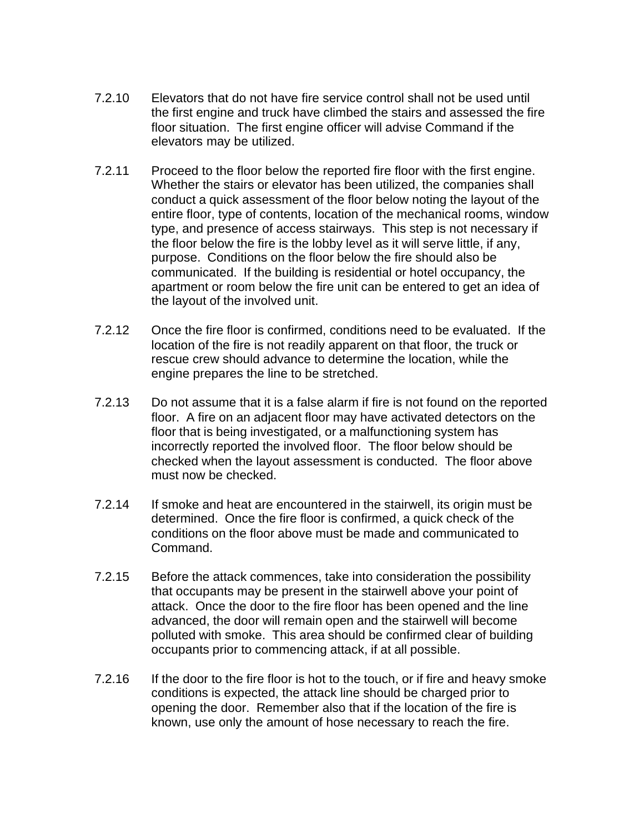- 7.2.10 Elevators that do not have fire service control shall not be used until the first engine and truck have climbed the stairs and assessed the fire floor situation. The first engine officer will advise Command if the elevators may be utilized.
- 7.2.11 Proceed to the floor below the reported fire floor with the first engine. Whether the stairs or elevator has been utilized, the companies shall conduct a quick assessment of the floor below noting the layout of the entire floor, type of contents, location of the mechanical rooms, window type, and presence of access stairways. This step is not necessary if the floor below the fire is the lobby level as it will serve little, if any, purpose. Conditions on the floor below the fire should also be communicated. If the building is residential or hotel occupancy, the apartment or room below the fire unit can be entered to get an idea of the layout of the involved unit.
- 7.2.12 Once the fire floor is confirmed, conditions need to be evaluated. If the location of the fire is not readily apparent on that floor, the truck or rescue crew should advance to determine the location, while the engine prepares the line to be stretched.
- 7.2.13 Do not assume that it is a false alarm if fire is not found on the reported floor. A fire on an adjacent floor may have activated detectors on the floor that is being investigated, or a malfunctioning system has incorrectly reported the involved floor. The floor below should be checked when the layout assessment is conducted. The floor above must now be checked.
- 7.2.14 If smoke and heat are encountered in the stairwell, its origin must be determined. Once the fire floor is confirmed, a quick check of the conditions on the floor above must be made and communicated to Command.
- 7.2.15 Before the attack commences, take into consideration the possibility that occupants may be present in the stairwell above your point of attack. Once the door to the fire floor has been opened and the line advanced, the door will remain open and the stairwell will become polluted with smoke. This area should be confirmed clear of building occupants prior to commencing attack, if at all possible.
- 7.2.16 If the door to the fire floor is hot to the touch, or if fire and heavy smoke conditions is expected, the attack line should be charged prior to opening the door. Remember also that if the location of the fire is known, use only the amount of hose necessary to reach the fire.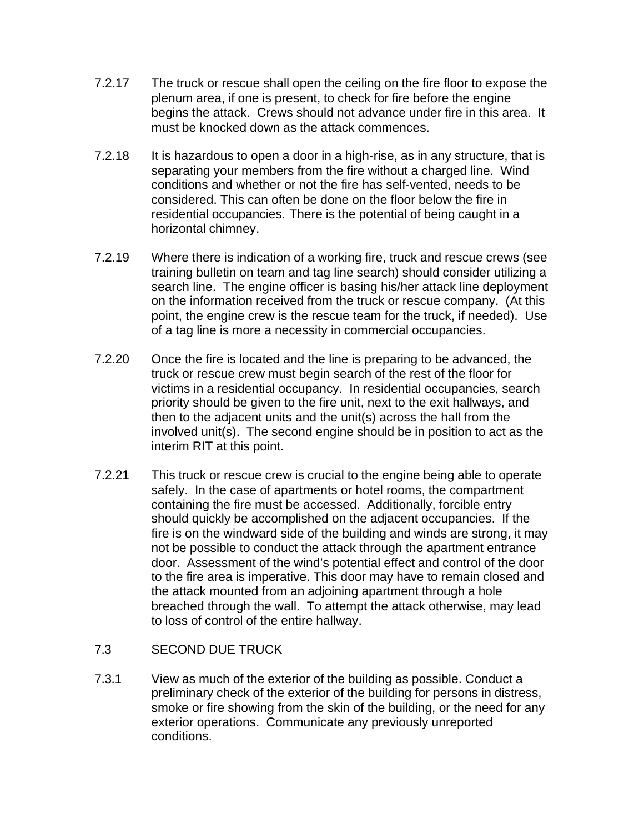- 7.2.17 The truck or rescue shall open the ceiling on the fire floor to expose the plenum area, if one is present, to check for fire before the engine begins the attack. Crews should not advance under fire in this area. It must be knocked down as the attack commences.
- 7.2.18 It is hazardous to open a door in a high-rise, as in any structure, that is separating your members from the fire without a charged line. Wind conditions and whether or not the fire has self-vented, needs to be considered. This can often be done on the floor below the fire in residential occupancies. There is the potential of being caught in a horizontal chimney.
- 7.2.19 Where there is indication of a working fire, truck and rescue crews (see training bulletin on team and tag line search) should consider utilizing a search line. The engine officer is basing his/her attack line deployment on the information received from the truck or rescue company. (At this point, the engine crew is the rescue team for the truck, if needed). Use of a tag line is more a necessity in commercial occupancies.
- 7.2.20 Once the fire is located and the line is preparing to be advanced, the truck or rescue crew must begin search of the rest of the floor for victims in a residential occupancy. In residential occupancies, search priority should be given to the fire unit, next to the exit hallways, and then to the adjacent units and the unit(s) across the hall from the involved unit(s). The second engine should be in position to act as the interim RIT at this point.
- 7.2.21 This truck or rescue crew is crucial to the engine being able to operate safely. In the case of apartments or hotel rooms, the compartment containing the fire must be accessed. Additionally, forcible entry should quickly be accomplished on the adjacent occupancies. If the fire is on the windward side of the building and winds are strong, it may not be possible to conduct the attack through the apartment entrance door. Assessment of the wind's potential effect and control of the door to the fire area is imperative. This door may have to remain closed and the attack mounted from an adjoining apartment through a hole breached through the wall. To attempt the attack otherwise, may lead to loss of control of the entire hallway.

#### 7.3 SECOND DUE TRUCK

7.3.1 View as much of the exterior of the building as possible. Conduct a preliminary check of the exterior of the building for persons in distress, smoke or fire showing from the skin of the building, or the need for any exterior operations. Communicate any previously unreported conditions.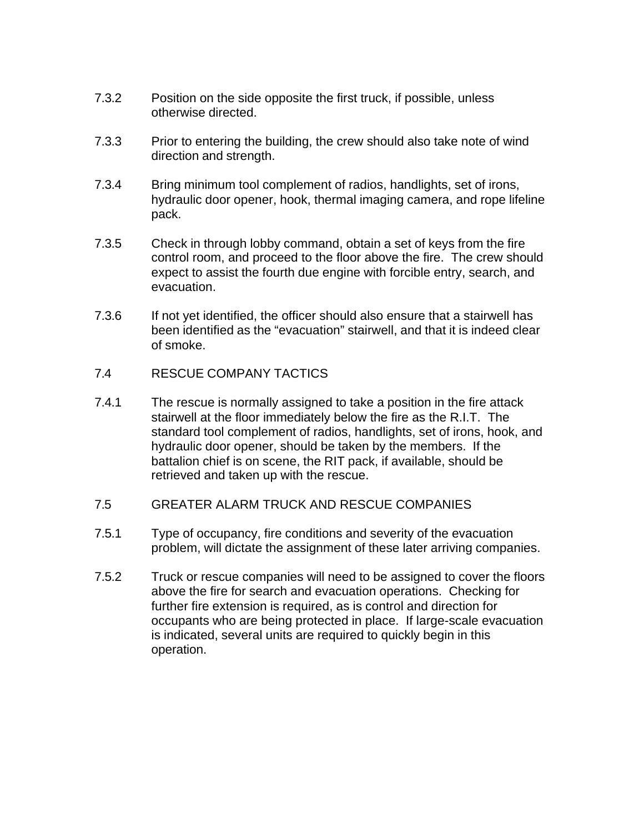- 7.3.2 Position on the side opposite the first truck, if possible, unless otherwise directed.
- 7.3.3 Prior to entering the building, the crew should also take note of wind direction and strength.
- 7.3.4 Bring minimum tool complement of radios, handlights, set of irons, hydraulic door opener, hook, thermal imaging camera, and rope lifeline pack.
- 7.3.5 Check in through lobby command, obtain a set of keys from the fire control room, and proceed to the floor above the fire. The crew should expect to assist the fourth due engine with forcible entry, search, and evacuation.
- 7.3.6 If not yet identified, the officer should also ensure that a stairwell has been identified as the "evacuation" stairwell, and that it is indeed clear of smoke.
- 7.4 RESCUE COMPANY TACTICS
- 7.4.1 The rescue is normally assigned to take a position in the fire attack stairwell at the floor immediately below the fire as the R.I.T. The standard tool complement of radios, handlights, set of irons, hook, and hydraulic door opener, should be taken by the members. If the battalion chief is on scene, the RIT pack, if available, should be retrieved and taken up with the rescue.
- 7.5 GREATER ALARM TRUCK AND RESCUE COMPANIES
- 7.5.1 Type of occupancy, fire conditions and severity of the evacuation problem, will dictate the assignment of these later arriving companies.
- 7.5.2 Truck or rescue companies will need to be assigned to cover the floors above the fire for search and evacuation operations. Checking for further fire extension is required, as is control and direction for occupants who are being protected in place. If large-scale evacuation is indicated, several units are required to quickly begin in this operation.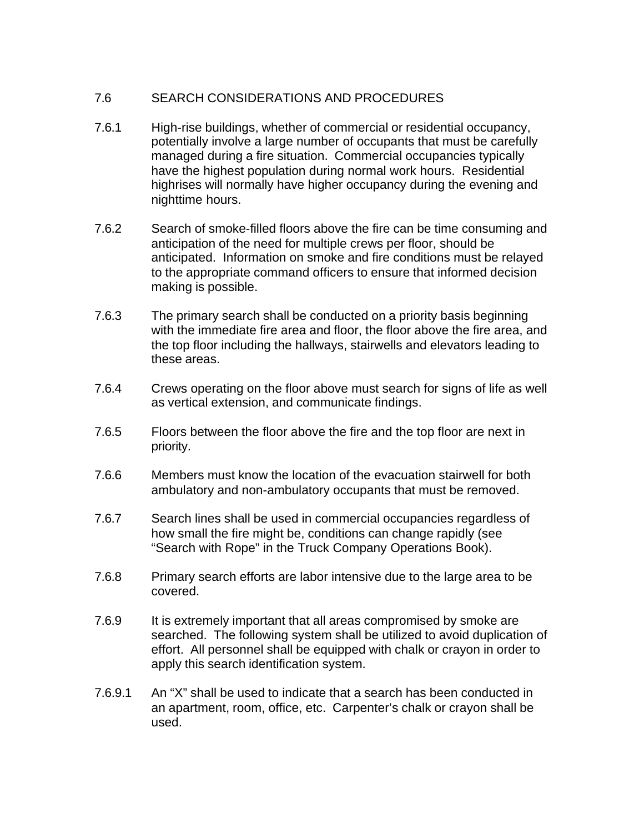# 7.6 SEARCH CONSIDERATIONS AND PROCEDURES

- 7.6.1 High-rise buildings, whether of commercial or residential occupancy, potentially involve a large number of occupants that must be carefully managed during a fire situation. Commercial occupancies typically have the highest population during normal work hours. Residential highrises will normally have higher occupancy during the evening and nighttime hours.
- 7.6.2 Search of smoke-filled floors above the fire can be time consuming and anticipation of the need for multiple crews per floor, should be anticipated. Information on smoke and fire conditions must be relayed to the appropriate command officers to ensure that informed decision making is possible.
- 7.6.3 The primary search shall be conducted on a priority basis beginning with the immediate fire area and floor, the floor above the fire area, and the top floor including the hallways, stairwells and elevators leading to these areas.
- 7.6.4 Crews operating on the floor above must search for signs of life as well as vertical extension, and communicate findings.
- 7.6.5 Floors between the floor above the fire and the top floor are next in priority.
- 7.6.6 Members must know the location of the evacuation stairwell for both ambulatory and non-ambulatory occupants that must be removed.
- 7.6.7 Search lines shall be used in commercial occupancies regardless of how small the fire might be, conditions can change rapidly (see "Search with Rope" in the Truck Company Operations Book).
- 7.6.8 Primary search efforts are labor intensive due to the large area to be covered.
- 7.6.9 It is extremely important that all areas compromised by smoke are searched. The following system shall be utilized to avoid duplication of effort. All personnel shall be equipped with chalk or crayon in order to apply this search identification system.
- 7.6.9.1 An "X" shall be used to indicate that a search has been conducted in an apartment, room, office, etc. Carpenter's chalk or crayon shall be used.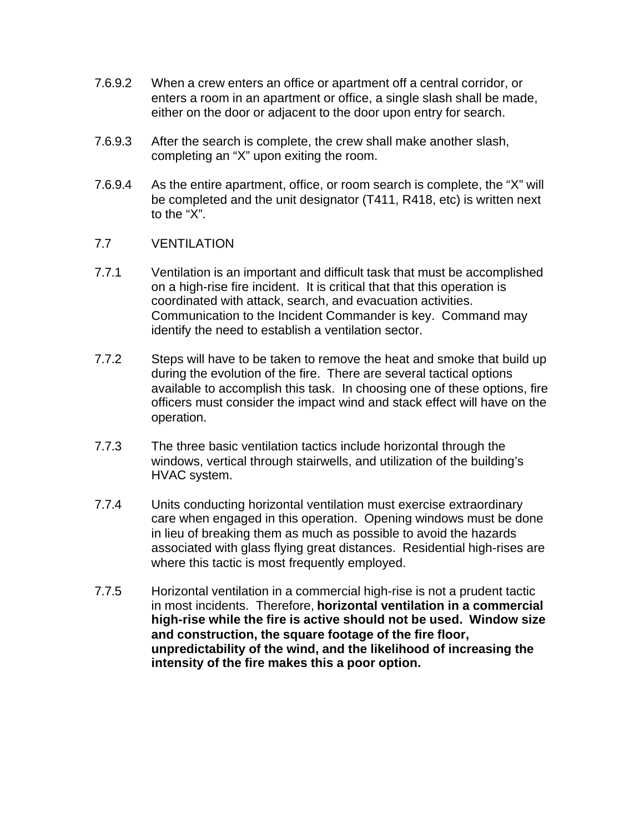- 7.6.9.2 When a crew enters an office or apartment off a central corridor, or enters a room in an apartment or office, a single slash shall be made, either on the door or adjacent to the door upon entry for search.
- 7.6.9.3 After the search is complete, the crew shall make another slash, completing an "X" upon exiting the room.
- 7.6.9.4 As the entire apartment, office, or room search is complete, the "X" will be completed and the unit designator (T411, R418, etc) is written next to the "X".

#### 7.7 VENTILATION

- 7.7.1 Ventilation is an important and difficult task that must be accomplished on a high-rise fire incident. It is critical that that this operation is coordinated with attack, search, and evacuation activities. Communication to the Incident Commander is key. Command may identify the need to establish a ventilation sector.
- 7.7.2 Steps will have to be taken to remove the heat and smoke that build up during the evolution of the fire. There are several tactical options available to accomplish this task. In choosing one of these options, fire officers must consider the impact wind and stack effect will have on the operation.
- 7.7.3 The three basic ventilation tactics include horizontal through the windows, vertical through stairwells, and utilization of the building's HVAC system.
- 7.7.4 Units conducting horizontal ventilation must exercise extraordinary care when engaged in this operation. Opening windows must be done in lieu of breaking them as much as possible to avoid the hazards associated with glass flying great distances. Residential high-rises are where this tactic is most frequently employed.
- 7.7.5 Horizontal ventilation in a commercial high-rise is not a prudent tactic in most incidents. Therefore, **horizontal ventilation in a commercial high-rise while the fire is active should not be used. Window size and construction, the square footage of the fire floor, unpredictability of the wind, and the likelihood of increasing the intensity of the fire makes this a poor option.**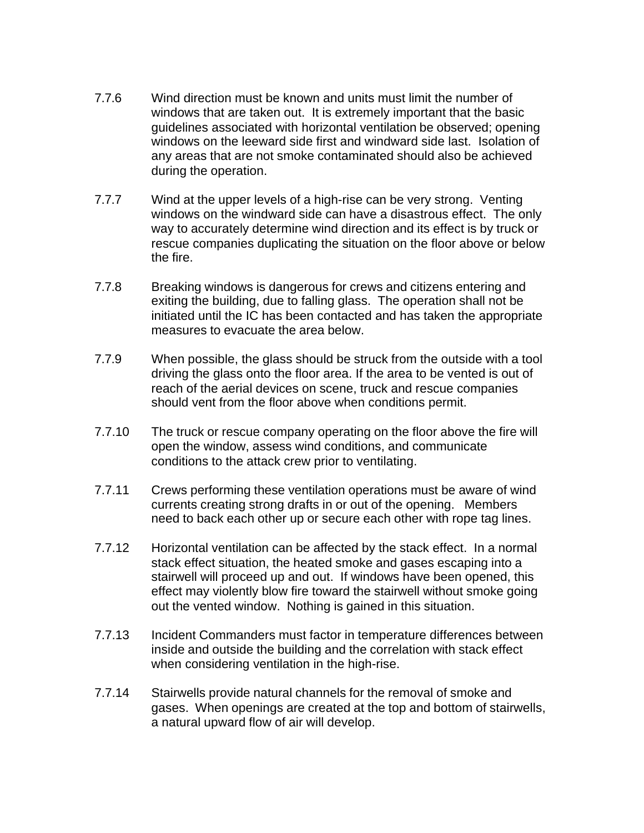- 7.7.6 Wind direction must be known and units must limit the number of windows that are taken out. It is extremely important that the basic guidelines associated with horizontal ventilation be observed; opening windows on the leeward side first and windward side last. Isolation of any areas that are not smoke contaminated should also be achieved during the operation.
- 7.7.7 Wind at the upper levels of a high-rise can be very strong. Venting windows on the windward side can have a disastrous effect. The only way to accurately determine wind direction and its effect is by truck or rescue companies duplicating the situation on the floor above or below the fire.
- 7.7.8 Breaking windows is dangerous for crews and citizens entering and exiting the building, due to falling glass. The operation shall not be initiated until the IC has been contacted and has taken the appropriate measures to evacuate the area below.
- 7.7.9 When possible, the glass should be struck from the outside with a tool driving the glass onto the floor area. If the area to be vented is out of reach of the aerial devices on scene, truck and rescue companies should vent from the floor above when conditions permit.
- 7.7.10 The truck or rescue company operating on the floor above the fire will open the window, assess wind conditions, and communicate conditions to the attack crew prior to ventilating.
- 7.7.11 Crews performing these ventilation operations must be aware of wind currents creating strong drafts in or out of the opening. Members need to back each other up or secure each other with rope tag lines.
- 7.7.12 Horizontal ventilation can be affected by the stack effect. In a normal stack effect situation, the heated smoke and gases escaping into a stairwell will proceed up and out. If windows have been opened, this effect may violently blow fire toward the stairwell without smoke going out the vented window. Nothing is gained in this situation.
- 7.7.13 Incident Commanders must factor in temperature differences between inside and outside the building and the correlation with stack effect when considering ventilation in the high-rise.
- 7.7.14 Stairwells provide natural channels for the removal of smoke and gases. When openings are created at the top and bottom of stairwells, a natural upward flow of air will develop.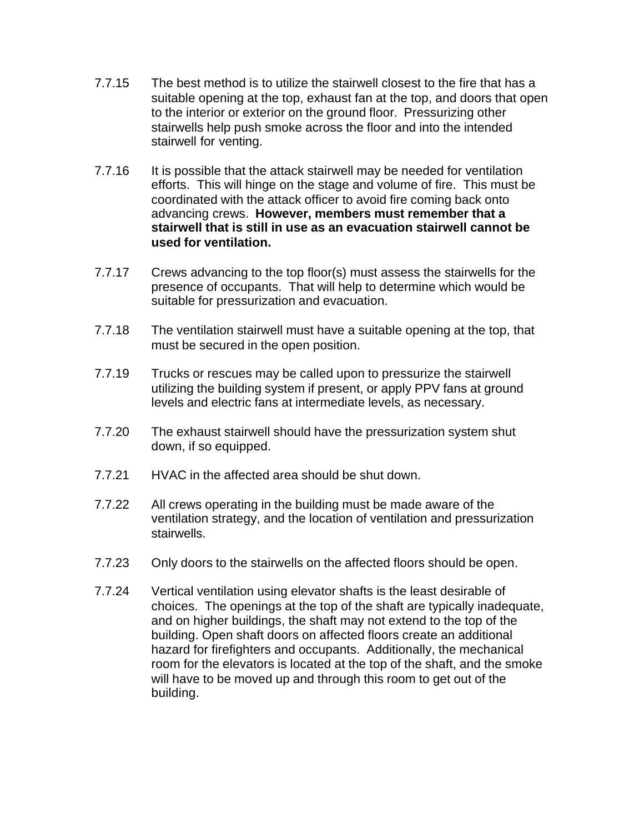- 7.7.15 The best method is to utilize the stairwell closest to the fire that has a suitable opening at the top, exhaust fan at the top, and doors that open to the interior or exterior on the ground floor. Pressurizing other stairwells help push smoke across the floor and into the intended stairwell for venting.
- 7.7.16 It is possible that the attack stairwell may be needed for ventilation efforts. This will hinge on the stage and volume of fire. This must be coordinated with the attack officer to avoid fire coming back onto advancing crews. **However, members must remember that a stairwell that is still in use as an evacuation stairwell cannot be used for ventilation.**
- 7.7.17 Crews advancing to the top floor(s) must assess the stairwells for the presence of occupants. That will help to determine which would be suitable for pressurization and evacuation.
- 7.7.18 The ventilation stairwell must have a suitable opening at the top, that must be secured in the open position.
- 7.7.19 Trucks or rescues may be called upon to pressurize the stairwell utilizing the building system if present, or apply PPV fans at ground levels and electric fans at intermediate levels, as necessary.
- 7.7.20 The exhaust stairwell should have the pressurization system shut down, if so equipped.
- 7.7.21 HVAC in the affected area should be shut down.
- 7.7.22 All crews operating in the building must be made aware of the ventilation strategy, and the location of ventilation and pressurization stairwells.
- 7.7.23 Only doors to the stairwells on the affected floors should be open.
- 7.7.24 Vertical ventilation using elevator shafts is the least desirable of choices. The openings at the top of the shaft are typically inadequate, and on higher buildings, the shaft may not extend to the top of the building. Open shaft doors on affected floors create an additional hazard for firefighters and occupants. Additionally, the mechanical room for the elevators is located at the top of the shaft, and the smoke will have to be moved up and through this room to get out of the building.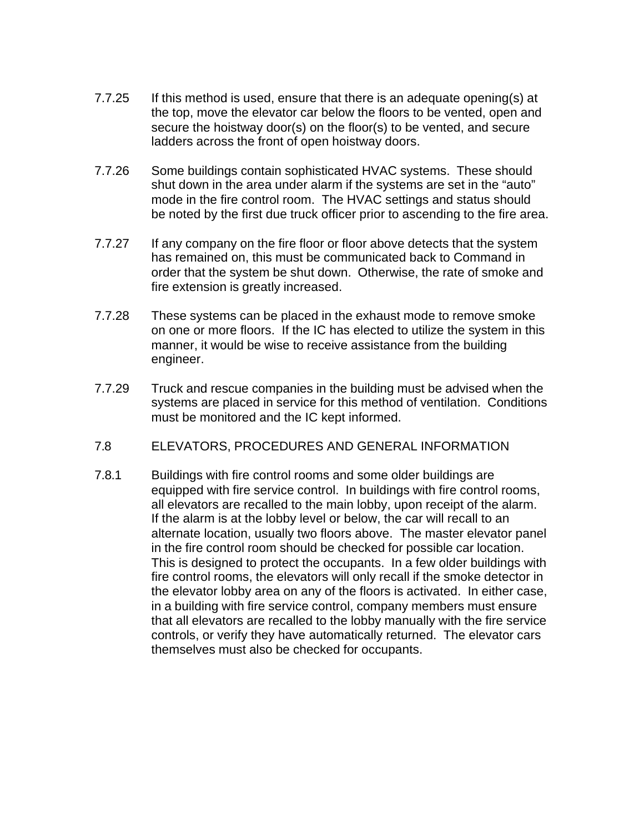- 7.7.25 If this method is used, ensure that there is an adequate opening(s) at the top, move the elevator car below the floors to be vented, open and secure the hoistway door(s) on the floor(s) to be vented, and secure ladders across the front of open hoistway doors.
- 7.7.26 Some buildings contain sophisticated HVAC systems. These should shut down in the area under alarm if the systems are set in the "auto" mode in the fire control room. The HVAC settings and status should be noted by the first due truck officer prior to ascending to the fire area.
- 7.7.27 If any company on the fire floor or floor above detects that the system has remained on, this must be communicated back to Command in order that the system be shut down. Otherwise, the rate of smoke and fire extension is greatly increased.
- 7.7.28 These systems can be placed in the exhaust mode to remove smoke on one or more floors. If the IC has elected to utilize the system in this manner, it would be wise to receive assistance from the building engineer.
- 7.7.29 Truck and rescue companies in the building must be advised when the systems are placed in service for this method of ventilation. Conditions must be monitored and the IC kept informed.
- 7.8 ELEVATORS, PROCEDURES AND GENERAL INFORMATION
- 7.8.1 Buildings with fire control rooms and some older buildings are equipped with fire service control. In buildings with fire control rooms, all elevators are recalled to the main lobby, upon receipt of the alarm. If the alarm is at the lobby level or below, the car will recall to an alternate location, usually two floors above. The master elevator panel in the fire control room should be checked for possible car location. This is designed to protect the occupants. In a few older buildings with fire control rooms, the elevators will only recall if the smoke detector in the elevator lobby area on any of the floors is activated. In either case, in a building with fire service control, company members must ensure that all elevators are recalled to the lobby manually with the fire service controls, or verify they have automatically returned. The elevator cars themselves must also be checked for occupants.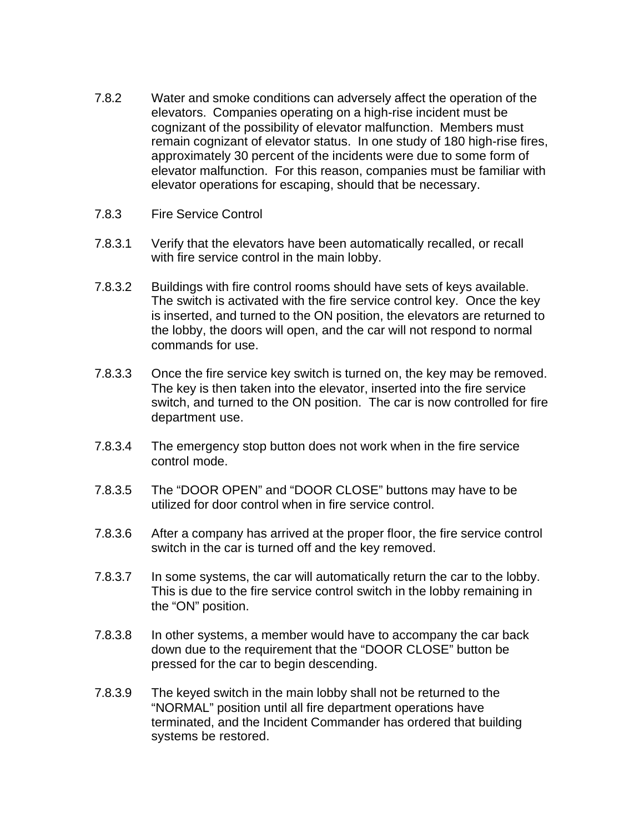- 7.8.2 Water and smoke conditions can adversely affect the operation of the elevators. Companies operating on a high-rise incident must be cognizant of the possibility of elevator malfunction. Members must remain cognizant of elevator status. In one study of 180 high-rise fires, approximately 30 percent of the incidents were due to some form of elevator malfunction. For this reason, companies must be familiar with elevator operations for escaping, should that be necessary.
- 7.8.3 Fire Service Control
- 7.8.3.1 Verify that the elevators have been automatically recalled, or recall with fire service control in the main lobby.
- 7.8.3.2 Buildings with fire control rooms should have sets of keys available. The switch is activated with the fire service control key. Once the key is inserted, and turned to the ON position, the elevators are returned to the lobby, the doors will open, and the car will not respond to normal commands for use.
- 7.8.3.3 Once the fire service key switch is turned on, the key may be removed. The key is then taken into the elevator, inserted into the fire service switch, and turned to the ON position. The car is now controlled for fire department use.
- 7.8.3.4 The emergency stop button does not work when in the fire service control mode.
- 7.8.3.5 The "DOOR OPEN" and "DOOR CLOSE" buttons may have to be utilized for door control when in fire service control.
- 7.8.3.6 After a company has arrived at the proper floor, the fire service control switch in the car is turned off and the key removed.
- 7.8.3.7 In some systems, the car will automatically return the car to the lobby. This is due to the fire service control switch in the lobby remaining in the "ON" position.
- 7.8.3.8 In other systems, a member would have to accompany the car back down due to the requirement that the "DOOR CLOSE" button be pressed for the car to begin descending.
- 7.8.3.9 The keyed switch in the main lobby shall not be returned to the "NORMAL" position until all fire department operations have terminated, and the Incident Commander has ordered that building systems be restored.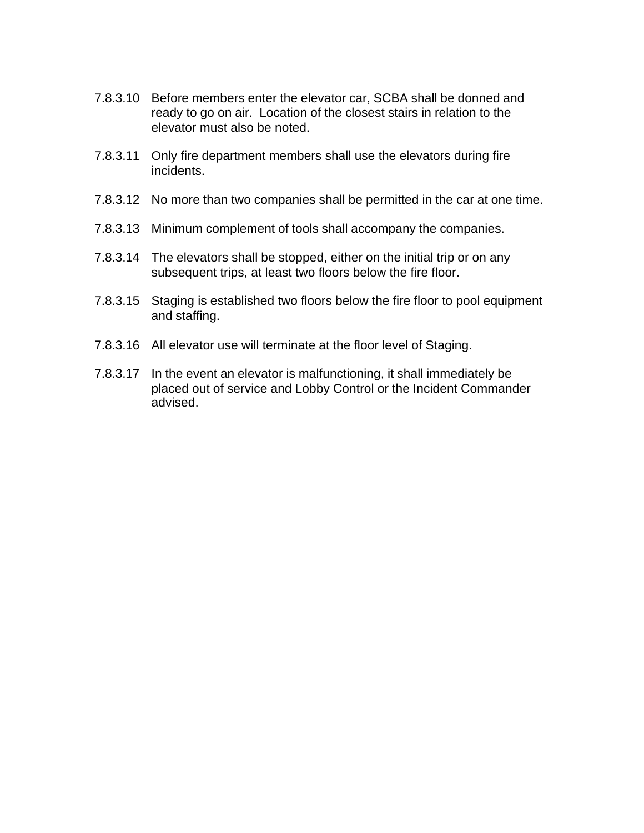- 7.8.3.10 Before members enter the elevator car, SCBA shall be donned and ready to go on air. Location of the closest stairs in relation to the elevator must also be noted.
- 7.8.3.11 Only fire department members shall use the elevators during fire incidents.
- 7.8.3.12 No more than two companies shall be permitted in the car at one time.
- 7.8.3.13 Minimum complement of tools shall accompany the companies.
- 7.8.3.14 The elevators shall be stopped, either on the initial trip or on any subsequent trips, at least two floors below the fire floor.
- 7.8.3.15 Staging is established two floors below the fire floor to pool equipment and staffing.
- 7.8.3.16 All elevator use will terminate at the floor level of Staging.
- 7.8.3.17 In the event an elevator is malfunctioning, it shall immediately be placed out of service and Lobby Control or the Incident Commander advised.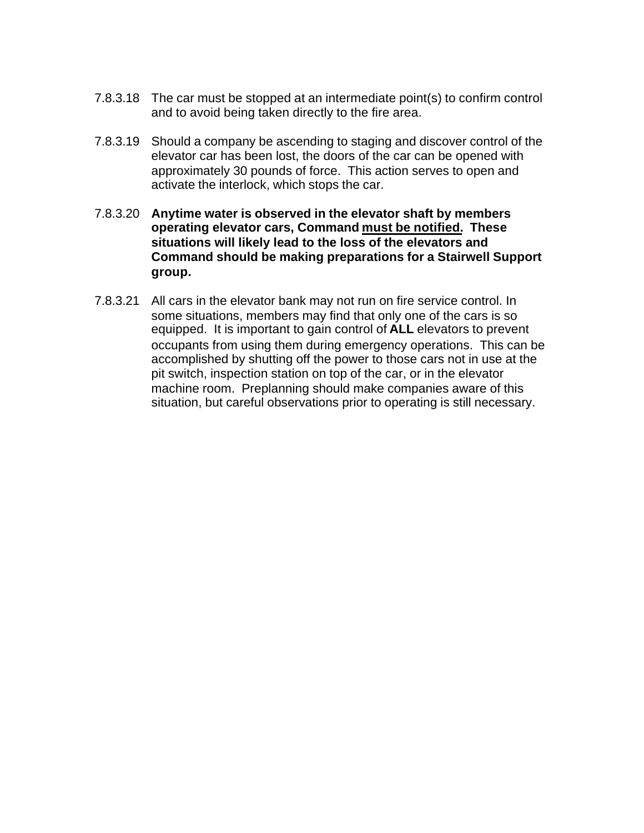- 7.8.3.18 The car must be stopped at an intermediate point(s) to confirm control and to avoid being taken directly to the fire area.
- 7.8.3.19 Should a company be ascending to staging and discover control of the elevator car has been lost, the doors of the car can be opened with approximately 30 pounds of force. This action serves to open and activate the interlock, which stops the car.
- 7.8.3.20 **Anytime water is observed in the elevator shaft by members operating elevator cars, Command must be notified. These situations will likely lead to the loss of the elevators and Command should be making preparations for a Stairwell Support group.**
- 7.8.3.21 All cars in the elevator bank may not run on fire service control. In some situations, members may find that only one of the cars is so equipped. It is important to gain control of **ALL** elevators to prevent occupants from using them during emergency operations. This can be accomplished by shutting off the power to those cars not in use at the pit switch, inspection station on top of the car, or in the elevator machine room. Preplanning should make companies aware of this situation, but careful observations prior to operating is still necessary.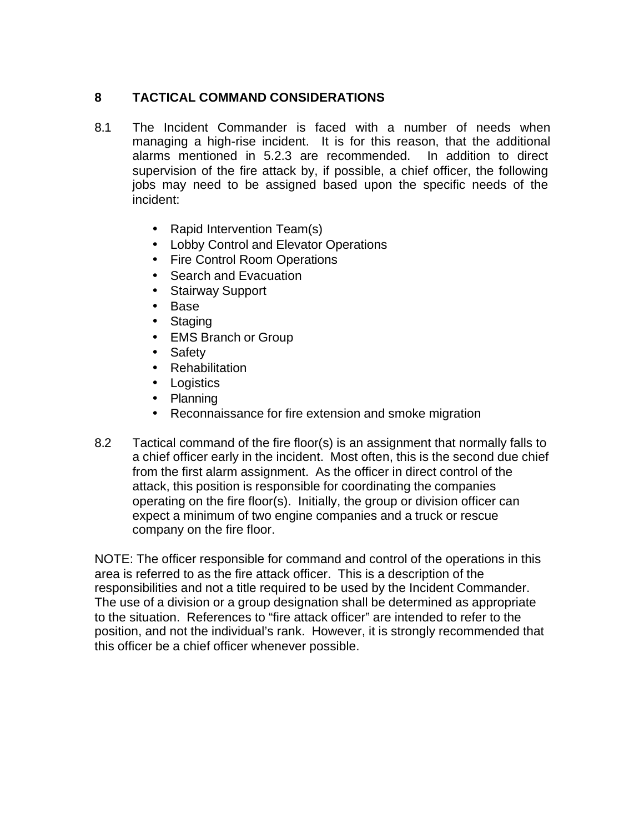# **8 TACTICAL COMMAND CONSIDERATIONS**

- 8.1 The Incident Commander is faced with a number of needs when managing a high-rise incident. It is for this reason, that the additional alarms mentioned in 5.2.3 are recommended. In addition to direct supervision of the fire attack by, if possible, a chief officer, the following jobs may need to be assigned based upon the specific needs of the incident:
	- Rapid Intervention Team(s)
	- Lobby Control and Elevator Operations
	- Fire Control Room Operations
	- Search and Evacuation
	- Stairway Support
	- Base
	- Staging
	- EMS Branch or Group
	- Safety
	- Rehabilitation
	- Logistics
	- Planning
	- Reconnaissance for fire extension and smoke migration
- 8.2 Tactical command of the fire floor(s) is an assignment that normally falls to a chief officer early in the incident. Most often, this is the second due chief from the first alarm assignment. As the officer in direct control of the attack, this position is responsible for coordinating the companies operating on the fire floor(s). Initially, the group or division officer can expect a minimum of two engine companies and a truck or rescue company on the fire floor.

NOTE: The officer responsible for command and control of the operations in this area is referred to as the fire attack officer. This is a description of the responsibilities and not a title required to be used by the Incident Commander. The use of a division or a group designation shall be determined as appropriate to the situation. References to "fire attack officer" are intended to refer to the position, and not the individual's rank. However, it is strongly recommended that this officer be a chief officer whenever possible.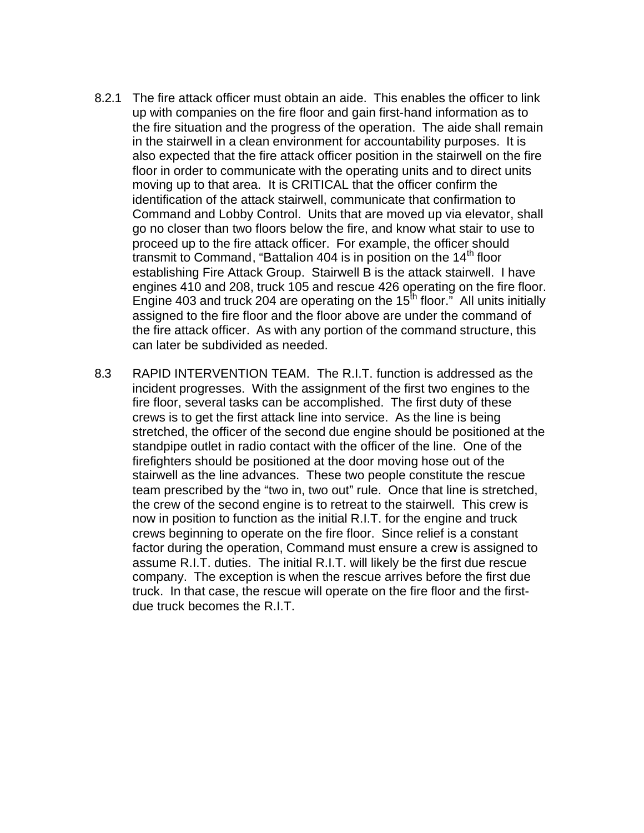- 8.2.1 The fire attack officer must obtain an aide. This enables the officer to link up with companies on the fire floor and gain first-hand information as to the fire situation and the progress of the operation. The aide shall remain in the stairwell in a clean environment for accountability purposes. It is also expected that the fire attack officer position in the stairwell on the fire floor in order to communicate with the operating units and to direct units moving up to that area. It is CRITICAL that the officer confirm the identification of the attack stairwell, communicate that confirmation to Command and Lobby Control. Units that are moved up via elevator, shall go no closer than two floors below the fire, and know what stair to use to proceed up to the fire attack officer. For example, the officer should transmit to Command, "Battalion 404 is in position on the  $14<sup>th</sup>$  floor establishing Fire Attack Group. Stairwell B is the attack stairwell. I have engines 410 and 208, truck 105 and rescue 426 operating on the fire floor. Engine 403 and truck 204 are operating on the  $15<sup>th</sup>$  floor." All units initially assigned to the fire floor and the floor above are under the command of the fire attack officer. As with any portion of the command structure, this can later be subdivided as needed.
- 8.3 RAPID INTERVENTION TEAM. The R.I.T. function is addressed as the incident progresses. With the assignment of the first two engines to the fire floor, several tasks can be accomplished. The first duty of these crews is to get the first attack line into service. As the line is being stretched, the officer of the second due engine should be positioned at the standpipe outlet in radio contact with the officer of the line. One of the firefighters should be positioned at the door moving hose out of the stairwell as the line advances. These two people constitute the rescue team prescribed by the "two in, two out" rule. Once that line is stretched, the crew of the second engine is to retreat to the stairwell. This crew is now in position to function as the initial R.I.T. for the engine and truck crews beginning to operate on the fire floor. Since relief is a constant factor during the operation, Command must ensure a crew is assigned to assume R.I.T. duties. The initial R.I.T. will likely be the first due rescue company. The exception is when the rescue arrives before the first due truck. In that case, the rescue will operate on the fire floor and the firstdue truck becomes the R.I.T.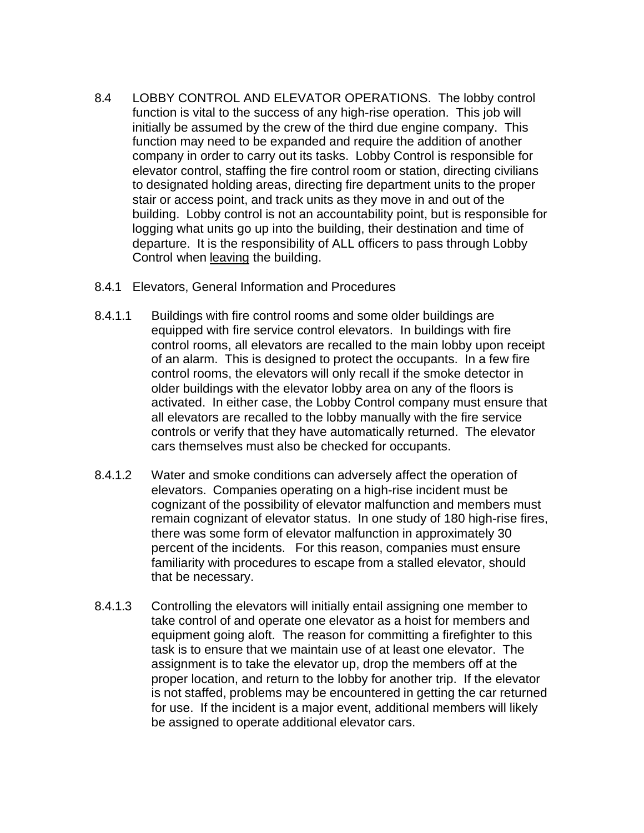- 8.4 LOBBY CONTROL AND ELEVATOR OPERATIONS. The lobby control function is vital to the success of any high-rise operation. This job will initially be assumed by the crew of the third due engine company. This function may need to be expanded and require the addition of another company in order to carry out its tasks. Lobby Control is responsible for elevator control, staffing the fire control room or station, directing civilians to designated holding areas, directing fire department units to the proper stair or access point, and track units as they move in and out of the building. Lobby control is not an accountability point, but is responsible for logging what units go up into the building, their destination and time of departure. It is the responsibility of ALL officers to pass through Lobby Control when leaving the building.
- 8.4.1 Elevators, General Information and Procedures
- 8.4.1.1 Buildings with fire control rooms and some older buildings are equipped with fire service control elevators. In buildings with fire control rooms, all elevators are recalled to the main lobby upon receipt of an alarm. This is designed to protect the occupants. In a few fire control rooms, the elevators will only recall if the smoke detector in older buildings with the elevator lobby area on any of the floors is activated. In either case, the Lobby Control company must ensure that all elevators are recalled to the lobby manually with the fire service controls or verify that they have automatically returned. The elevator cars themselves must also be checked for occupants.
- 8.4.1.2 Water and smoke conditions can adversely affect the operation of elevators. Companies operating on a high-rise incident must be cognizant of the possibility of elevator malfunction and members must remain cognizant of elevator status. In one study of 180 high-rise fires, there was some form of elevator malfunction in approximately 30 percent of the incidents. For this reason, companies must ensure familiarity with procedures to escape from a stalled elevator, should that be necessary.
- 8.4.1.3 Controlling the elevators will initially entail assigning one member to take control of and operate one elevator as a hoist for members and equipment going aloft. The reason for committing a firefighter to this task is to ensure that we maintain use of at least one elevator. The assignment is to take the elevator up, drop the members off at the proper location, and return to the lobby for another trip. If the elevator is not staffed, problems may be encountered in getting the car returned for use. If the incident is a major event, additional members will likely be assigned to operate additional elevator cars.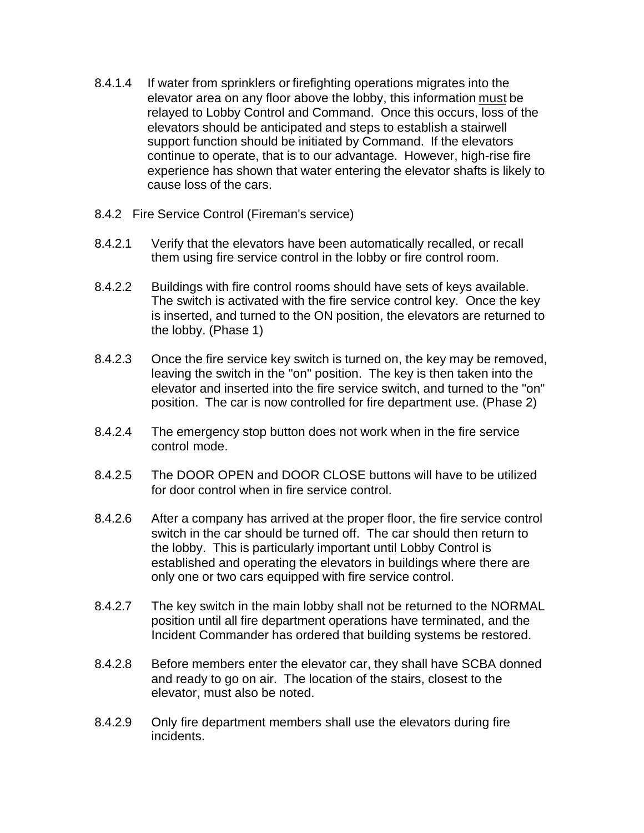- 8.4.1.4 If water from sprinklers or firefighting operations migrates into the elevator area on any floor above the lobby, this information must be relayed to Lobby Control and Command. Once this occurs, loss of the elevators should be anticipated and steps to establish a stairwell support function should be initiated by Command. If the elevators continue to operate, that is to our advantage. However, high-rise fire experience has shown that water entering the elevator shafts is likely to cause loss of the cars.
- 8.4.2 Fire Service Control (Fireman's service)
- 8.4.2.1 Verify that the elevators have been automatically recalled, or recall them using fire service control in the lobby or fire control room.
- 8.4.2.2 Buildings with fire control rooms should have sets of keys available. The switch is activated with the fire service control key. Once the key is inserted, and turned to the ON position, the elevators are returned to the lobby. (Phase 1)
- 8.4.2.3 Once the fire service key switch is turned on, the key may be removed, leaving the switch in the "on" position. The key is then taken into the elevator and inserted into the fire service switch, and turned to the "on" position. The car is now controlled for fire department use. (Phase 2)
- 8.4.2.4 The emergency stop button does not work when in the fire service control mode.
- 8.4.2.5 The DOOR OPEN and DOOR CLOSE buttons will have to be utilized for door control when in fire service control.
- 8.4.2.6 After a company has arrived at the proper floor, the fire service control switch in the car should be turned off. The car should then return to the lobby. This is particularly important until Lobby Control is established and operating the elevators in buildings where there are only one or two cars equipped with fire service control.
- 8.4.2.7 The key switch in the main lobby shall not be returned to the NORMAL position until all fire department operations have terminated, and the Incident Commander has ordered that building systems be restored.
- 8.4.2.8 Before members enter the elevator car, they shall have SCBA donned and ready to go on air. The location of the stairs, closest to the elevator, must also be noted.
- 8.4.2.9 Only fire department members shall use the elevators during fire incidents.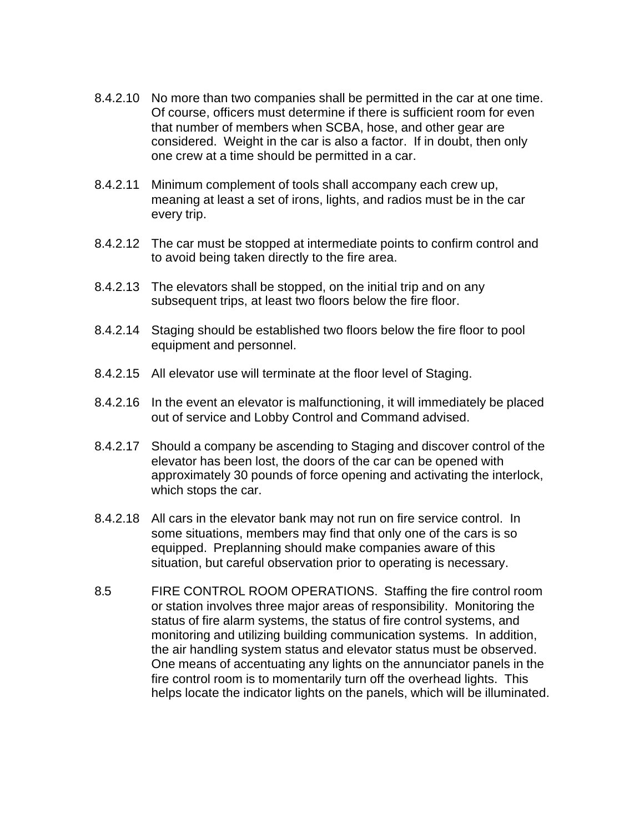- 8.4.2.10 No more than two companies shall be permitted in the car at one time. Of course, officers must determine if there is sufficient room for even that number of members when SCBA, hose, and other gear are considered. Weight in the car is also a factor. If in doubt, then only one crew at a time should be permitted in a car.
- 8.4.2.11 Minimum complement of tools shall accompany each crew up, meaning at least a set of irons, lights, and radios must be in the car every trip.
- 8.4.2.12 The car must be stopped at intermediate points to confirm control and to avoid being taken directly to the fire area.
- 8.4.2.13 The elevators shall be stopped, on the initial trip and on any subsequent trips, at least two floors below the fire floor.
- 8.4.2.14 Staging should be established two floors below the fire floor to pool equipment and personnel.
- 8.4.2.15 All elevator use will terminate at the floor level of Staging.
- 8.4.2.16 In the event an elevator is malfunctioning, it will immediately be placed out of service and Lobby Control and Command advised.
- 8.4.2.17 Should a company be ascending to Staging and discover control of the elevator has been lost, the doors of the car can be opened with approximately 30 pounds of force opening and activating the interlock, which stops the car.
- 8.4.2.18 All cars in the elevator bank may not run on fire service control. In some situations, members may find that only one of the cars is so equipped. Preplanning should make companies aware of this situation, but careful observation prior to operating is necessary.
- 8.5 FIRE CONTROL ROOM OPERATIONS. Staffing the fire control room or station involves three major areas of responsibility. Monitoring the status of fire alarm systems, the status of fire control systems, and monitoring and utilizing building communication systems. In addition, the air handling system status and elevator status must be observed. One means of accentuating any lights on the annunciator panels in the fire control room is to momentarily turn off the overhead lights. This helps locate the indicator lights on the panels, which will be illuminated.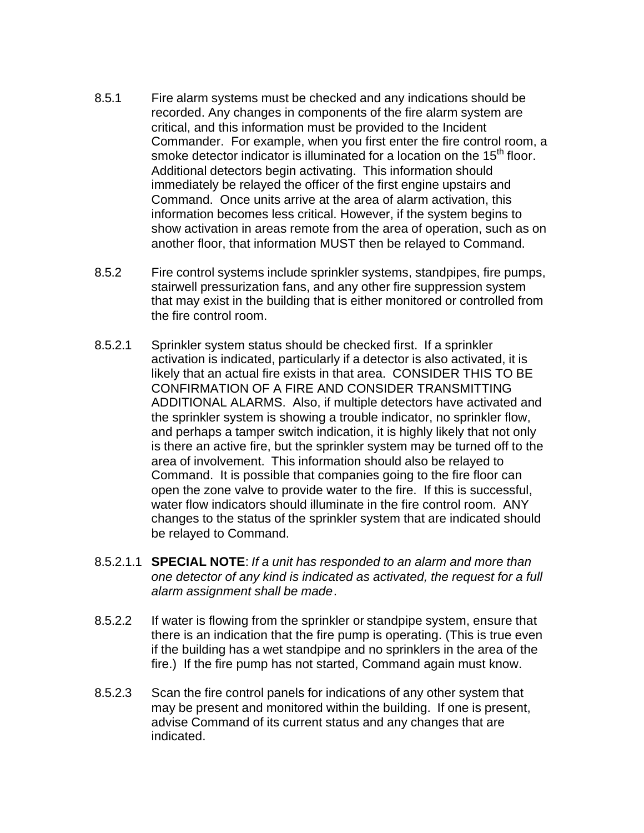- 8.5.1 Fire alarm systems must be checked and any indications should be recorded. Any changes in components of the fire alarm system are critical, and this information must be provided to the Incident Commander. For example, when you first enter the fire control room, a smoke detector indicator is illuminated for a location on the 15<sup>th</sup> floor. Additional detectors begin activating. This information should immediately be relayed the officer of the first engine upstairs and Command. Once units arrive at the area of alarm activation, this information becomes less critical. However, if the system begins to show activation in areas remote from the area of operation, such as on another floor, that information MUST then be relayed to Command.
- 8.5.2 Fire control systems include sprinkler systems, standpipes, fire pumps, stairwell pressurization fans, and any other fire suppression system that may exist in the building that is either monitored or controlled from the fire control room.
- 8.5.2.1 Sprinkler system status should be checked first. If a sprinkler activation is indicated, particularly if a detector is also activated, it is likely that an actual fire exists in that area. CONSIDER THIS TO BE CONFIRMATION OF A FIRE AND CONSIDER TRANSMITTING ADDITIONAL ALARMS. Also, if multiple detectors have activated and the sprinkler system is showing a trouble indicator, no sprinkler flow, and perhaps a tamper switch indication, it is highly likely that not only is there an active fire, but the sprinkler system may be turned off to the area of involvement. This information should also be relayed to Command. It is possible that companies going to the fire floor can open the zone valve to provide water to the fire. If this is successful, water flow indicators should illuminate in the fire control room. ANY changes to the status of the sprinkler system that are indicated should be relayed to Command.
- 8.5.2.1.1 **SPECIAL NOTE**: *If a unit has responded to an alarm and more than one detector of any kind is indicated as activated, the request for a full alarm assignment shall be made*.
- 8.5.2.2 If water is flowing from the sprinkler or standpipe system, ensure that there is an indication that the fire pump is operating. (This is true even if the building has a wet standpipe and no sprinklers in the area of the fire.) If the fire pump has not started, Command again must know.
- 8.5.2.3 Scan the fire control panels for indications of any other system that may be present and monitored within the building. If one is present, advise Command of its current status and any changes that are indicated.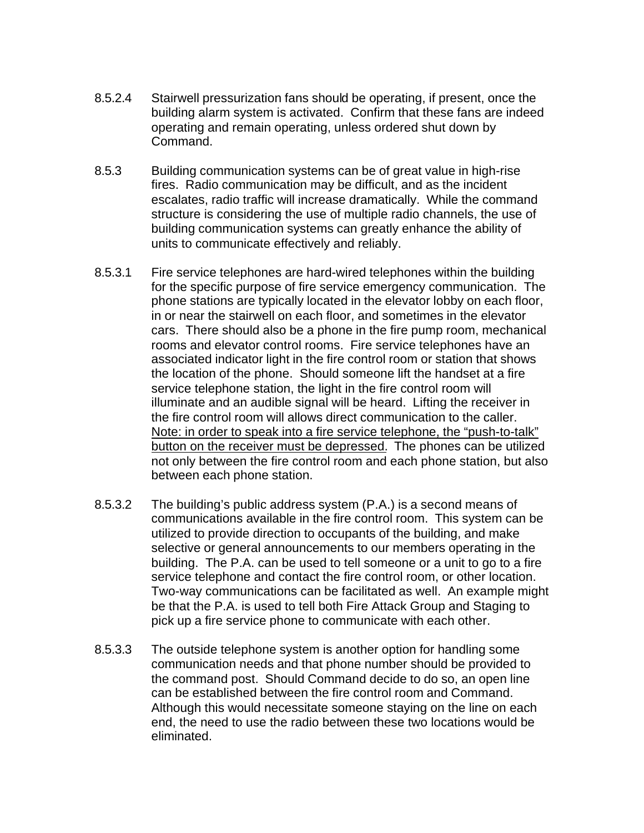- 8.5.2.4 Stairwell pressurization fans should be operating, if present, once the building alarm system is activated. Confirm that these fans are indeed operating and remain operating, unless ordered shut down by Command.
- 8.5.3 Building communication systems can be of great value in high-rise fires. Radio communication may be difficult, and as the incident escalates, radio traffic will increase dramatically. While the command structure is considering the use of multiple radio channels, the use of building communication systems can greatly enhance the ability of units to communicate effectively and reliably.
- 8.5.3.1 Fire service telephones are hard-wired telephones within the building for the specific purpose of fire service emergency communication. The phone stations are typically located in the elevator lobby on each floor, in or near the stairwell on each floor, and sometimes in the elevator cars. There should also be a phone in the fire pump room, mechanical rooms and elevator control rooms. Fire service telephones have an associated indicator light in the fire control room or station that shows the location of the phone. Should someone lift the handset at a fire service telephone station, the light in the fire control room will illuminate and an audible signal will be heard. Lifting the receiver in the fire control room will allows direct communication to the caller. Note: in order to speak into a fire service telephone, the "push-to-talk" button on the receiver must be depressed. The phones can be utilized not only between the fire control room and each phone station, but also between each phone station.
- 8.5.3.2 The building's public address system (P.A.) is a second means of communications available in the fire control room. This system can be utilized to provide direction to occupants of the building, and make selective or general announcements to our members operating in the building. The P.A. can be used to tell someone or a unit to go to a fire service telephone and contact the fire control room, or other location. Two-way communications can be facilitated as well. An example might be that the P.A. is used to tell both Fire Attack Group and Staging to pick up a fire service phone to communicate with each other.
- 8.5.3.3 The outside telephone system is another option for handling some communication needs and that phone number should be provided to the command post. Should Command decide to do so, an open line can be established between the fire control room and Command. Although this would necessitate someone staying on the line on each end, the need to use the radio between these two locations would be eliminated.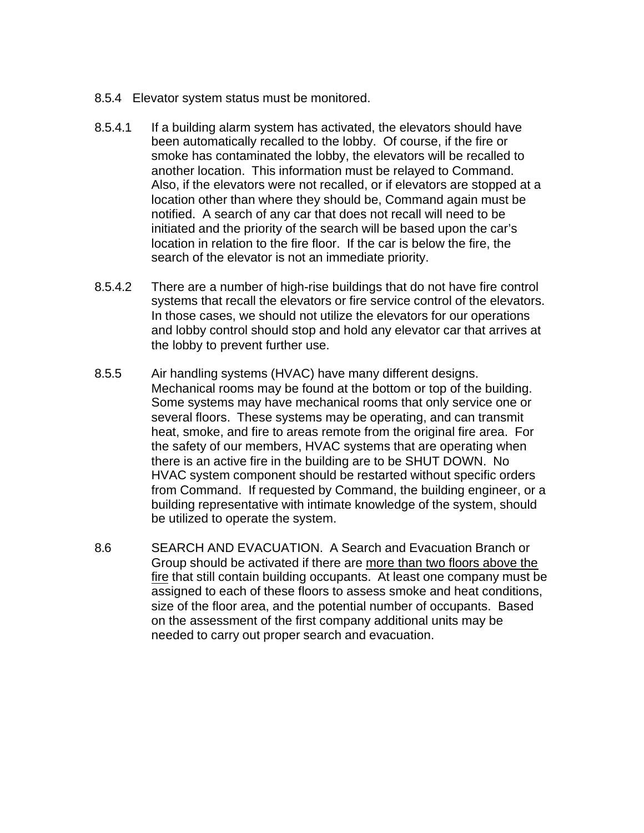- 8.5.4 Elevator system status must be monitored.
- 8.5.4.1 If a building alarm system has activated, the elevators should have been automatically recalled to the lobby. Of course, if the fire or smoke has contaminated the lobby, the elevators will be recalled to another location. This information must be relayed to Command. Also, if the elevators were not recalled, or if elevators are stopped at a location other than where they should be, Command again must be notified. A search of any car that does not recall will need to be initiated and the priority of the search will be based upon the car's location in relation to the fire floor. If the car is below the fire, the search of the elevator is not an immediate priority.
- 8.5.4.2 There are a number of high-rise buildings that do not have fire control systems that recall the elevators or fire service control of the elevators. In those cases, we should not utilize the elevators for our operations and lobby control should stop and hold any elevator car that arrives at the lobby to prevent further use.
- 8.5.5 Air handling systems (HVAC) have many different designs. Mechanical rooms may be found at the bottom or top of the building. Some systems may have mechanical rooms that only service one or several floors. These systems may be operating, and can transmit heat, smoke, and fire to areas remote from the original fire area. For the safety of our members, HVAC systems that are operating when there is an active fire in the building are to be SHUT DOWN. No HVAC system component should be restarted without specific orders from Command. If requested by Command, the building engineer, or a building representative with intimate knowledge of the system, should be utilized to operate the system.
- 8.6 SEARCH AND EVACUATION. A Search and Evacuation Branch or Group should be activated if there are more than two floors above the fire that still contain building occupants. At least one company must be assigned to each of these floors to assess smoke and heat conditions, size of the floor area, and the potential number of occupants. Based on the assessment of the first company additional units may be needed to carry out proper search and evacuation.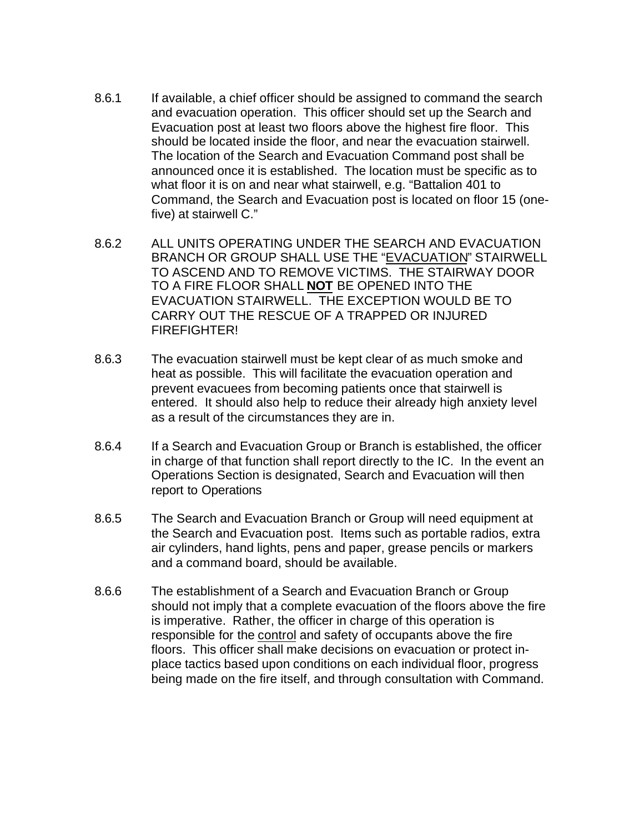- 8.6.1 If available, a chief officer should be assigned to command the search and evacuation operation. This officer should set up the Search and Evacuation post at least two floors above the highest fire floor. This should be located inside the floor, and near the evacuation stairwell. The location of the Search and Evacuation Command post shall be announced once it is established. The location must be specific as to what floor it is on and near what stairwell, e.g. "Battalion 401 to Command, the Search and Evacuation post is located on floor 15 (onefive) at stairwell C."
- 8.6.2 ALL UNITS OPERATING UNDER THE SEARCH AND EVACUATION BRANCH OR GROUP SHALL USE THE "EVACUATION" STAIRWELL TO ASCEND AND TO REMOVE VICTIMS. THE STAIRWAY DOOR TO A FIRE FLOOR SHALL **NOT** BE OPENED INTO THE EVACUATION STAIRWELL. THE EXCEPTION WOULD BE TO CARRY OUT THE RESCUE OF A TRAPPED OR INJURED FIREFIGHTER!
- 8.6.3 The evacuation stairwell must be kept clear of as much smoke and heat as possible. This will facilitate the evacuation operation and prevent evacuees from becoming patients once that stairwell is entered. It should also help to reduce their already high anxiety level as a result of the circumstances they are in.
- 8.6.4 If a Search and Evacuation Group or Branch is established, the officer in charge of that function shall report directly to the IC. In the event an Operations Section is designated, Search and Evacuation will then report to Operations
- 8.6.5 The Search and Evacuation Branch or Group will need equipment at the Search and Evacuation post. Items such as portable radios, extra air cylinders, hand lights, pens and paper, grease pencils or markers and a command board, should be available.
- 8.6.6 The establishment of a Search and Evacuation Branch or Group should not imply that a complete evacuation of the floors above the fire is imperative. Rather, the officer in charge of this operation is responsible for the control and safety of occupants above the fire floors. This officer shall make decisions on evacuation or protect inplace tactics based upon conditions on each individual floor, progress being made on the fire itself, and through consultation with Command.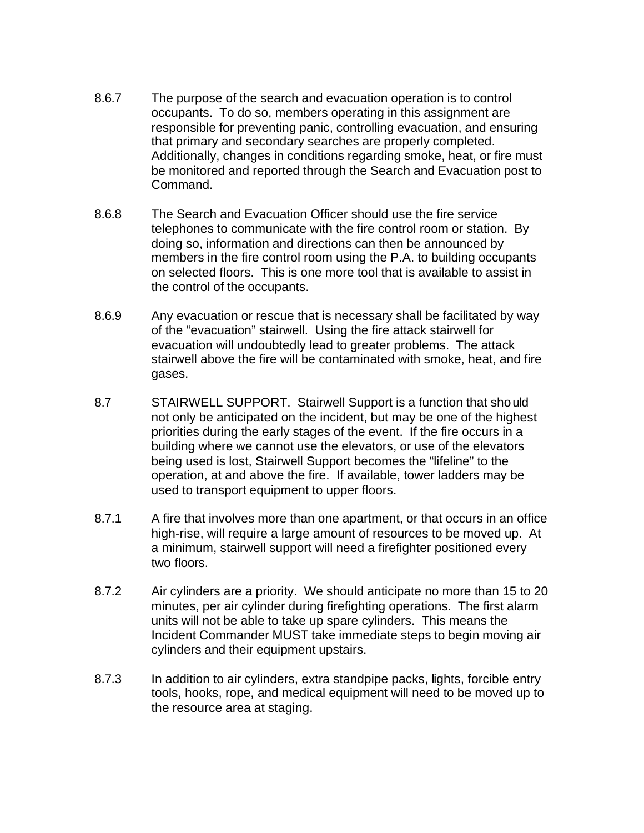- 8.6.7 The purpose of the search and evacuation operation is to control occupants. To do so, members operating in this assignment are responsible for preventing panic, controlling evacuation, and ensuring that primary and secondary searches are properly completed. Additionally, changes in conditions regarding smoke, heat, or fire must be monitored and reported through the Search and Evacuation post to Command.
- 8.6.8 The Search and Evacuation Officer should use the fire service telephones to communicate with the fire control room or station. By doing so, information and directions can then be announced by members in the fire control room using the P.A. to building occupants on selected floors. This is one more tool that is available to assist in the control of the occupants.
- 8.6.9 Any evacuation or rescue that is necessary shall be facilitated by way of the "evacuation" stairwell. Using the fire attack stairwell for evacuation will undoubtedly lead to greater problems. The attack stairwell above the fire will be contaminated with smoke, heat, and fire gases.
- 8.7 STAIRWELL SUPPORT. Stairwell Support is a function that should not only be anticipated on the incident, but may be one of the highest priorities during the early stages of the event. If the fire occurs in a building where we cannot use the elevators, or use of the elevators being used is lost, Stairwell Support becomes the "lifeline" to the operation, at and above the fire. If available, tower ladders may be used to transport equipment to upper floors.
- 8.7.1 A fire that involves more than one apartment, or that occurs in an office high-rise, will require a large amount of resources to be moved up. At a minimum, stairwell support will need a firefighter positioned every two floors.
- 8.7.2 Air cylinders are a priority. We should anticipate no more than 15 to 20 minutes, per air cylinder during firefighting operations. The first alarm units will not be able to take up spare cylinders. This means the Incident Commander MUST take immediate steps to begin moving air cylinders and their equipment upstairs.
- 8.7.3 In addition to air cylinders, extra standpipe packs, lights, forcible entry tools, hooks, rope, and medical equipment will need to be moved up to the resource area at staging.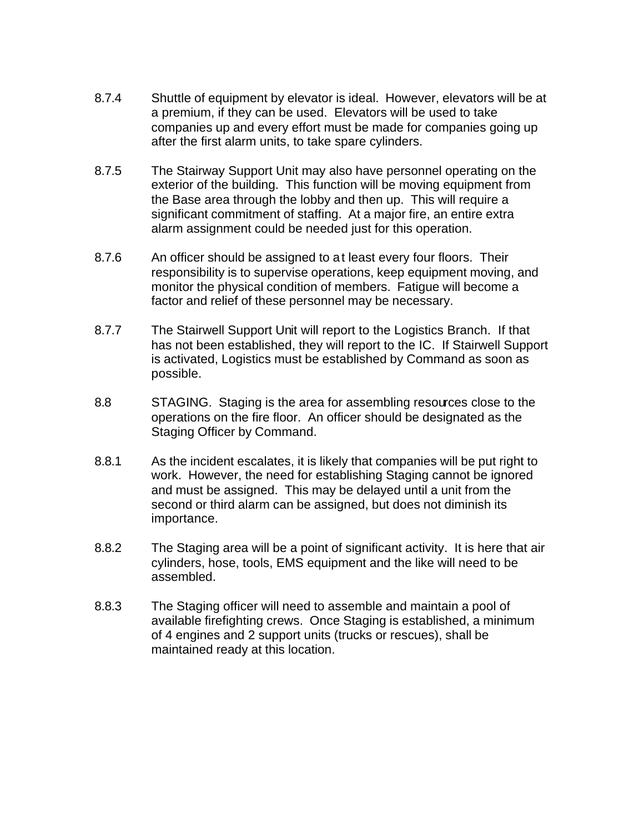- 8.7.4 Shuttle of equipment by elevator is ideal. However, elevators will be at a premium, if they can be used. Elevators will be used to take companies up and every effort must be made for companies going up after the first alarm units, to take spare cylinders.
- 8.7.5 The Stairway Support Unit may also have personnel operating on the exterior of the building. This function will be moving equipment from the Base area through the lobby and then up. This will require a significant commitment of staffing. At a major fire, an entire extra alarm assignment could be needed just for this operation.
- 8.7.6 An officer should be assigned to at least every four floors. Their responsibility is to supervise operations, keep equipment moving, and monitor the physical condition of members. Fatigue will become a factor and relief of these personnel may be necessary.
- 8.7.7 The Stairwell Support Unit will report to the Logistics Branch. If that has not been established, they will report to the IC. If Stairwell Support is activated, Logistics must be established by Command as soon as possible.
- 8.8 STAGING. Staging is the area for assembling resources close to the operations on the fire floor. An officer should be designated as the Staging Officer by Command.
- 8.8.1 As the incident escalates, it is likely that companies will be put right to work. However, the need for establishing Staging cannot be ignored and must be assigned. This may be delayed until a unit from the second or third alarm can be assigned, but does not diminish its importance.
- 8.8.2 The Staging area will be a point of significant activity. It is here that air cylinders, hose, tools, EMS equipment and the like will need to be assembled.
- 8.8.3 The Staging officer will need to assemble and maintain a pool of available firefighting crews. Once Staging is established, a minimum of 4 engines and 2 support units (trucks or rescues), shall be maintained ready at this location.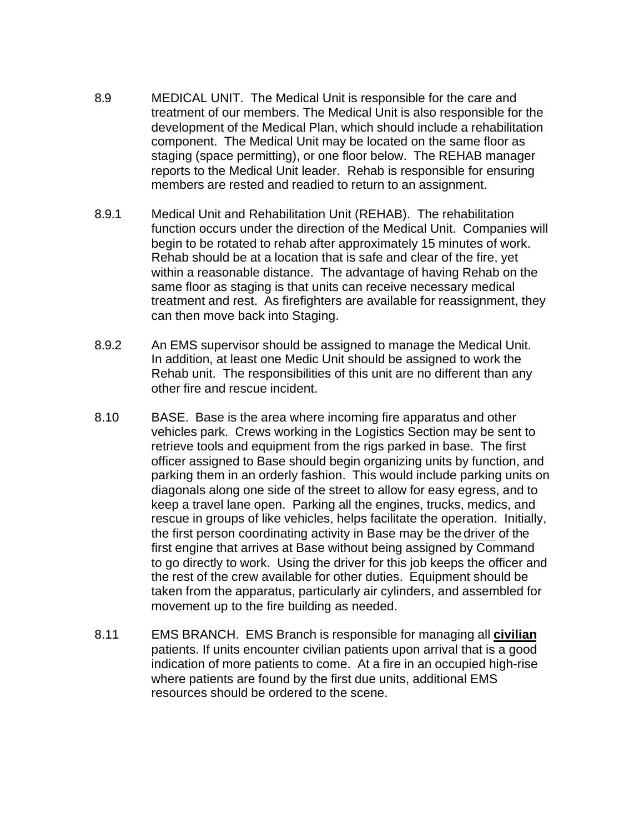- 8.9 MEDICAL UNIT. The Medical Unit is responsible for the care and treatment of our members. The Medical Unit is also responsible for the development of the Medical Plan, which should include a rehabilitation component. The Medical Unit may be located on the same floor as staging (space permitting), or one floor below. The REHAB manager reports to the Medical Unit leader. Rehab is responsible for ensuring members are rested and readied to return to an assignment.
- 8.9.1 Medical Unit and Rehabilitation Unit (REHAB). The rehabilitation function occurs under the direction of the Medical Unit. Companies will begin to be rotated to rehab after approximately 15 minutes of work. Rehab should be at a location that is safe and clear of the fire, yet within a reasonable distance. The advantage of having Rehab on the same floor as staging is that units can receive necessary medical treatment and rest. As firefighters are available for reassignment, they can then move back into Staging.
- 8.9.2 An EMS supervisor should be assigned to manage the Medical Unit. In addition, at least one Medic Unit should be assigned to work the Rehab unit. The responsibilities of this unit are no different than any other fire and rescue incident.
- 8.10 BASE. Base is the area where incoming fire apparatus and other vehicles park. Crews working in the Logistics Section may be sent to retrieve tools and equipment from the rigs parked in base. The first officer assigned to Base should begin organizing units by function, and parking them in an orderly fashion. This would include parking units on diagonals along one side of the street to allow for easy egress, and to keep a travel lane open. Parking all the engines, trucks, medics, and rescue in groups of like vehicles, helps facilitate the operation. Initially, the first person coordinating activity in Base may be the driver of the first engine that arrives at Base without being assigned by Command to go directly to work. Using the driver for this job keeps the officer and the rest of the crew available for other duties. Equipment should be taken from the apparatus, particularly air cylinders, and assembled for movement up to the fire building as needed.
- 8.11 EMS BRANCH. EMS Branch is responsible for managing all **civilian** patients. If units encounter civilian patients upon arrival that is a good indication of more patients to come. At a fire in an occupied high-rise where patients are found by the first due units, additional EMS resources should be ordered to the scene.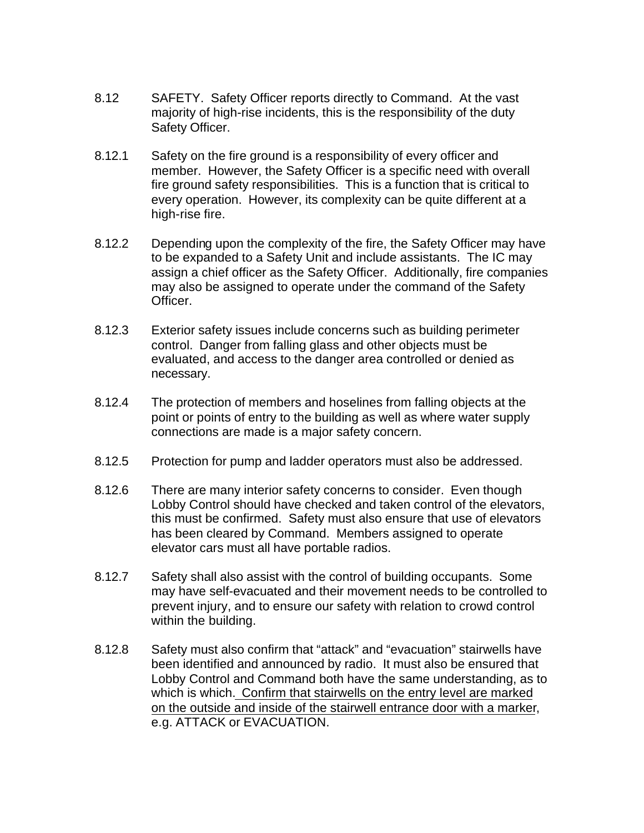- 8.12 SAFETY. Safety Officer reports directly to Command. At the vast majority of high-rise incidents, this is the responsibility of the duty Safety Officer.
- 8.12.1 Safety on the fire ground is a responsibility of every officer and member. However, the Safety Officer is a specific need with overall fire ground safety responsibilities. This is a function that is critical to every operation. However, its complexity can be quite different at a high-rise fire.
- 8.12.2 Depending upon the complexity of the fire, the Safety Officer may have to be expanded to a Safety Unit and include assistants. The IC may assign a chief officer as the Safety Officer. Additionally, fire companies may also be assigned to operate under the command of the Safety Officer.
- 8.12.3 Exterior safety issues include concerns such as building perimeter control. Danger from falling glass and other objects must be evaluated, and access to the danger area controlled or denied as necessary.
- 8.12.4 The protection of members and hoselines from falling objects at the point or points of entry to the building as well as where water supply connections are made is a major safety concern.
- 8.12.5 Protection for pump and ladder operators must also be addressed.
- 8.12.6 There are many interior safety concerns to consider. Even though Lobby Control should have checked and taken control of the elevators, this must be confirmed. Safety must also ensure that use of elevators has been cleared by Command. Members assigned to operate elevator cars must all have portable radios.
- 8.12.7 Safety shall also assist with the control of building occupants. Some may have self-evacuated and their movement needs to be controlled to prevent injury, and to ensure our safety with relation to crowd control within the building.
- 8.12.8 Safety must also confirm that "attack" and "evacuation" stairwells have been identified and announced by radio. It must also be ensured that Lobby Control and Command both have the same understanding, as to which is which. Confirm that stairwells on the entry level are marked on the outside and inside of the stairwell entrance door with a marker, e.g. ATTACK or EVACUATION.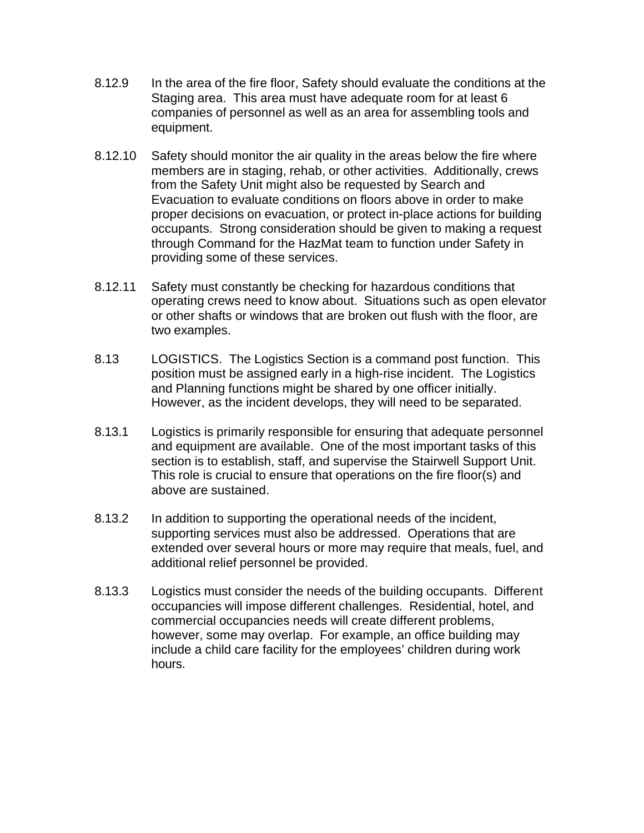- 8.12.9 In the area of the fire floor, Safety should evaluate the conditions at the Staging area. This area must have adequate room for at least 6 companies of personnel as well as an area for assembling tools and equipment.
- 8.12.10 Safety should monitor the air quality in the areas below the fire where members are in staging, rehab, or other activities. Additionally, crews from the Safety Unit might also be requested by Search and Evacuation to evaluate conditions on floors above in order to make proper decisions on evacuation, or protect in-place actions for building occupants. Strong consideration should be given to making a request through Command for the HazMat team to function under Safety in providing some of these services.
- 8.12.11 Safety must constantly be checking for hazardous conditions that operating crews need to know about. Situations such as open elevator or other shafts or windows that are broken out flush with the floor, are two examples.
- 8.13 LOGISTICS. The Logistics Section is a command post function. This position must be assigned early in a high-rise incident. The Logistics and Planning functions might be shared by one officer initially. However, as the incident develops, they will need to be separated.
- 8.13.1 Logistics is primarily responsible for ensuring that adequate personnel and equipment are available. One of the most important tasks of this section is to establish, staff, and supervise the Stairwell Support Unit. This role is crucial to ensure that operations on the fire floor(s) and above are sustained.
- 8.13.2 In addition to supporting the operational needs of the incident, supporting services must also be addressed. Operations that are extended over several hours or more may require that meals, fuel, and additional relief personnel be provided.
- 8.13.3 Logistics must consider the needs of the building occupants. Different occupancies will impose different challenges. Residential, hotel, and commercial occupancies needs will create different problems, however, some may overlap. For example, an office building may include a child care facility for the employees' children during work hours.